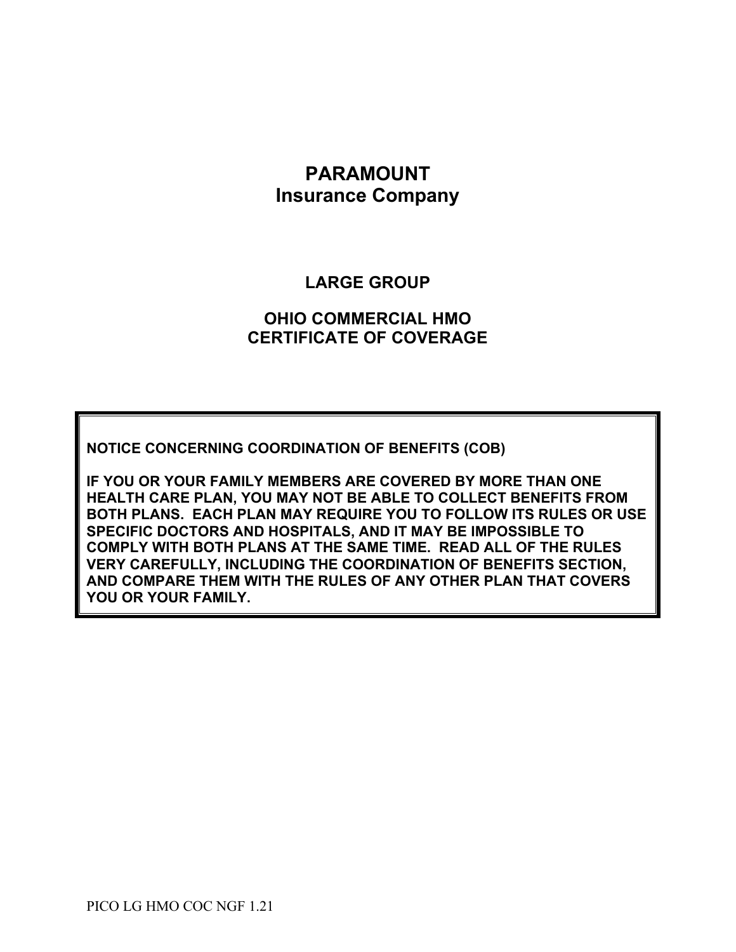# **PARAMOUNT Insurance Company**

# **LARGE GROUP**

# **OHIO COMMERCIAL HMO CERTIFICATE OF COVERAGE**

**NOTICE CONCERNING COORDINATION OF BENEFITS (COB)**

**IF YOU OR YOUR FAMILY MEMBERS ARE COVERED BY MORE THAN ONE HEALTH CARE PLAN, YOU MAY NOT BE ABLE TO COLLECT BENEFITS FROM BOTH PLANS. EACH PLAN MAY REQUIRE YOU TO FOLLOW ITS RULES OR USE SPECIFIC DOCTORS AND HOSPITALS, AND IT MAY BE IMPOSSIBLE TO COMPLY WITH BOTH PLANS AT THE SAME TIME. READ ALL OF THE RULES VERY CAREFULLY, INCLUDING THE COORDINATION OF BENEFITS SECTION, AND COMPARE THEM WITH THE RULES OF ANY OTHER PLAN THAT COVERS YOU OR YOUR FAMILY.**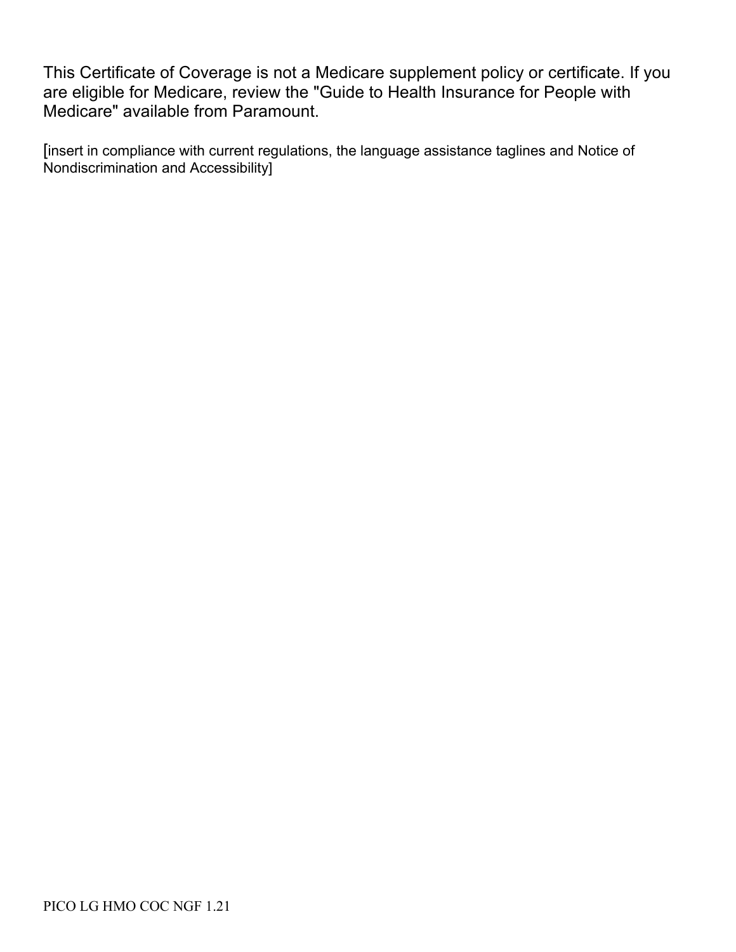This Certificate of Coverage is not a Medicare supplement policy or certificate. If you are eligible for Medicare, review the "Guide to Health Insurance for People with Medicare" available from Paramount.

[insert in compliance with current regulations, the language assistance taglines and Notice of Nondiscrimination and Accessibility]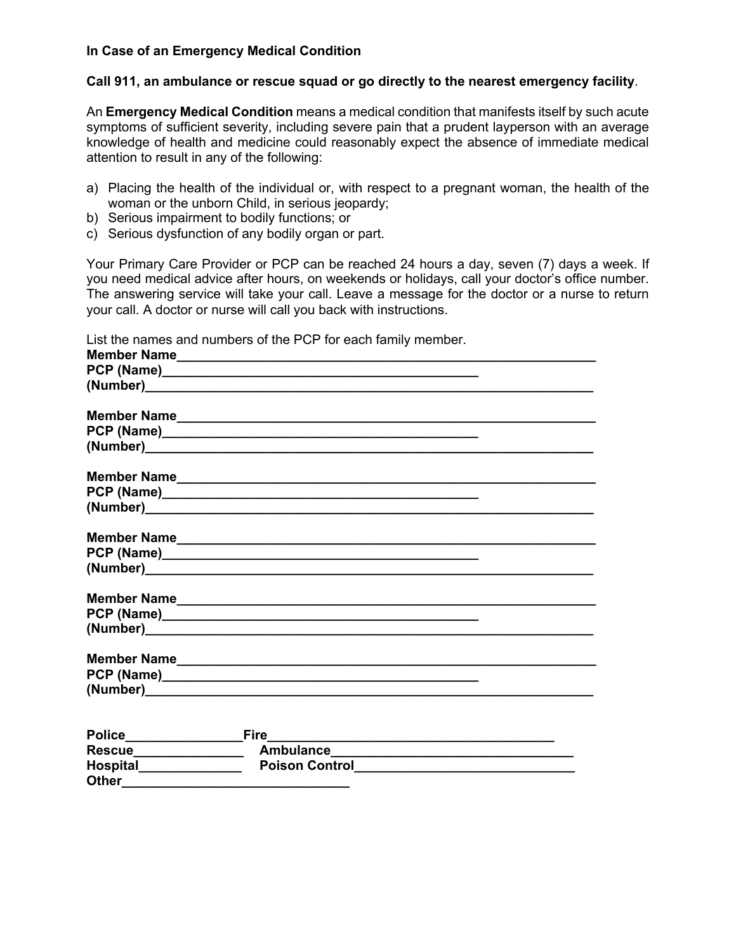#### **In Case of an Emergency Medical Condition**

### **Call 911, an ambulance or rescue squad or go directly to the nearest emergency facility**.

An **Emergency Medical Condition** means a medical condition that manifests itself by such acute symptoms of sufficient severity, including severe pain that a prudent layperson with an average knowledge of health and medicine could reasonably expect the absence of immediate medical attention to result in any of the following:

- a) Placing the health of the individual or, with respect to a pregnant woman, the health of the woman or the unborn Child, in serious jeopardy;
- b) Serious impairment to bodily functions; or
- c) Serious dysfunction of any bodily organ or part.

Your Primary Care Provider or PCP can be reached 24 hours a day, seven (7) days a week. If you need medical advice after hours, on weekends or holidays, call your doctor's office number. The answering service will take your call. Leave a message for the doctor or a nurse to return your call. A doctor or nurse will call you back with instructions.

List the names and numbers of the PCP for each family member.

| <b>Police</b>   | Fire                  |  |
|-----------------|-----------------------|--|
| <b>Rescue</b>   | <b>Ambulance</b>      |  |
| <b>Hospital</b> | <b>Poison Control</b> |  |
| <b>Other</b>    |                       |  |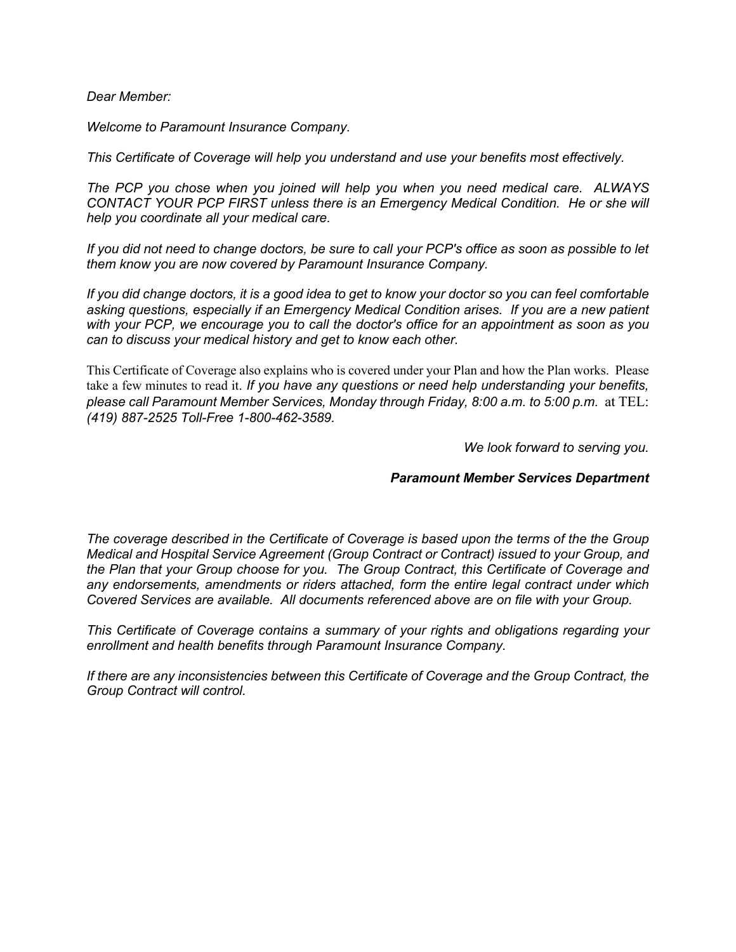*Dear Member:*

*Welcome to Paramount Insurance Company.*

*This Certificate of Coverage will help you understand and use your benefits most effectively.*

*The PCP you chose when you joined will help you when you need medical care. ALWAYS CONTACT YOUR PCP FIRST unless there is an Emergency Medical Condition. He or she will help you coordinate all your medical care.*

*If you did not need to change doctors, be sure to call your PCP's office as soon as possible to let them know you are now covered by Paramount Insurance Company.* 

*If you did change doctors, it is a good idea to get to know your doctor so you can feel comfortable asking questions, especially if an Emergency Medical Condition arises. If you are a new patient with your PCP, we encourage you to call the doctor's office for an appointment as soon as you can to discuss your medical history and get to know each other.* 

This Certificate of Coverage also explains who is covered under your Plan and how the Plan works. Please take a few minutes to read it. *If you have any questions or need help understanding your benefits, please call Paramount Member Services, Monday through Friday, 8:00 a.m. to 5:00 p.m.* at TEL: *(419) 887-2525 Toll-Free 1-800-462-3589.*

*We look forward to serving you.*

#### *Paramount Member Services Department*

*The coverage described in the Certificate of Coverage is based upon the terms of the the Group Medical and Hospital Service Agreement (Group Contract or Contract) issued to your Group, and the Plan that your Group choose for you. The Group Contract, this Certificate of Coverage and any endorsements, amendments or riders attached, form the entire legal contract under which Covered Services are available. All documents referenced above are on file with your Group.*

*This Certificate of Coverage contains a summary of your rights and obligations regarding your enrollment and health benefits through Paramount Insurance Company.*

*If there are any inconsistencies between this Certificate of Coverage and the Group Contract, the Group Contract will control.*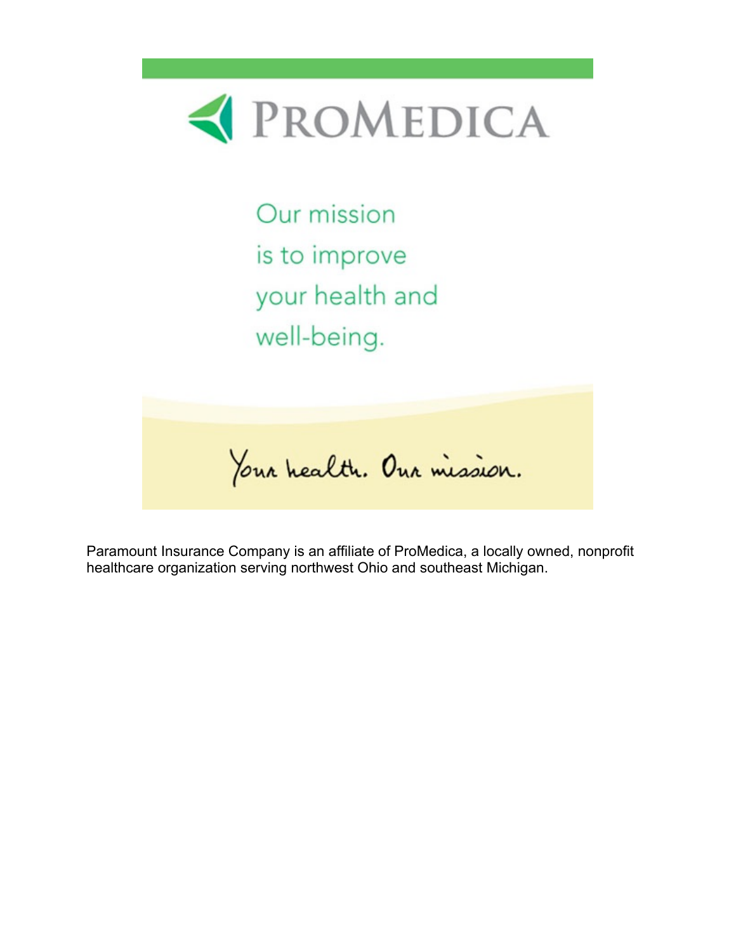

Our mission is to improve your health and well-being.

Your health. Our mission.

Paramount Insurance Company is an affiliate of ProMedica, a locally owned, nonprofit healthcare organization serving northwest Ohio and southeast Michigan.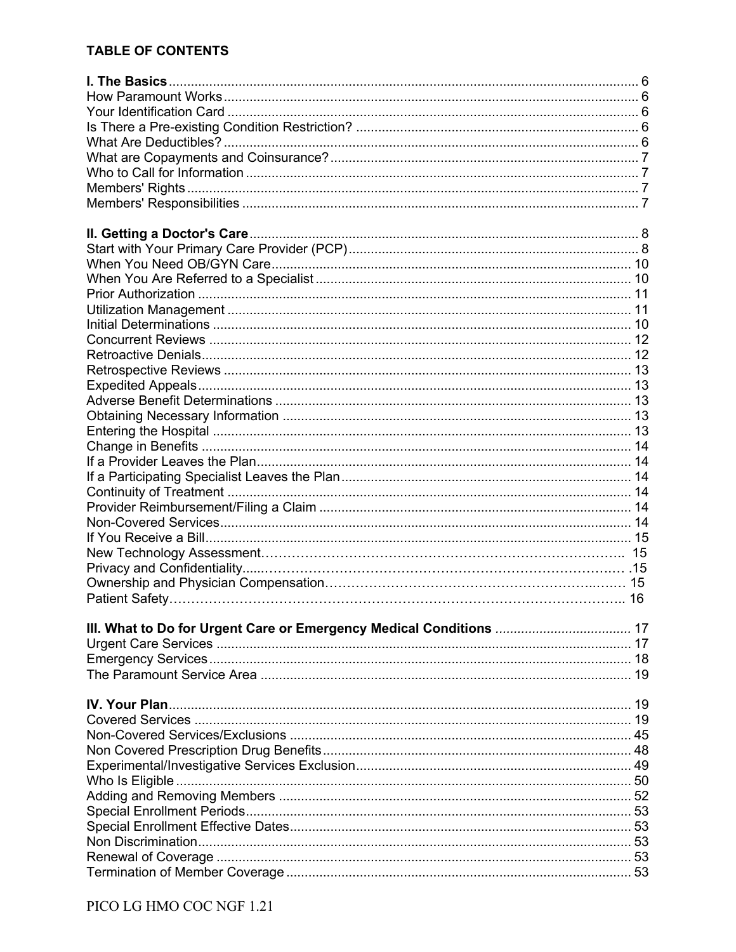# **TABLE OF CONTENTS**

| III. What to Do for Urgent Care or Emergency Medical Conditions  17 |  |
|---------------------------------------------------------------------|--|
|                                                                     |  |
|                                                                     |  |
|                                                                     |  |
|                                                                     |  |
|                                                                     |  |
|                                                                     |  |
|                                                                     |  |
|                                                                     |  |
|                                                                     |  |
|                                                                     |  |
|                                                                     |  |
|                                                                     |  |
|                                                                     |  |
|                                                                     |  |
|                                                                     |  |
|                                                                     |  |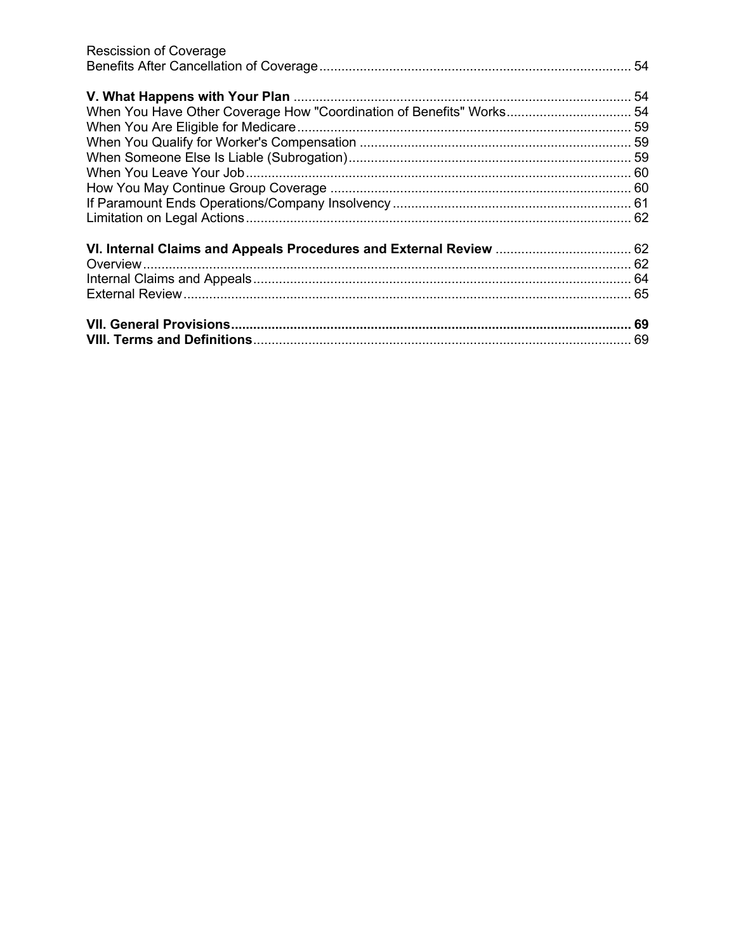| <b>Rescission of Coverage</b>                                        |  |
|----------------------------------------------------------------------|--|
|                                                                      |  |
|                                                                      |  |
|                                                                      |  |
| When You Have Other Coverage How "Coordination of Benefits" Works 54 |  |
|                                                                      |  |
|                                                                      |  |
|                                                                      |  |
|                                                                      |  |
|                                                                      |  |
|                                                                      |  |
|                                                                      |  |
|                                                                      |  |
|                                                                      |  |
|                                                                      |  |
|                                                                      |  |
|                                                                      |  |
|                                                                      |  |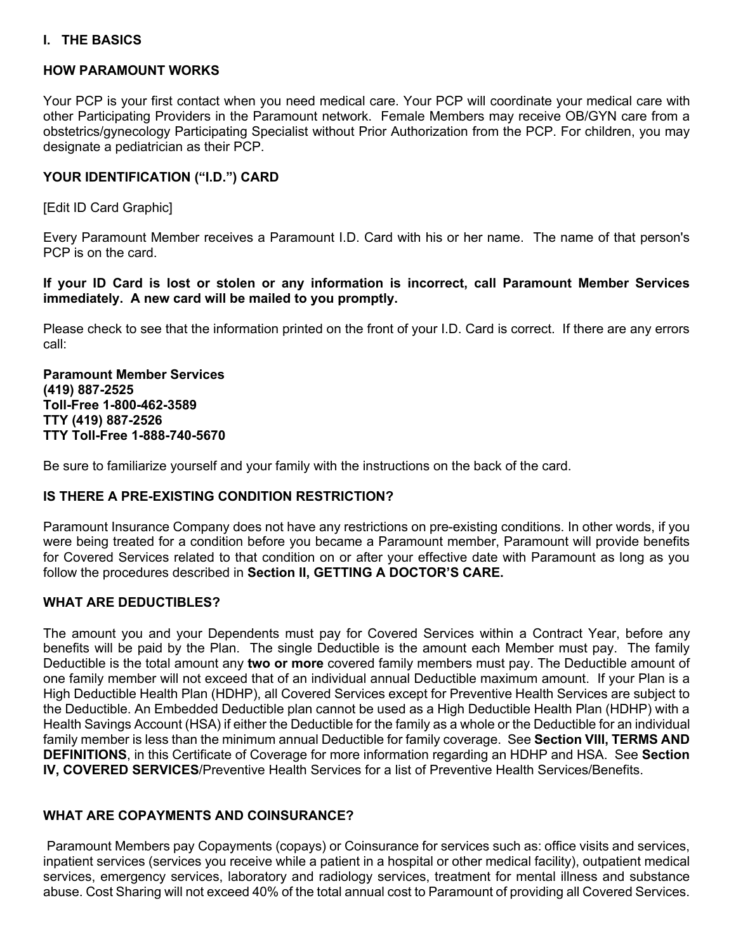## **I. THE BASICS**

#### **HOW PARAMOUNT WORKS**

Your PCP is your first contact when you need medical care. Your PCP will coordinate your medical care with other Participating Providers in the Paramount network. Female Members may receive OB/GYN care from a obstetrics/gynecology Participating Specialist without Prior Authorization from the PCP. For children, you may designate a pediatrician as their PCP.

## **YOUR IDENTIFICATION ("I.D.") CARD**

[Edit ID Card Graphic]

Every Paramount Member receives a Paramount I.D. Card with his or her name. The name of that person's PCP is on the card.

**If your ID Card is lost or stolen or any information is incorrect, call Paramount Member Services immediately. A new card will be mailed to you promptly.**

Please check to see that the information printed on the front of your I.D. Card is correct. If there are any errors call:

**Paramount Member Services (419) 887-2525 Toll-Free 1-800-462-3589 TTY (419) 887-2526 TTY Toll-Free 1-888-740-5670**

Be sure to familiarize yourself and your family with the instructions on the back of the card.

#### **IS THERE A PRE-EXISTING CONDITION RESTRICTION?**

Paramount Insurance Company does not have any restrictions on pre-existing conditions. In other words, if you were being treated for a condition before you became a Paramount member, Paramount will provide benefits for Covered Services related to that condition on or after your effective date with Paramount as long as you follow the procedures described in **Section II, GETTING A DOCTOR'S CARE.**

#### **WHAT ARE DEDUCTIBLES?**

The amount you and your Dependents must pay for Covered Services within a Contract Year, before any benefits will be paid by the Plan. The single Deductible is the amount each Member must pay. The family Deductible is the total amount any **two or more** covered family members must pay. The Deductible amount of one family member will not exceed that of an individual annual Deductible maximum amount. If your Plan is a High Deductible Health Plan (HDHP), all Covered Services except for Preventive Health Services are subject to the Deductible. An Embedded Deductible plan cannot be used as a High Deductible Health Plan (HDHP) with a Health Savings Account (HSA) if either the Deductible for the family as a whole or the Deductible for an individual family member is less than the minimum annual Deductible for family coverage. See **Section VIII, TERMS AND DEFINITIONS**, in this Certificate of Coverage for more information regarding an HDHP and HSA. See **Section IV, COVERED SERVICES**/Preventive Health Services for a list of Preventive Health Services/Benefits.

#### **WHAT ARE COPAYMENTS AND COINSURANCE?**

Paramount Members pay Copayments (copays) or Coinsurance for services such as: office visits and services, inpatient services (services you receive while a patient in a hospital or other medical facility), outpatient medical services, emergency services, laboratory and radiology services, treatment for mental illness and substance abuse. Cost Sharing will not exceed 40% of the total annual cost to Paramount of providing all Covered Services.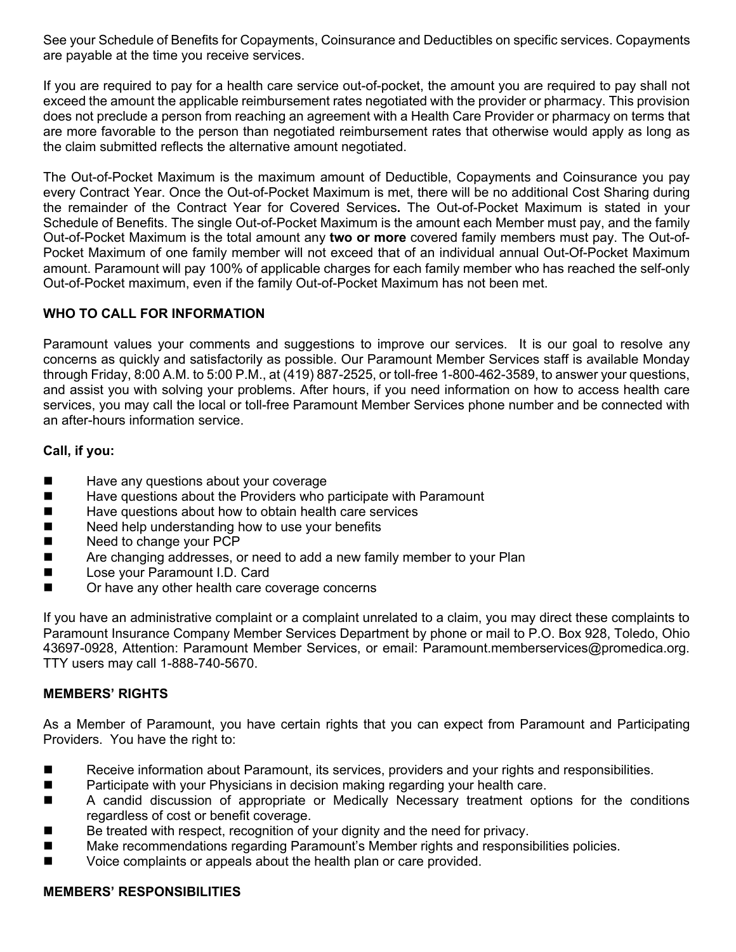See your Schedule of Benefits for Copayments, Coinsurance and Deductibles on specific services. Copayments are payable at the time you receive services.

If you are required to pay for a health care service out-of-pocket, the amount you are required to pay shall not exceed the amount the applicable reimbursement rates negotiated with the provider or pharmacy. This provision does not preclude a person from reaching an agreement with a Health Care Provider or pharmacy on terms that are more favorable to the person than negotiated reimbursement rates that otherwise would apply as long as the claim submitted reflects the alternative amount negotiated.

The Out-of-Pocket Maximum is the maximum amount of Deductible, Copayments and Coinsurance you pay every Contract Year. Once the Out-of-Pocket Maximum is met, there will be no additional Cost Sharing during the remainder of the Contract Year for Covered Services**.** The Out-of-Pocket Maximum is stated in your Schedule of Benefits. The single Out-of-Pocket Maximum is the amount each Member must pay, and the family Out-of-Pocket Maximum is the total amount any **two or more** covered family members must pay. The Out-of-Pocket Maximum of one family member will not exceed that of an individual annual Out-Of-Pocket Maximum amount. Paramount will pay 100% of applicable charges for each family member who has reached the self-only Out-of-Pocket maximum, even if the family Out-of-Pocket Maximum has not been met.

# **WHO TO CALL FOR INFORMATION**

Paramount values your comments and suggestions to improve our services. It is our goal to resolve any concerns as quickly and satisfactorily as possible. Our Paramount Member Services staff is available Monday through Friday, 8:00 A.M. to 5:00 P.M., at (419) 887-2525, or toll-free 1-800-462-3589, to answer your questions, and assist you with solving your problems. After hours, if you need information on how to access health care services, you may call the local or toll-free Paramount Member Services phone number and be connected with an after-hours information service.

## **Call, if you:**

- $\blacksquare$  Have any questions about your coverage
- Have questions about the Providers who participate with Paramount
- $\blacksquare$  Have questions about how to obtain health care services
- $\blacksquare$  Need help understanding how to use your benefits
- Need to change your PCP
- Are changing addresses, or need to add a new family member to your Plan
- Lose your Paramount I.D. Card
- Or have any other health care coverage concerns

If you have an administrative complaint or a complaint unrelated to a claim, you may direct these complaints to Paramount Insurance Company Member Services Department by phone or mail to P.O. Box 928, Toledo, Ohio 43697-0928, Attention: Paramount Member Services, or email: Paramount.memberservices@promedica.org. TTY users may call 1-888-740-5670.

#### **MEMBERS' RIGHTS**

As a Member of Paramount, you have certain rights that you can expect from Paramount and Participating Providers. You have the right to:

- Receive information about Paramount, its services, providers and your rights and responsibilities.
- Participate with your Physicians in decision making regarding your health care.
- n A candid discussion of appropriate or Medically Necessary treatment options for the conditions regardless of cost or benefit coverage.
- Be treated with respect, recognition of your dignity and the need for privacy.
- Make recommendations regarding Paramount's Member rights and responsibilities policies.
- Voice complaints or appeals about the health plan or care provided.

#### **MEMBERS' RESPONSIBILITIES**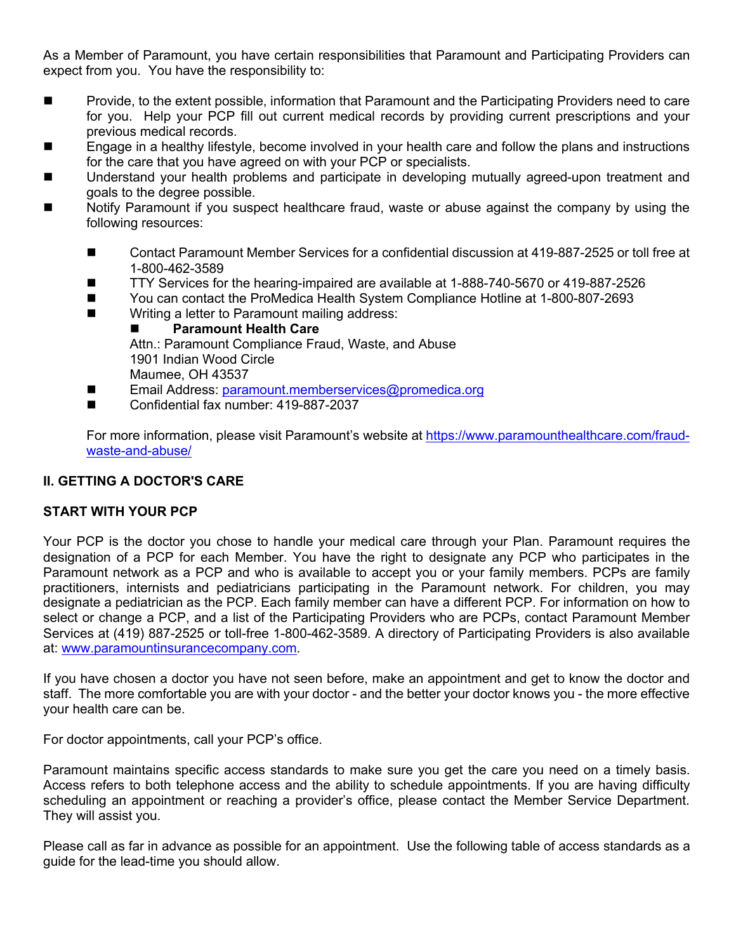As a Member of Paramount, you have certain responsibilities that Paramount and Participating Providers can expect from you. You have the responsibility to:

- Provide, to the extent possible, information that Paramount and the Participating Providers need to care for you. Help your PCP fill out current medical records by providing current prescriptions and your previous medical records.
- Engage in a healthy lifestyle, become involved in your health care and follow the plans and instructions for the care that you have agreed on with your PCP or specialists.
- Understand your health problems and participate in developing mutually agreed-upon treatment and goals to the degree possible.
- n Notify Paramount if you suspect healthcare fraud, waste or abuse against the company by using the following resources:
	- Contact Paramount Member Services for a confidential discussion at 419-887-2525 or toll free at 1-800-462-3589
	- TTY Services for the hearing-impaired are available at 1-888-740-5670 or 419-887-2526
	- You can contact the ProMedica Health System Compliance Hotline at 1-800-807-2693
	- Writing a letter to Paramount mailing address:
		- **n** Paramount Health Care

Attn.: Paramount Compliance Fraud, Waste, and Abuse 1901 Indian Wood Circle Maumee, OH 43537

- Email Address: paramount.memberservices@promedica.org
- Confidential fax number: 419-887-2037

For more information, please visit Paramount's website at https://www.paramounthealthcare.com/fraudwaste-and-abuse/

## **II. GETTING A DOCTOR'S CARE**

#### **START WITH YOUR PCP**

Your PCP is the doctor you chose to handle your medical care through your Plan. Paramount requires the designation of a PCP for each Member. You have the right to designate any PCP who participates in the Paramount network as a PCP and who is available to accept you or your family members. PCPs are family practitioners, internists and pediatricians participating in the Paramount network. For children, you may designate a pediatrician as the PCP. Each family member can have a different PCP. For information on how to select or change a PCP, and a list of the Participating Providers who are PCPs, contact Paramount Member Services at (419) 887-2525 or toll-free 1-800-462-3589. A directory of Participating Providers is also available at: www.paramountinsurancecompany.com.

If you have chosen a doctor you have not seen before, make an appointment and get to know the doctor and staff. The more comfortable you are with your doctor - and the better your doctor knows you - the more effective your health care can be.

For doctor appointments, call your PCP's office.

Paramount maintains specific access standards to make sure you get the care you need on a timely basis. Access refers to both telephone access and the ability to schedule appointments. If you are having difficulty scheduling an appointment or reaching a provider's office, please contact the Member Service Department. They will assist you.

Please call as far in advance as possible for an appointment. Use the following table of access standards as a guide for the lead-time you should allow.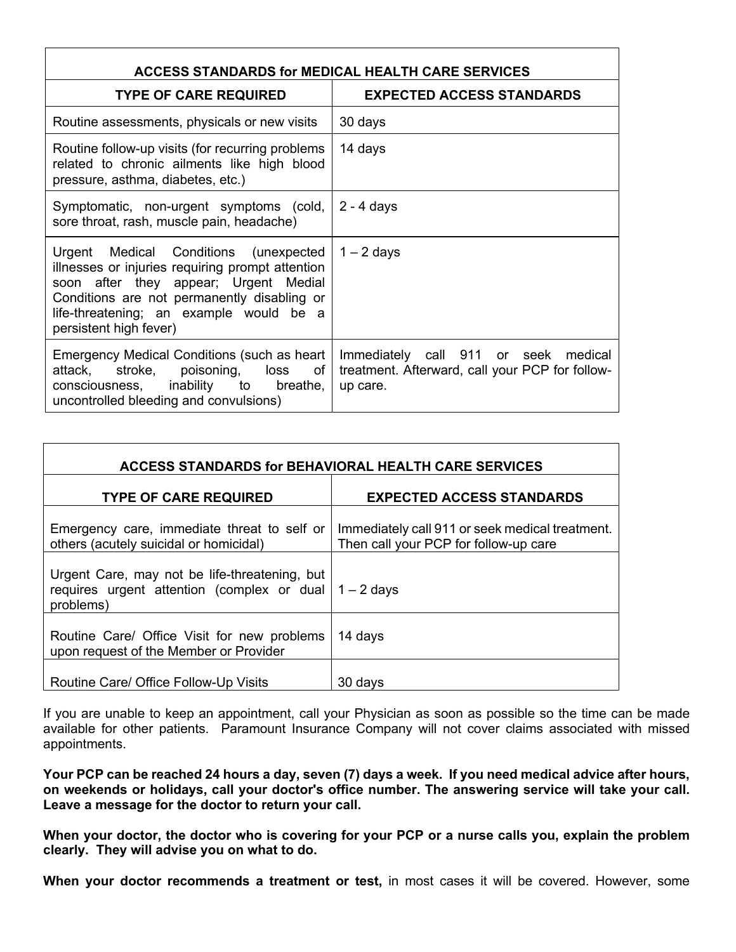| <b>ACCESS STANDARDS for MEDICAL HEALTH CARE SERVICES</b>                                                                                                                                                                                               |                                                                                                        |  |  |
|--------------------------------------------------------------------------------------------------------------------------------------------------------------------------------------------------------------------------------------------------------|--------------------------------------------------------------------------------------------------------|--|--|
| <b>TYPE OF CARE REQUIRED</b>                                                                                                                                                                                                                           | <b>EXPECTED ACCESS STANDARDS</b>                                                                       |  |  |
| Routine assessments, physicals or new visits                                                                                                                                                                                                           | 30 days                                                                                                |  |  |
| Routine follow-up visits (for recurring problems<br>related to chronic ailments like high blood<br>pressure, asthma, diabetes, etc.)                                                                                                                   | 14 days                                                                                                |  |  |
| Symptomatic, non-urgent symptoms (cold,<br>sore throat, rash, muscle pain, headache)                                                                                                                                                                   | $2 - 4$ days                                                                                           |  |  |
| Urgent Medical Conditions (unexpected<br>illnesses or injuries requiring prompt attention<br>soon after they appear; Urgent Medial<br>Conditions are not permanently disabling or<br>life-threatening; an example would be a<br>persistent high fever) | $1 - 2$ days                                                                                           |  |  |
| Emergency Medical Conditions (such as heart<br>attack, stroke, poisoning, loss<br>of<br>consciousness, inability to<br>breathe,<br>uncontrolled bleeding and convulsions)                                                                              | Immediately call 911 or seek<br>medical<br>treatment. Afterward, call your PCP for follow-<br>up care. |  |  |

| <b>ACCESS STANDARDS for BEHAVIORAL HEALTH CARE SERVICES</b>                                                           |                                                                                          |  |
|-----------------------------------------------------------------------------------------------------------------------|------------------------------------------------------------------------------------------|--|
| <b>TYPE OF CARE REQUIRED</b>                                                                                          | <b>EXPECTED ACCESS STANDARDS</b>                                                         |  |
| Emergency care, immediate threat to self or<br>others (acutely suicidal or homicidal)                                 | Immediately call 911 or seek medical treatment.<br>Then call your PCP for follow-up care |  |
| Urgent Care, may not be life-threatening, but<br>requires urgent attention (complex or dual $1 - 2$ days<br>problems) |                                                                                          |  |
| Routine Care/ Office Visit for new problems<br>upon request of the Member or Provider                                 | 14 days                                                                                  |  |
| Routine Care/ Office Follow-Up Visits                                                                                 | 30 days                                                                                  |  |

If you are unable to keep an appointment, call your Physician as soon as possible so the time can be made available for other patients. Paramount Insurance Company will not cover claims associated with missed appointments.

**Your PCP can be reached 24 hours a day, seven (7) days a week. If you need medical advice after hours, on weekends or holidays, call your doctor's office number. The answering service will take your call. Leave a message for the doctor to return your call.**

**When your doctor, the doctor who is covering for your PCP or a nurse calls you, explain the problem clearly. They will advise you on what to do.**

**When your doctor recommends a treatment or test,** in most cases it will be covered. However, some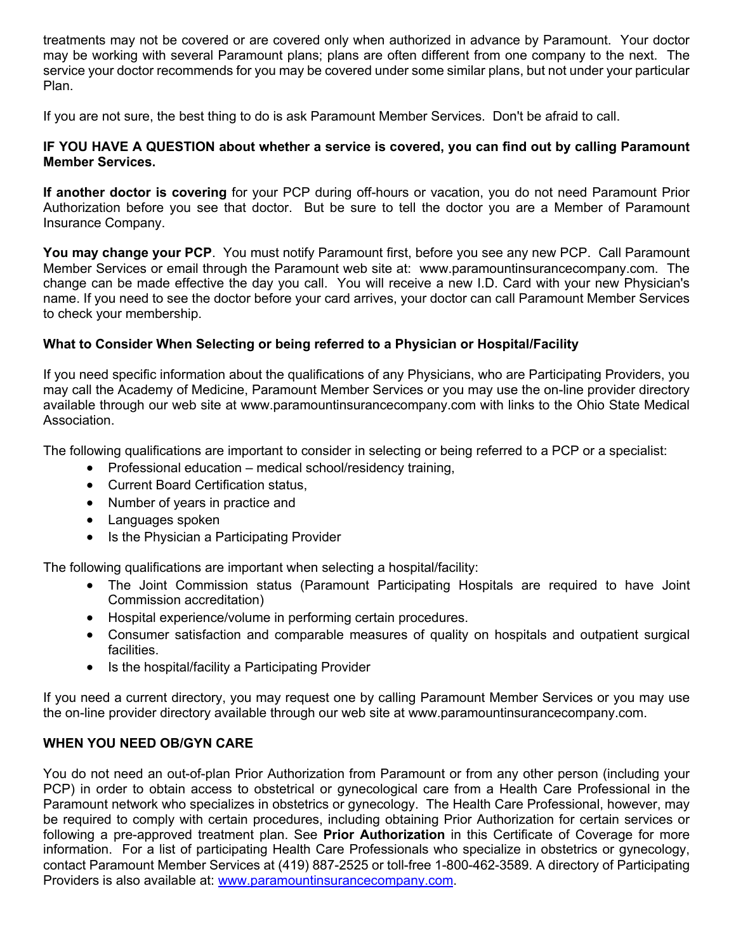treatments may not be covered or are covered only when authorized in advance by Paramount. Your doctor may be working with several Paramount plans; plans are often different from one company to the next. The service your doctor recommends for you may be covered under some similar plans, but not under your particular Plan.

If you are not sure, the best thing to do is ask Paramount Member Services. Don't be afraid to call.

### **IF YOU HAVE A QUESTION about whether a service is covered, you can find out by calling Paramount Member Services.**

**If another doctor is covering** for your PCP during off-hours or vacation, you do not need Paramount Prior Authorization before you see that doctor. But be sure to tell the doctor you are a Member of Paramount Insurance Company.

**You may change your PCP**. You must notify Paramount first, before you see any new PCP. Call Paramount Member Services or email through the Paramount web site at: www.paramountinsurancecompany.com. The change can be made effective the day you call. You will receive a new I.D. Card with your new Physician's name. If you need to see the doctor before your card arrives, your doctor can call Paramount Member Services to check your membership.

## **What to Consider When Selecting or being referred to a Physician or Hospital/Facility**

If you need specific information about the qualifications of any Physicians, who are Participating Providers, you may call the Academy of Medicine, Paramount Member Services or you may use the on-line provider directory available through our web site at www.paramountinsurancecompany.com with links to the Ohio State Medical **Association** 

The following qualifications are important to consider in selecting or being referred to a PCP or a specialist:

- Professional education medical school/residency training,
- Current Board Certification status,
- Number of years in practice and
- Languages spoken
- Is the Physician a Participating Provider

The following qualifications are important when selecting a hospital/facility:

- The Joint Commission status (Paramount Participating Hospitals are required to have Joint Commission accreditation)
- Hospital experience/volume in performing certain procedures.
- Consumer satisfaction and comparable measures of quality on hospitals and outpatient surgical facilities.
- Is the hospital/facility a Participating Provider

If you need a current directory, you may request one by calling Paramount Member Services or you may use the on-line provider directory available through our web site at www.paramountinsurancecompany.com.

## **WHEN YOU NEED OB/GYN CARE**

You do not need an out-of-plan Prior Authorization from Paramount or from any other person (including your PCP) in order to obtain access to obstetrical or gynecological care from a Health Care Professional in the Paramount network who specializes in obstetrics or gynecology. The Health Care Professional, however, may be required to comply with certain procedures, including obtaining Prior Authorization for certain services or following a pre-approved treatment plan. See **Prior Authorization** in this Certificate of Coverage for more information. For a list of participating Health Care Professionals who specialize in obstetrics or gynecology, contact Paramount Member Services at (419) 887-2525 or toll-free 1-800-462-3589. A directory of Participating Providers is also available at: www.paramountinsurancecompany.com.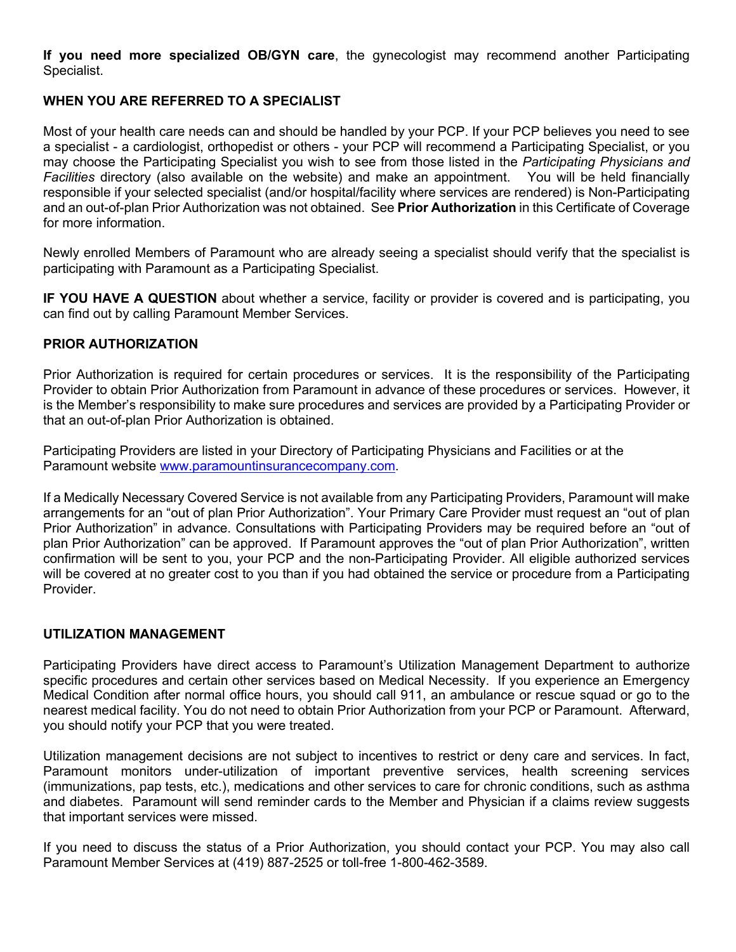**If you need more specialized OB/GYN care**, the gynecologist may recommend another Participating Specialist.

# **WHEN YOU ARE REFERRED TO A SPECIALIST**

Most of your health care needs can and should be handled by your PCP. If your PCP believes you need to see a specialist - a cardiologist, orthopedist or others - your PCP will recommend a Participating Specialist, or you may choose the Participating Specialist you wish to see from those listed in the *Participating Physicians and Facilities* directory (also available on the website) and make an appointment. You will be held financially responsible if your selected specialist (and/or hospital/facility where services are rendered) is Non-Participating and an out-of-plan Prior Authorization was not obtained. See **Prior Authorization** in this Certificate of Coverage for more information.

Newly enrolled Members of Paramount who are already seeing a specialist should verify that the specialist is participating with Paramount as a Participating Specialist.

**IF YOU HAVE A QUESTION** about whether a service, facility or provider is covered and is participating, you can find out by calling Paramount Member Services.

#### **PRIOR AUTHORIZATION**

Prior Authorization is required for certain procedures or services. It is the responsibility of the Participating Provider to obtain Prior Authorization from Paramount in advance of these procedures or services. However, it is the Member's responsibility to make sure procedures and services are provided by a Participating Provider or that an out-of-plan Prior Authorization is obtained.

Participating Providers are listed in your Directory of Participating Physicians and Facilities or at the Paramount website www.paramountinsurancecompany.com.

If a Medically Necessary Covered Service is not available from any Participating Providers, Paramount will make arrangements for an "out of plan Prior Authorization". Your Primary Care Provider must request an "out of plan Prior Authorization" in advance. Consultations with Participating Providers may be required before an "out of plan Prior Authorization" can be approved. If Paramount approves the "out of plan Prior Authorization", written confirmation will be sent to you, your PCP and the non-Participating Provider. All eligible authorized services will be covered at no greater cost to you than if you had obtained the service or procedure from a Participating Provider.

## **UTILIZATION MANAGEMENT**

Participating Providers have direct access to Paramount's Utilization Management Department to authorize specific procedures and certain other services based on Medical Necessity. If you experience an Emergency Medical Condition after normal office hours, you should call 911, an ambulance or rescue squad or go to the nearest medical facility. You do not need to obtain Prior Authorization from your PCP or Paramount. Afterward, you should notify your PCP that you were treated.

Utilization management decisions are not subject to incentives to restrict or deny care and services. In fact, Paramount monitors under-utilization of important preventive services, health screening services (immunizations, pap tests, etc.), medications and other services to care for chronic conditions, such as asthma and diabetes. Paramount will send reminder cards to the Member and Physician if a claims review suggests that important services were missed.

If you need to discuss the status of a Prior Authorization, you should contact your PCP. You may also call Paramount Member Services at (419) 887-2525 or toll-free 1-800-462-3589.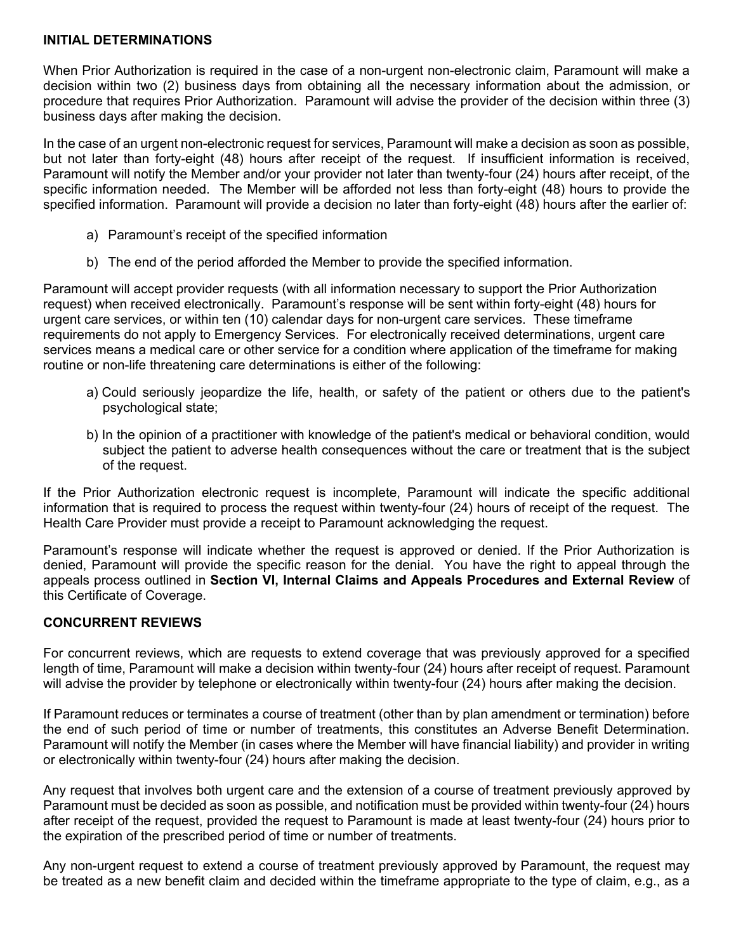#### **INITIAL DETERMINATIONS**

When Prior Authorization is required in the case of a non-urgent non-electronic claim, Paramount will make a decision within two (2) business days from obtaining all the necessary information about the admission, or procedure that requires Prior Authorization. Paramount will advise the provider of the decision within three (3) business days after making the decision.

In the case of an urgent non-electronic request for services, Paramount will make a decision as soon as possible, but not later than forty-eight (48) hours after receipt of the request. If insufficient information is received, Paramount will notify the Member and/or your provider not later than twenty-four (24) hours after receipt, of the specific information needed. The Member will be afforded not less than forty-eight (48) hours to provide the specified information. Paramount will provide a decision no later than forty-eight (48) hours after the earlier of:

- a) Paramount's receipt of the specified information
- b) The end of the period afforded the Member to provide the specified information.

Paramount will accept provider requests (with all information necessary to support the Prior Authorization request) when received electronically. Paramount's response will be sent within forty-eight (48) hours for urgent care services, or within ten (10) calendar days for non-urgent care services. These timeframe requirements do not apply to Emergency Services. For electronically received determinations, urgent care services means a medical care or other service for a condition where application of the timeframe for making routine or non-life threatening care determinations is either of the following:

- a) Could seriously jeopardize the life, health, or safety of the patient or others due to the patient's psychological state;
- b) In the opinion of a practitioner with knowledge of the patient's medical or behavioral condition, would subject the patient to adverse health consequences without the care or treatment that is the subject of the request.

If the Prior Authorization electronic request is incomplete, Paramount will indicate the specific additional information that is required to process the request within twenty-four (24) hours of receipt of the request. The Health Care Provider must provide a receipt to Paramount acknowledging the request.

Paramount's response will indicate whether the request is approved or denied. If the Prior Authorization is denied, Paramount will provide the specific reason for the denial. You have the right to appeal through the appeals process outlined in **Section VI, Internal Claims and Appeals Procedures and External Review** of this Certificate of Coverage.

## **CONCURRENT REVIEWS**

For concurrent reviews, which are requests to extend coverage that was previously approved for a specified length of time, Paramount will make a decision within twenty-four (24) hours after receipt of request. Paramount will advise the provider by telephone or electronically within twenty-four (24) hours after making the decision.

If Paramount reduces or terminates a course of treatment (other than by plan amendment or termination) before the end of such period of time or number of treatments, this constitutes an Adverse Benefit Determination. Paramount will notify the Member (in cases where the Member will have financial liability) and provider in writing or electronically within twenty-four (24) hours after making the decision.

Any request that involves both urgent care and the extension of a course of treatment previously approved by Paramount must be decided as soon as possible, and notification must be provided within twenty-four (24) hours after receipt of the request, provided the request to Paramount is made at least twenty-four (24) hours prior to the expiration of the prescribed period of time or number of treatments.

Any non-urgent request to extend a course of treatment previously approved by Paramount, the request may be treated as a new benefit claim and decided within the timeframe appropriate to the type of claim, e.g., as a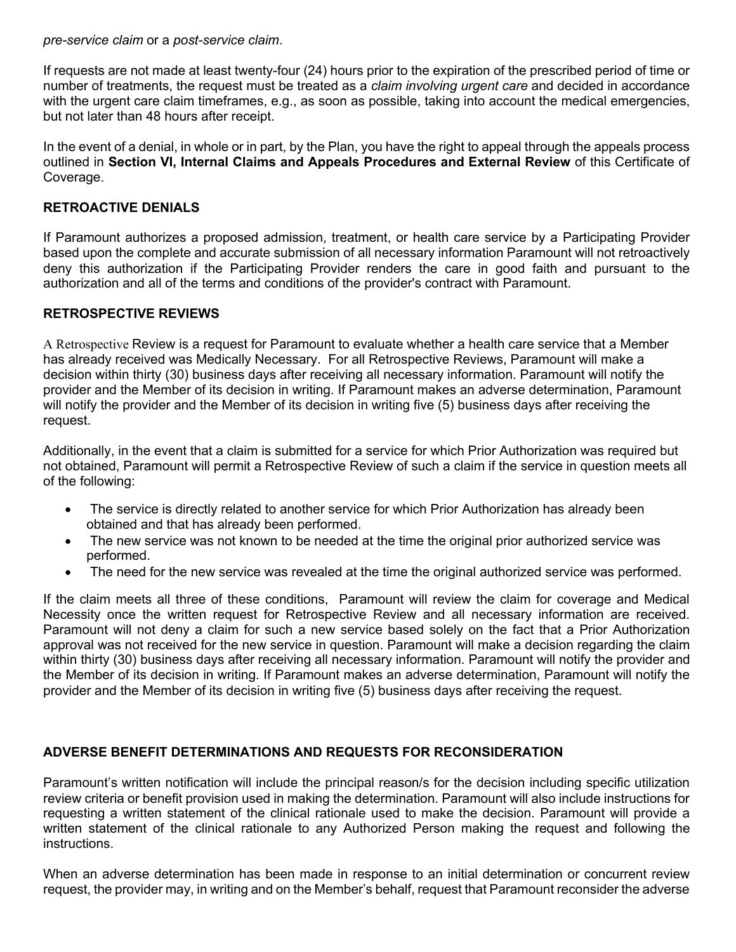*pre-service claim* or a *post-service claim*.

If requests are not made at least twenty-four (24) hours prior to the expiration of the prescribed period of time or number of treatments, the request must be treated as a *claim involving urgent care* and decided in accordance with the urgent care claim timeframes, e.g., as soon as possible, taking into account the medical emergencies, but not later than 48 hours after receipt.

In the event of a denial, in whole or in part, by the Plan, you have the right to appeal through the appeals process outlined in **Section VI, Internal Claims and Appeals Procedures and External Review** of this Certificate of Coverage.

## **RETROACTIVE DENIALS**

If Paramount authorizes a proposed admission, treatment, or health care service by a Participating Provider based upon the complete and accurate submission of all necessary information Paramount will not retroactively deny this authorization if the Participating Provider renders the care in good faith and pursuant to the authorization and all of the terms and conditions of the provider's contract with Paramount.

#### **RETROSPECTIVE REVIEWS**

A Retrospective Review is a request for Paramount to evaluate whether a health care service that a Member has already received was Medically Necessary. For all Retrospective Reviews, Paramount will make a decision within thirty (30) business days after receiving all necessary information. Paramount will notify the provider and the Member of its decision in writing. If Paramount makes an adverse determination, Paramount will notify the provider and the Member of its decision in writing five (5) business days after receiving the request.

Additionally, in the event that a claim is submitted for a service for which Prior Authorization was required but not obtained, Paramount will permit a Retrospective Review of such a claim if the service in question meets all of the following:

- The service is directly related to another service for which Prior Authorization has already been obtained and that has already been performed.
- The new service was not known to be needed at the time the original prior authorized service was performed.
- The need for the new service was revealed at the time the original authorized service was performed.

If the claim meets all three of these conditions, Paramount will review the claim for coverage and Medical Necessity once the written request for Retrospective Review and all necessary information are received. Paramount will not deny a claim for such a new service based solely on the fact that a Prior Authorization approval was not received for the new service in question. Paramount will make a decision regarding the claim within thirty (30) business days after receiving all necessary information. Paramount will notify the provider and the Member of its decision in writing. If Paramount makes an adverse determination, Paramount will notify the provider and the Member of its decision in writing five (5) business days after receiving the request.

## **ADVERSE BENEFIT DETERMINATIONS AND REQUESTS FOR RECONSIDERATION**

Paramount's written notification will include the principal reason/s for the decision including specific utilization review criteria or benefit provision used in making the determination. Paramount will also include instructions for requesting a written statement of the clinical rationale used to make the decision. Paramount will provide a written statement of the clinical rationale to any Authorized Person making the request and following the instructions.

When an adverse determination has been made in response to an initial determination or concurrent review request, the provider may, in writing and on the Member's behalf, request that Paramount reconsider the adverse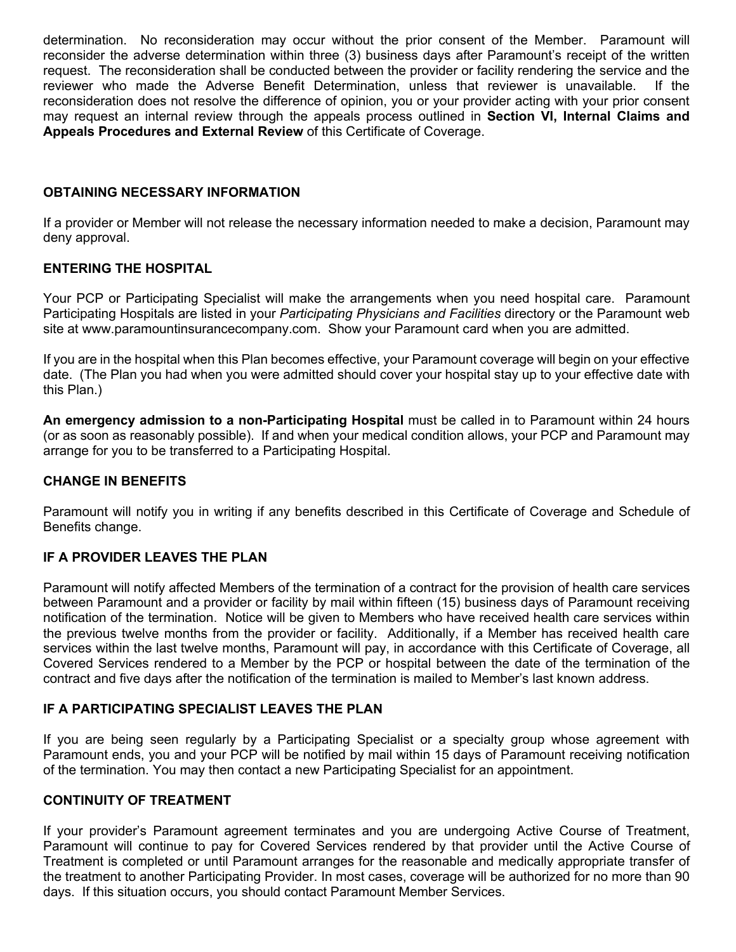determination. No reconsideration may occur without the prior consent of the Member. Paramount will reconsider the adverse determination within three (3) business days after Paramount's receipt of the written request. The reconsideration shall be conducted between the provider or facility rendering the service and the reviewer who made the Adverse Benefit Determination, unless that reviewer is unavailable. If the reconsideration does not resolve the difference of opinion, you or your provider acting with your prior consent may request an internal review through the appeals process outlined in **Section VI, Internal Claims and Appeals Procedures and External Review** of this Certificate of Coverage.

## **OBTAINING NECESSARY INFORMATION**

If a provider or Member will not release the necessary information needed to make a decision, Paramount may deny approval.

#### **ENTERING THE HOSPITAL**

Your PCP or Participating Specialist will make the arrangements when you need hospital care. Paramount Participating Hospitals are listed in your *Participating Physicians and Facilities* directory or the Paramount web site at www.paramountinsurancecompany.com. Show your Paramount card when you are admitted.

If you are in the hospital when this Plan becomes effective, your Paramount coverage will begin on your effective date. (The Plan you had when you were admitted should cover your hospital stay up to your effective date with this Plan.)

**An emergency admission to a non-Participating Hospital** must be called in to Paramount within 24 hours (or as soon as reasonably possible). If and when your medical condition allows, your PCP and Paramount may arrange for you to be transferred to a Participating Hospital.

#### **CHANGE IN BENEFITS**

Paramount will notify you in writing if any benefits described in this Certificate of Coverage and Schedule of Benefits change.

#### **IF A PROVIDER LEAVES THE PLAN**

Paramount will notify affected Members of the termination of a contract for the provision of health care services between Paramount and a provider or facility by mail within fifteen (15) business days of Paramount receiving notification of the termination. Notice will be given to Members who have received health care services within the previous twelve months from the provider or facility. Additionally, if a Member has received health care services within the last twelve months, Paramount will pay, in accordance with this Certificate of Coverage, all Covered Services rendered to a Member by the PCP or hospital between the date of the termination of the contract and five days after the notification of the termination is mailed to Member's last known address.

## **IF A PARTICIPATING SPECIALIST LEAVES THE PLAN**

If you are being seen regularly by a Participating Specialist or a specialty group whose agreement with Paramount ends, you and your PCP will be notified by mail within 15 days of Paramount receiving notification of the termination. You may then contact a new Participating Specialist for an appointment.

#### **CONTINUITY OF TREATMENT**

If your provider's Paramount agreement terminates and you are undergoing Active Course of Treatment, Paramount will continue to pay for Covered Services rendered by that provider until the Active Course of Treatment is completed or until Paramount arranges for the reasonable and medically appropriate transfer of the treatment to another Participating Provider. In most cases, coverage will be authorized for no more than 90 days. If this situation occurs, you should contact Paramount Member Services.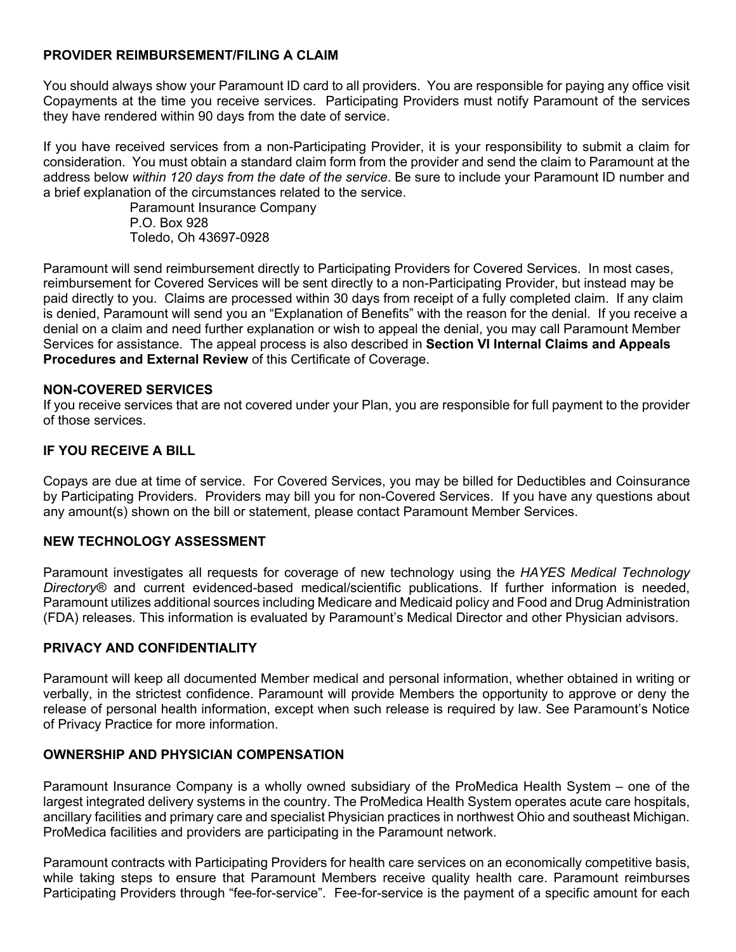## **PROVIDER REIMBURSEMENT/FILING A CLAIM**

You should always show your Paramount ID card to all providers. You are responsible for paying any office visit Copayments at the time you receive services. Participating Providers must notify Paramount of the services they have rendered within 90 days from the date of service.

If you have received services from a non-Participating Provider, it is your responsibility to submit a claim for consideration. You must obtain a standard claim form from the provider and send the claim to Paramount at the address below *within 120 days from the date of the service*. Be sure to include your Paramount ID number and a brief explanation of the circumstances related to the service.

Paramount Insurance Company P.O. Box 928 Toledo, Oh 43697-0928

Paramount will send reimbursement directly to Participating Providers for Covered Services. In most cases, reimbursement for Covered Services will be sent directly to a non-Participating Provider, but instead may be paid directly to you. Claims are processed within 30 days from receipt of a fully completed claim. If any claim is denied, Paramount will send you an "Explanation of Benefits" with the reason for the denial. If you receive a denial on a claim and need further explanation or wish to appeal the denial, you may call Paramount Member Services for assistance. The appeal process is also described in **Section VI Internal Claims and Appeals Procedures and External Review** of this Certificate of Coverage.

## **NON-COVERED SERVICES**

If you receive services that are not covered under your Plan, you are responsible for full payment to the provider of those services.

# **IF YOU RECEIVE A BILL**

Copays are due at time of service. For Covered Services, you may be billed for Deductibles and Coinsurance by Participating Providers. Providers may bill you for non-Covered Services. If you have any questions about any amount(s) shown on the bill or statement, please contact Paramount Member Services.

## **NEW TECHNOLOGY ASSESSMENT**

Paramount investigates all requests for coverage of new technology using the *HAYES Medical Technology Directory®* and current evidenced-based medical/scientific publications. If further information is needed, Paramount utilizes additional sources including Medicare and Medicaid policy and Food and Drug Administration (FDA) releases. This information is evaluated by Paramount's Medical Director and other Physician advisors.

## **PRIVACY AND CONFIDENTIALITY**

Paramount will keep all documented Member medical and personal information, whether obtained in writing or verbally, in the strictest confidence. Paramount will provide Members the opportunity to approve or deny the release of personal health information, except when such release is required by law. See Paramount's Notice of Privacy Practice for more information.

## **OWNERSHIP AND PHYSICIAN COMPENSATION**

Paramount Insurance Company is a wholly owned subsidiary of the ProMedica Health System – one of the largest integrated delivery systems in the country. The ProMedica Health System operates acute care hospitals, ancillary facilities and primary care and specialist Physician practices in northwest Ohio and southeast Michigan. ProMedica facilities and providers are participating in the Paramount network.

Paramount contracts with Participating Providers for health care services on an economically competitive basis, while taking steps to ensure that Paramount Members receive quality health care. Paramount reimburses Participating Providers through "fee-for-service". Fee-for-service is the payment of a specific amount for each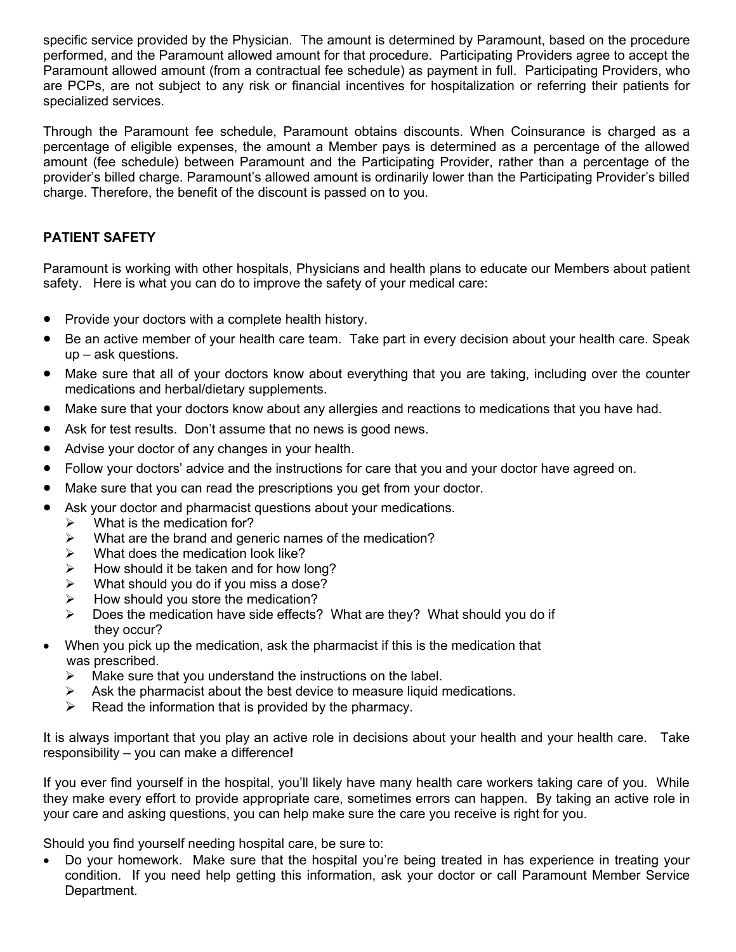specific service provided by the Physician. The amount is determined by Paramount, based on the procedure performed, and the Paramount allowed amount for that procedure. Participating Providers agree to accept the Paramount allowed amount (from a contractual fee schedule) as payment in full. Participating Providers, who are PCPs, are not subject to any risk or financial incentives for hospitalization or referring their patients for specialized services.

Through the Paramount fee schedule, Paramount obtains discounts. When Coinsurance is charged as a percentage of eligible expenses, the amount a Member pays is determined as a percentage of the allowed amount (fee schedule) between Paramount and the Participating Provider, rather than a percentage of the provider's billed charge. Paramount's allowed amount is ordinarily lower than the Participating Provider's billed charge. Therefore, the benefit of the discount is passed on to you.

# **PATIENT SAFETY**

Paramount is working with other hospitals, Physicians and health plans to educate our Members about patient safety. Here is what you can do to improve the safety of your medical care:

- Provide your doctors with a complete health history.
- Be an active member of your health care team. Take part in every decision about your health care. Speak up – ask questions.
- Make sure that all of your doctors know about everything that you are taking, including over the counter medications and herbal/dietary supplements.
- Make sure that your doctors know about any allergies and reactions to medications that you have had.
- Ask for test results. Don't assume that no news is good news.
- Advise your doctor of any changes in your health.
- Follow your doctors' advice and the instructions for care that you and your doctor have agreed on.
- Make sure that you can read the prescriptions you get from your doctor.
- Ask your doctor and pharmacist questions about your medications.
	- $\triangleright$  What is the medication for?
	- $\triangleright$  What are the brand and generic names of the medication?
	- $\triangleright$  What does the medication look like?
	- $\triangleright$  How should it be taken and for how long?
	- $\triangleright$  What should you do if you miss a dose?
	- $\triangleright$  How should you store the medication?
	- $\triangleright$  Does the medication have side effects? What are they? What should you do if they occur?
- When you pick up the medication, ask the pharmacist if this is the medication that was prescribed.
	- $\triangleright$  Make sure that you understand the instructions on the label.
	- $\triangleright$  Ask the pharmacist about the best device to measure liquid medications.
	- $\triangleright$  Read the information that is provided by the pharmacy.

It is always important that you play an active role in decisions about your health and your health care. Take responsibility – you can make a difference**!**

If you ever find yourself in the hospital, you'll likely have many health care workers taking care of you. While they make every effort to provide appropriate care, sometimes errors can happen. By taking an active role in your care and asking questions, you can help make sure the care you receive is right for you.

Should you find yourself needing hospital care, be sure to:

• Do your homework. Make sure that the hospital you're being treated in has experience in treating your condition. If you need help getting this information, ask your doctor or call Paramount Member Service Department.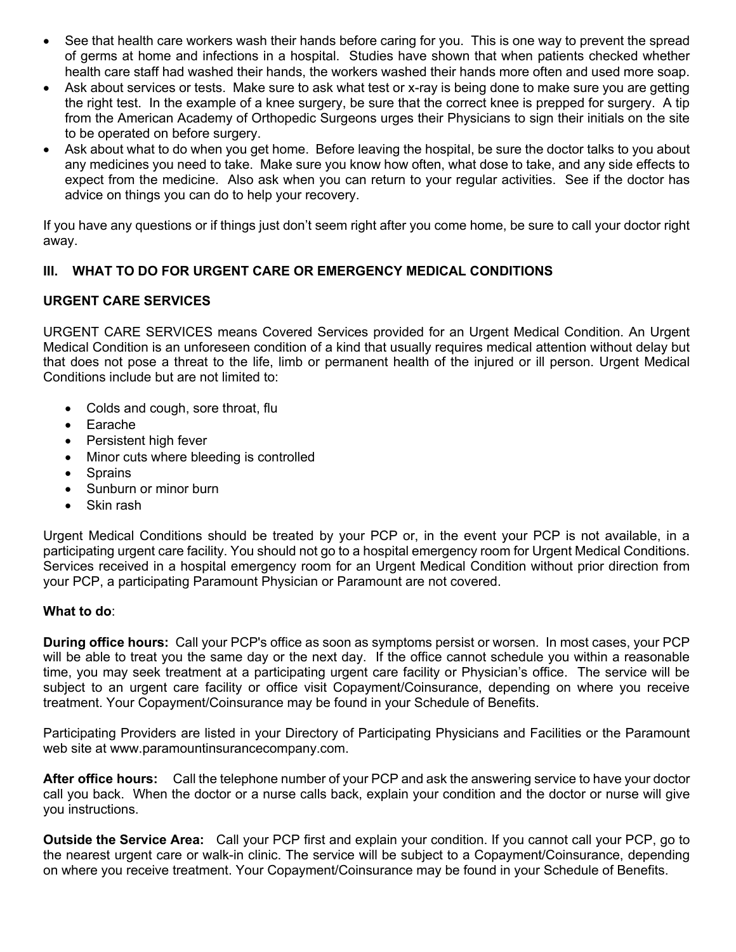- See that health care workers wash their hands before caring for you.This is one way to prevent the spread of germs at home and infections in a hospital. Studies have shown that when patients checked whether health care staff had washed their hands, the workers washed their hands more often and used more soap.
- Ask about services or tests.Make sure to ask what test or x-ray is being done to make sure you are getting the right test. In the example of a knee surgery, be sure that the correct knee is prepped for surgery. A tip from the American Academy of Orthopedic Surgeons urges their Physicians to sign their initials on the site to be operated on before surgery.
- Ask about what to do when you get home.Before leaving the hospital, be sure the doctor talks to you about any medicines you need to take. Make sure you know how often, what dose to take, and any side effects to expect from the medicine. Also ask when you can return to your regular activities. See if the doctor has advice on things you can do to help your recovery.

If you have any questions or if things just don't seem right after you come home, be sure to call your doctor right away.

# **III. WHAT TO DO FOR URGENT CARE OR EMERGENCY MEDICAL CONDITIONS**

# **URGENT CARE SERVICES**

URGENT CARE SERVICES means Covered Services provided for an Urgent Medical Condition. An Urgent Medical Condition is an unforeseen condition of a kind that usually requires medical attention without delay but that does not pose a threat to the life, limb or permanent health of the injured or ill person. Urgent Medical Conditions include but are not limited to:

- Colds and cough, sore throat, flu
- **Earache**
- Persistent high fever
- Minor cuts where bleeding is controlled
- **Sprains**
- Sunburn or minor burn
- Skin rash

Urgent Medical Conditions should be treated by your PCP or, in the event your PCP is not available, in a participating urgent care facility. You should not go to a hospital emergency room for Urgent Medical Conditions. Services received in a hospital emergency room for an Urgent Medical Condition without prior direction from your PCP, a participating Paramount Physician or Paramount are not covered.

## **What to do**:

**During office hours:** Call your PCP's office as soon as symptoms persist or worsen. In most cases, your PCP will be able to treat you the same day or the next day. If the office cannot schedule you within a reasonable time, you may seek treatment at a participating urgent care facility or Physician's office. The service will be subject to an urgent care facility or office visit Copayment/Coinsurance, depending on where you receive treatment. Your Copayment/Coinsurance may be found in your Schedule of Benefits.

Participating Providers are listed in your Directory of Participating Physicians and Facilities or the Paramount web site at www.paramountinsurancecompany.com.

**After office hours:** Call the telephone number of your PCP and ask the answering service to have your doctor call you back. When the doctor or a nurse calls back, explain your condition and the doctor or nurse will give you instructions.

**Outside the Service Area:** Call your PCP first and explain your condition. If you cannot call your PCP, go to the nearest urgent care or walk-in clinic. The service will be subject to a Copayment/Coinsurance, depending on where you receive treatment. Your Copayment/Coinsurance may be found in your Schedule of Benefits.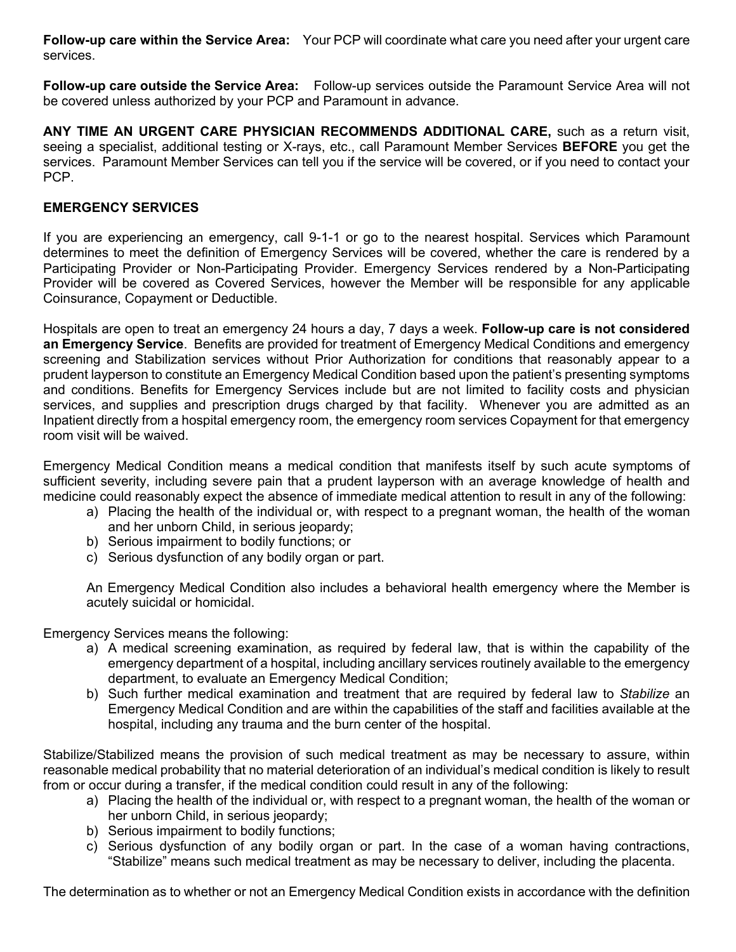**Follow-up care within the Service Area:** Your PCP will coordinate what care you need after your urgent care services.

**Follow-up care outside the Service Area:** Follow-up services outside the Paramount Service Area will not be covered unless authorized by your PCP and Paramount in advance.

**ANY TIME AN URGENT CARE PHYSICIAN RECOMMENDS ADDITIONAL CARE,** such as a return visit, seeing a specialist, additional testing or X-rays, etc., call Paramount Member Services **BEFORE** you get the services. Paramount Member Services can tell you if the service will be covered, or if you need to contact your PCP.

# **EMERGENCY SERVICES**

If you are experiencing an emergency, call 9-1-1 or go to the nearest hospital. Services which Paramount determines to meet the definition of Emergency Services will be covered, whether the care is rendered by a Participating Provider or Non-Participating Provider. Emergency Services rendered by a Non-Participating Provider will be covered as Covered Services, however the Member will be responsible for any applicable Coinsurance, Copayment or Deductible.

Hospitals are open to treat an emergency 24 hours a day, 7 days a week. **Follow-up care is not considered an Emergency Service**. Benefits are provided for treatment of Emergency Medical Conditions and emergency screening and Stabilization services without Prior Authorization for conditions that reasonably appear to a prudent layperson to constitute an Emergency Medical Condition based upon the patient's presenting symptoms and conditions. Benefits for Emergency Services include but are not limited to facility costs and physician services, and supplies and prescription drugs charged by that facility. Whenever you are admitted as an Inpatient directly from a hospital emergency room, the emergency room services Copayment for that emergency room visit will be waived.

Emergency Medical Condition means a medical condition that manifests itself by such acute symptoms of sufficient severity, including severe pain that a prudent layperson with an average knowledge of health and medicine could reasonably expect the absence of immediate medical attention to result in any of the following:

- a) Placing the health of the individual or, with respect to a pregnant woman, the health of the woman and her unborn Child, in serious jeopardy;
- b) Serious impairment to bodily functions; or
- c) Serious dysfunction of any bodily organ or part.

An Emergency Medical Condition also includes a behavioral health emergency where the Member is acutely suicidal or homicidal.

Emergency Services means the following:

- a) A medical screening examination, as required by federal law, that is within the capability of the emergency department of a hospital, including ancillary services routinely available to the emergency department, to evaluate an Emergency Medical Condition;
- b) Such further medical examination and treatment that are required by federal law to *Stabilize* an Emergency Medical Condition and are within the capabilities of the staff and facilities available at the hospital, including any trauma and the burn center of the hospital.

Stabilize/Stabilized means the provision of such medical treatment as may be necessary to assure, within reasonable medical probability that no material deterioration of an individual's medical condition is likely to result from or occur during a transfer, if the medical condition could result in any of the following:

- a) Placing the health of the individual or, with respect to a pregnant woman, the health of the woman or her unborn Child, in serious jeopardy;
- b) Serious impairment to bodily functions;
- c) Serious dysfunction of any bodily organ or part. In the case of a woman having contractions, "Stabilize" means such medical treatment as may be necessary to deliver, including the placenta.

The determination as to whether or not an Emergency Medical Condition exists in accordance with the definition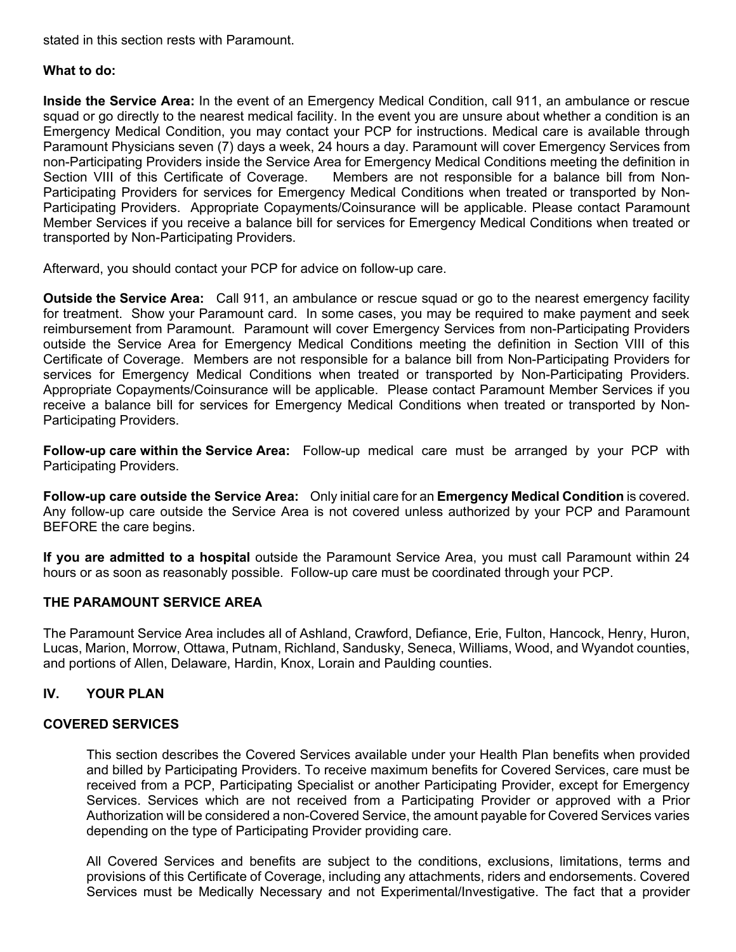stated in this section rests with Paramount.

#### **What to do:**

**Inside the Service Area:** In the event of an Emergency Medical Condition, call 911, an ambulance or rescue squad or go directly to the nearest medical facility. In the event you are unsure about whether a condition is an Emergency Medical Condition, you may contact your PCP for instructions. Medical care is available through Paramount Physicians seven (7) days a week, 24 hours a day. Paramount will cover Emergency Services from non-Participating Providers inside the Service Area for Emergency Medical Conditions meeting the definition in Section VIII of this Certificate of Coverage. Members are not responsible for a balance bill from Non-Participating Providers for services for Emergency Medical Conditions when treated or transported by Non-Participating Providers. Appropriate Copayments/Coinsurance will be applicable. Please contact Paramount Member Services if you receive a balance bill for services for Emergency Medical Conditions when treated or transported by Non-Participating Providers.

Afterward, you should contact your PCP for advice on follow-up care.

**Outside the Service Area:** Call 911, an ambulance or rescue squad or go to the nearest emergency facility for treatment. Show your Paramount card. In some cases, you may be required to make payment and seek reimbursement from Paramount. Paramount will cover Emergency Services from non-Participating Providers outside the Service Area for Emergency Medical Conditions meeting the definition in Section VIII of this Certificate of Coverage. Members are not responsible for a balance bill from Non-Participating Providers for services for Emergency Medical Conditions when treated or transported by Non-Participating Providers. Appropriate Copayments/Coinsurance will be applicable. Please contact Paramount Member Services if you receive a balance bill for services for Emergency Medical Conditions when treated or transported by Non-Participating Providers.

**Follow-up care within the Service Area:** Follow-up medical care must be arranged by your PCP with Participating Providers.

**Follow-up care outside the Service Area:** Only initial care for an **Emergency Medical Condition** is covered. Any follow-up care outside the Service Area is not covered unless authorized by your PCP and Paramount BEFORE the care begins.

**If you are admitted to a hospital** outside the Paramount Service Area, you must call Paramount within 24 hours or as soon as reasonably possible. Follow-up care must be coordinated through your PCP.

## **THE PARAMOUNT SERVICE AREA**

The Paramount Service Area includes all of Ashland, Crawford, Defiance, Erie, Fulton, Hancock, Henry, Huron, Lucas, Marion, Morrow, Ottawa, Putnam, Richland, Sandusky, Seneca, Williams, Wood, and Wyandot counties, and portions of Allen, Delaware, Hardin, Knox, Lorain and Paulding counties.

## **IV. YOUR PLAN**

#### **COVERED SERVICES**

This section describes the Covered Services available under your Health Plan benefits when provided and billed by Participating Providers. To receive maximum benefits for Covered Services, care must be received from a PCP, Participating Specialist or another Participating Provider, except for Emergency Services. Services which are not received from a Participating Provider or approved with a Prior Authorization will be considered a non-Covered Service, the amount payable for Covered Services varies depending on the type of Participating Provider providing care.

All Covered Services and benefits are subject to the conditions, exclusions, limitations, terms and provisions of this Certificate of Coverage, including any attachments, riders and endorsements. Covered Services must be Medically Necessary and not Experimental/Investigative. The fact that a provider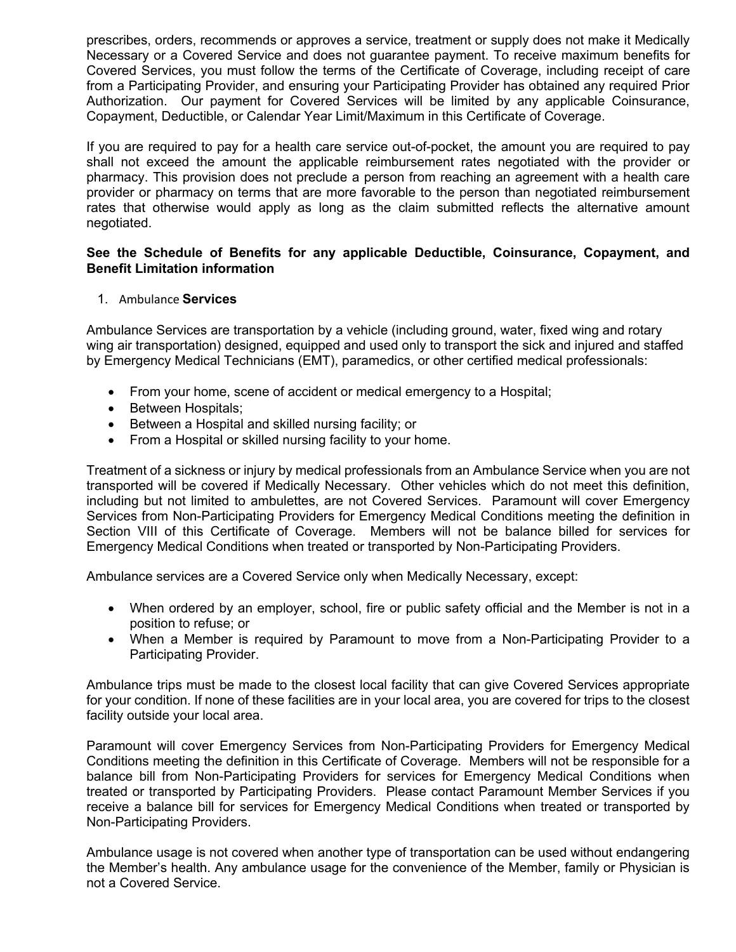prescribes, orders, recommends or approves a service, treatment or supply does not make it Medically Necessary or a Covered Service and does not guarantee payment. To receive maximum benefits for Covered Services, you must follow the terms of the Certificate of Coverage, including receipt of care from a Participating Provider, and ensuring your Participating Provider has obtained any required Prior Authorization. Our payment for Covered Services will be limited by any applicable Coinsurance, Copayment, Deductible, or Calendar Year Limit/Maximum in this Certificate of Coverage.

If you are required to pay for a health care service out-of-pocket, the amount you are required to pay shall not exceed the amount the applicable reimbursement rates negotiated with the provider or pharmacy. This provision does not preclude a person from reaching an agreement with a health care provider or pharmacy on terms that are more favorable to the person than negotiated reimbursement rates that otherwise would apply as long as the claim submitted reflects the alternative amount negotiated.

#### **See the Schedule of Benefits for any applicable Deductible, Coinsurance, Copayment, and Benefit Limitation information**

1. Ambulance **Services**

Ambulance Services are transportation by a vehicle (including ground, water, fixed wing and rotary wing air transportation) designed, equipped and used only to transport the sick and injured and staffed by Emergency Medical Technicians (EMT), paramedics, or other certified medical professionals:

- From your home, scene of accident or medical emergency to a Hospital;
- Between Hospitals;
- Between a Hospital and skilled nursing facility; or
- From a Hospital or skilled nursing facility to your home.

Treatment of a sickness or injury by medical professionals from an Ambulance Service when you are not transported will be covered if Medically Necessary. Other vehicles which do not meet this definition, including but not limited to ambulettes, are not Covered Services. Paramount will cover Emergency Services from Non-Participating Providers for Emergency Medical Conditions meeting the definition in Section VIII of this Certificate of Coverage. Members will not be balance billed for services for Emergency Medical Conditions when treated or transported by Non-Participating Providers.

Ambulance services are a Covered Service only when Medically Necessary, except:

- When ordered by an employer, school, fire or public safety official and the Member is not in a position to refuse; or
- When a Member is required by Paramount to move from a Non-Participating Provider to a Participating Provider.

Ambulance trips must be made to the closest local facility that can give Covered Services appropriate for your condition. If none of these facilities are in your local area, you are covered for trips to the closest facility outside your local area.

Paramount will cover Emergency Services from Non-Participating Providers for Emergency Medical Conditions meeting the definition in this Certificate of Coverage. Members will not be responsible for a balance bill from Non-Participating Providers for services for Emergency Medical Conditions when treated or transported by Participating Providers. Please contact Paramount Member Services if you receive a balance bill for services for Emergency Medical Conditions when treated or transported by Non-Participating Providers.

Ambulance usage is not covered when another type of transportation can be used without endangering the Member's health. Any ambulance usage for the convenience of the Member, family or Physician is not a Covered Service.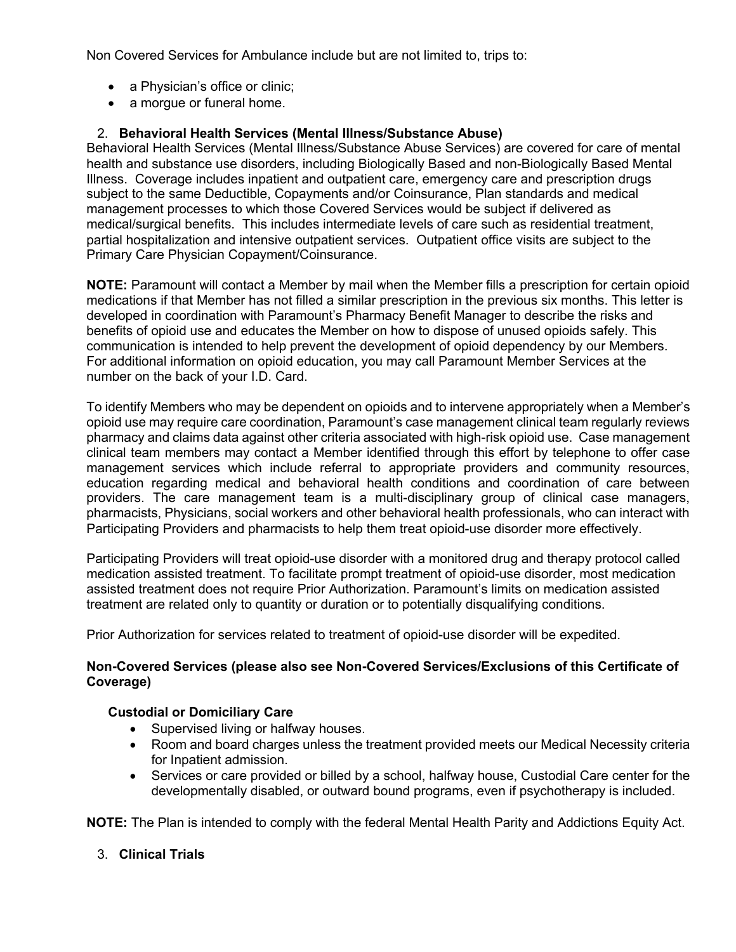Non Covered Services for Ambulance include but are not limited to, trips to:

- a Physician's office or clinic;
- a morgue or funeral home.

# 2. **Behavioral Health Services (Mental Illness/Substance Abuse)**

Behavioral Health Services (Mental Illness/Substance Abuse Services) are covered for care of mental health and substance use disorders, including Biologically Based and non-Biologically Based Mental Illness. Coverage includes inpatient and outpatient care, emergency care and prescription drugs subject to the same Deductible, Copayments and/or Coinsurance, Plan standards and medical management processes to which those Covered Services would be subject if delivered as medical/surgical benefits. This includes intermediate levels of care such as residential treatment, partial hospitalization and intensive outpatient services. Outpatient office visits are subject to the Primary Care Physician Copayment/Coinsurance.

**NOTE:** Paramount will contact a Member by mail when the Member fills a prescription for certain opioid medications if that Member has not filled a similar prescription in the previous six months. This letter is developed in coordination with Paramount's Pharmacy Benefit Manager to describe the risks and benefits of opioid use and educates the Member on how to dispose of unused opioids safely. This communication is intended to help prevent the development of opioid dependency by our Members. For additional information on opioid education, you may call Paramount Member Services at the number on the back of your I.D. Card.

To identify Members who may be dependent on opioids and to intervene appropriately when a Member's opioid use may require care coordination, Paramount's case management clinical team regularly reviews pharmacy and claims data against other criteria associated with high-risk opioid use. Case management clinical team members may contact a Member identified through this effort by telephone to offer case management services which include referral to appropriate providers and community resources, education regarding medical and behavioral health conditions and coordination of care between providers. The care management team is a multi-disciplinary group of clinical case managers, pharmacists, Physicians, social workers and other behavioral health professionals, who can interact with Participating Providers and pharmacists to help them treat opioid-use disorder more effectively.

Participating Providers will treat opioid-use disorder with a monitored drug and therapy protocol called medication assisted treatment. To facilitate prompt treatment of opioid-use disorder, most medication assisted treatment does not require Prior Authorization. Paramount's limits on medication assisted treatment are related only to quantity or duration or to potentially disqualifying conditions.

Prior Authorization for services related to treatment of opioid-use disorder will be expedited.

#### **Non-Covered Services (please also see Non-Covered Services/Exclusions of this Certificate of Coverage)**

## **Custodial or Domiciliary Care**

- Supervised living or halfway houses.
- Room and board charges unless the treatment provided meets our Medical Necessity criteria for Inpatient admission.
- Services or care provided or billed by a school, halfway house, Custodial Care center for the developmentally disabled, or outward bound programs, even if psychotherapy is included.

**NOTE:** The Plan is intended to comply with the federal Mental Health Parity and Addictions Equity Act.

3. **Clinical Trials**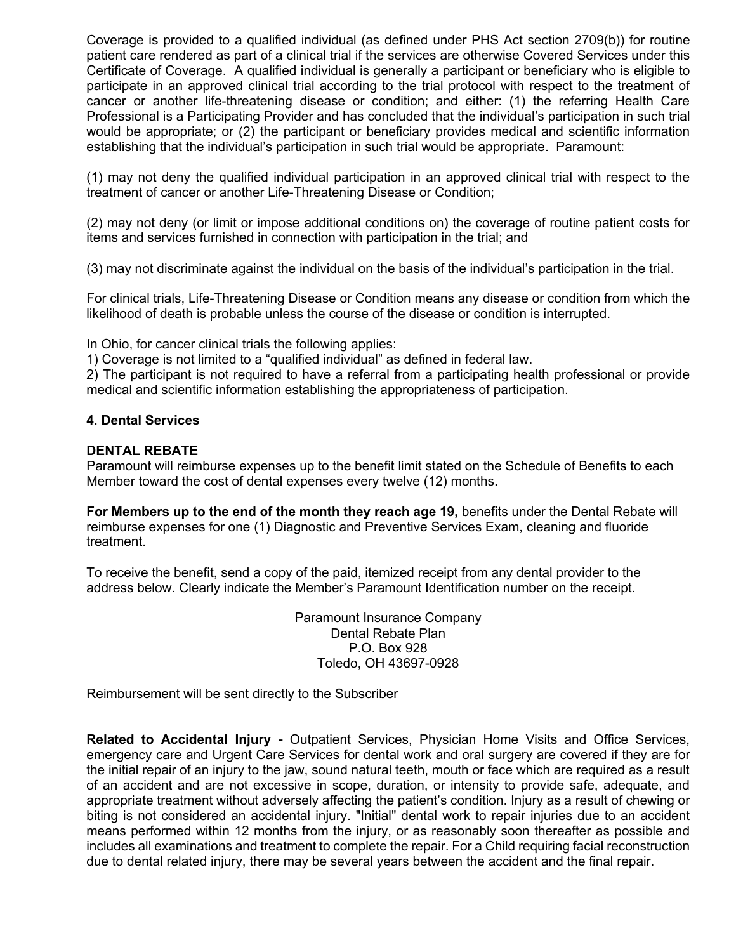Coverage is provided to a qualified individual (as defined under PHS Act section 2709(b)) for routine patient care rendered as part of a clinical trial if the services are otherwise Covered Services under this Certificate of Coverage. A qualified individual is generally a participant or beneficiary who is eligible to participate in an approved clinical trial according to the trial protocol with respect to the treatment of cancer or another life-threatening disease or condition; and either: (1) the referring Health Care Professional is a Participating Provider and has concluded that the individual's participation in such trial would be appropriate; or (2) the participant or beneficiary provides medical and scientific information establishing that the individual's participation in such trial would be appropriate. Paramount:

(1) may not deny the qualified individual participation in an approved clinical trial with respect to the treatment of cancer or another Life-Threatening Disease or Condition;

(2) may not deny (or limit or impose additional conditions on) the coverage of routine patient costs for items and services furnished in connection with participation in the trial; and

(3) may not discriminate against the individual on the basis of the individual's participation in the trial.

For clinical trials, Life-Threatening Disease or Condition means any disease or condition from which the likelihood of death is probable unless the course of the disease or condition is interrupted.

In Ohio, for cancer clinical trials the following applies:

1) Coverage is not limited to a "qualified individual" as defined in federal law.

2) The participant is not required to have a referral from a participating health professional or provide medical and scientific information establishing the appropriateness of participation.

#### **4. Dental Services**

#### **DENTAL REBATE**

Paramount will reimburse expenses up to the benefit limit stated on the Schedule of Benefits to each Member toward the cost of dental expenses every twelve (12) months.

**For Members up to the end of the month they reach age 19,** benefits under the Dental Rebate will reimburse expenses for one (1) Diagnostic and Preventive Services Exam, cleaning and fluoride treatment.

To receive the benefit, send a copy of the paid, itemized receipt from any dental provider to the address below. Clearly indicate the Member's Paramount Identification number on the receipt.

> Paramount Insurance Company Dental Rebate Plan P.O. Box 928 Toledo, OH 43697-0928

Reimbursement will be sent directly to the Subscriber

**Related to Accidental Injury -** Outpatient Services, Physician Home Visits and Office Services, emergency care and Urgent Care Services for dental work and oral surgery are covered if they are for the initial repair of an injury to the jaw, sound natural teeth, mouth or face which are required as a result of an accident and are not excessive in scope, duration, or intensity to provide safe, adequate, and appropriate treatment without adversely affecting the patient's condition. Injury as a result of chewing or biting is not considered an accidental injury. "Initial" dental work to repair injuries due to an accident means performed within 12 months from the injury, or as reasonably soon thereafter as possible and includes all examinations and treatment to complete the repair. For a Child requiring facial reconstruction due to dental related injury, there may be several years between the accident and the final repair.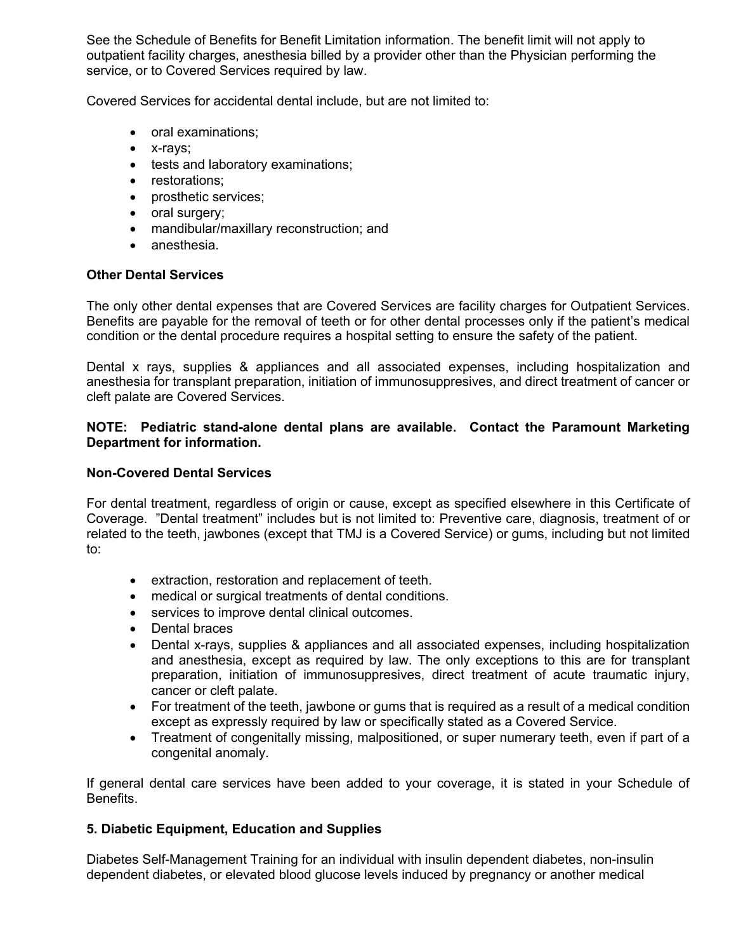See the Schedule of Benefits for Benefit Limitation information. The benefit limit will not apply to outpatient facility charges, anesthesia billed by a provider other than the Physician performing the service, or to Covered Services required by law.

Covered Services for accidental dental include, but are not limited to:

- oral examinations;
- x-rays;
- tests and laboratory examinations;
- restorations;
- prosthetic services;
- oral surgery;
- mandibular/maxillary reconstruction; and
- anesthesia.

#### **Other Dental Services**

The only other dental expenses that are Covered Services are facility charges for Outpatient Services. Benefits are payable for the removal of teeth or for other dental processes only if the patient's medical condition or the dental procedure requires a hospital setting to ensure the safety of the patient.

Dental x rays, supplies & appliances and all associated expenses, including hospitalization and anesthesia for transplant preparation, initiation of immunosuppresives, and direct treatment of cancer or cleft palate are Covered Services.

#### **NOTE: Pediatric stand-alone dental plans are available. Contact the Paramount Marketing Department for information.**

## **Non-Covered Dental Services**

For dental treatment, regardless of origin or cause, except as specified elsewhere in this Certificate of Coverage. "Dental treatment" includes but is not limited to: Preventive care, diagnosis, treatment of or related to the teeth, jawbones (except that TMJ is a Covered Service) or gums, including but not limited to:

- extraction, restoration and replacement of teeth.
- medical or surgical treatments of dental conditions.
- services to improve dental clinical outcomes.
- Dental braces
- Dental x-rays, supplies & appliances and all associated expenses, including hospitalization and anesthesia, except as required by law. The only exceptions to this are for transplant preparation, initiation of immunosuppresives, direct treatment of acute traumatic injury, cancer or cleft palate.
- For treatment of the teeth, jawbone or gums that is required as a result of a medical condition except as expressly required by law or specifically stated as a Covered Service.
- Treatment of congenitally missing, malpositioned, or super numerary teeth, even if part of a congenital anomaly.

If general dental care services have been added to your coverage, it is stated in your Schedule of Benefits.

## **5. Diabetic Equipment, Education and Supplies**

Diabetes Self-Management Training for an individual with insulin dependent diabetes, non-insulin dependent diabetes, or elevated blood glucose levels induced by pregnancy or another medical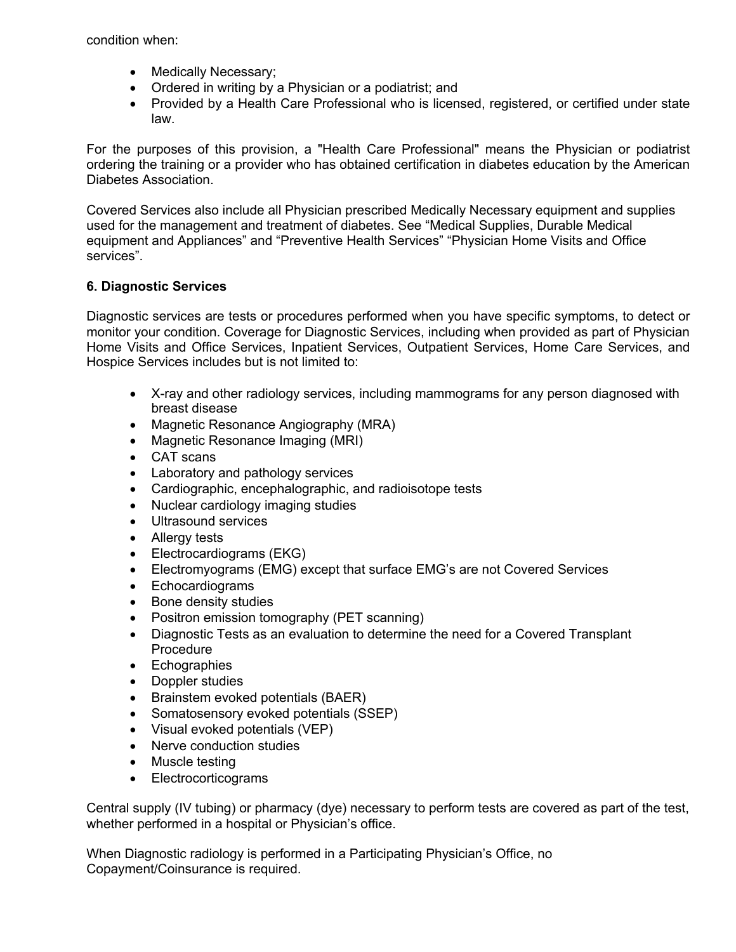condition when:

- Medically Necessary;
- Ordered in writing by a Physician or a podiatrist; and
- Provided by a Health Care Professional who is licensed, registered, or certified under state law.

For the purposes of this provision, a "Health Care Professional" means the Physician or podiatrist ordering the training or a provider who has obtained certification in diabetes education by the American Diabetes Association.

Covered Services also include all Physician prescribed Medically Necessary equipment and supplies used for the management and treatment of diabetes. See "Medical Supplies, Durable Medical equipment and Appliances" and "Preventive Health Services" "Physician Home Visits and Office services".

# **6. Diagnostic Services**

Diagnostic services are tests or procedures performed when you have specific symptoms, to detect or monitor your condition. Coverage for Diagnostic Services, including when provided as part of Physician Home Visits and Office Services, Inpatient Services, Outpatient Services, Home Care Services, and Hospice Services includes but is not limited to:

- X-ray and other radiology services, including mammograms for any person diagnosed with breast disease
- Magnetic Resonance Angiography (MRA)
- Magnetic Resonance Imaging (MRI)
- CAT scans
- Laboratory and pathology services
- Cardiographic, encephalographic, and radioisotope tests
- Nuclear cardiology imaging studies
- Ultrasound services
- Allergy tests
- Electrocardiograms (EKG)
- Electromyograms (EMG) except that surface EMG's are not Covered Services
- Echocardiograms
- Bone density studies
- Positron emission tomography (PET scanning)
- Diagnostic Tests as an evaluation to determine the need for a Covered Transplant Procedure
- Echographies
- Doppler studies
- Brainstem evoked potentials (BAER)
- Somatosensory evoked potentials (SSEP)
- Visual evoked potentials (VEP)
- Nerve conduction studies
- Muscle testing
- Electrocorticograms

Central supply (IV tubing) or pharmacy (dye) necessary to perform tests are covered as part of the test, whether performed in a hospital or Physician's office.

When Diagnostic radiology is performed in a Participating Physician's Office, no Copayment/Coinsurance is required.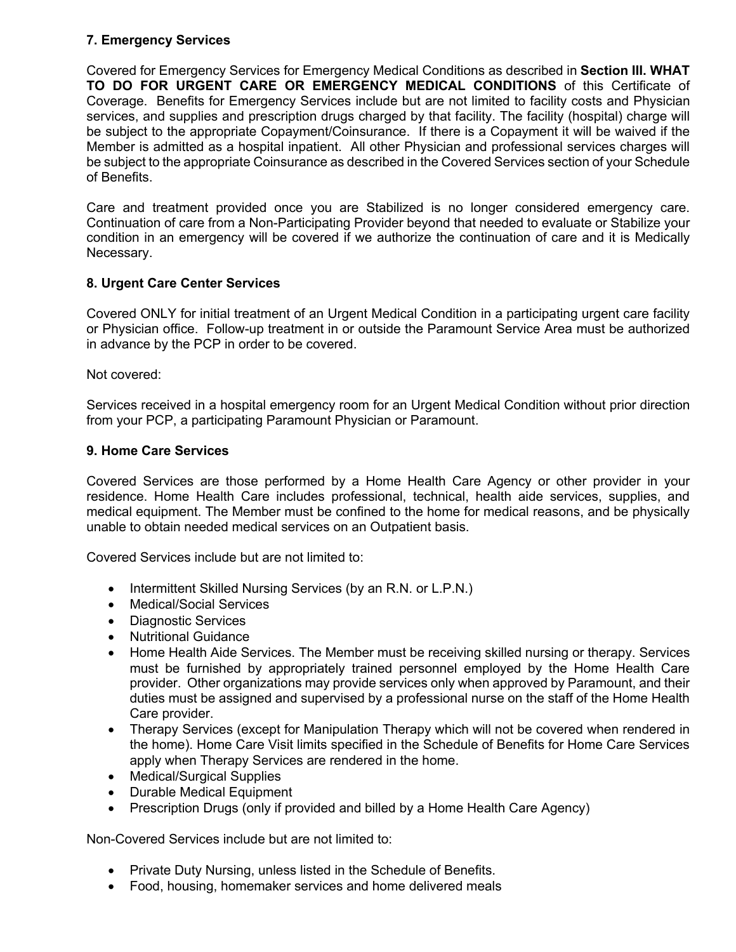# **7. Emergency Services**

Covered for Emergency Services for Emergency Medical Conditions as described in **Section III. WHAT TO DO FOR URGENT CARE OR EMERGENCY MEDICAL CONDITIONS** of this Certificate of Coverage. Benefits for Emergency Services include but are not limited to facility costs and Physician services, and supplies and prescription drugs charged by that facility. The facility (hospital) charge will be subject to the appropriate Copayment/Coinsurance. If there is a Copayment it will be waived if the Member is admitted as a hospital inpatient. All other Physician and professional services charges will be subject to the appropriate Coinsurance as described in the Covered Services section of your Schedule of Benefits.

Care and treatment provided once you are Stabilized is no longer considered emergency care. Continuation of care from a Non-Participating Provider beyond that needed to evaluate or Stabilize your condition in an emergency will be covered if we authorize the continuation of care and it is Medically Necessary.

# **8. Urgent Care Center Services**

Covered ONLY for initial treatment of an Urgent Medical Condition in a participating urgent care facility or Physician office. Follow-up treatment in or outside the Paramount Service Area must be authorized in advance by the PCP in order to be covered.

Not covered:

Services received in a hospital emergency room for an Urgent Medical Condition without prior direction from your PCP, a participating Paramount Physician or Paramount.

## **9. Home Care Services**

Covered Services are those performed by a Home Health Care Agency or other provider in your residence. Home Health Care includes professional, technical, health aide services, supplies, and medical equipment. The Member must be confined to the home for medical reasons, and be physically unable to obtain needed medical services on an Outpatient basis.

Covered Services include but are not limited to:

- Intermittent Skilled Nursing Services (by an R.N. or L.P.N.)
- Medical/Social Services
- Diagnostic Services
- Nutritional Guidance
- Home Health Aide Services. The Member must be receiving skilled nursing or therapy. Services must be furnished by appropriately trained personnel employed by the Home Health Care provider. Other organizations may provide services only when approved by Paramount, and their duties must be assigned and supervised by a professional nurse on the staff of the Home Health Care provider.
- Therapy Services (except for Manipulation Therapy which will not be covered when rendered in the home). Home Care Visit limits specified in the Schedule of Benefits for Home Care Services apply when Therapy Services are rendered in the home.
- Medical/Surgical Supplies
- Durable Medical Equipment
- Prescription Drugs (only if provided and billed by a Home Health Care Agency)

Non-Covered Services include but are not limited to:

- Private Duty Nursing, unless listed in the Schedule of Benefits.
- Food, housing, homemaker services and home delivered meals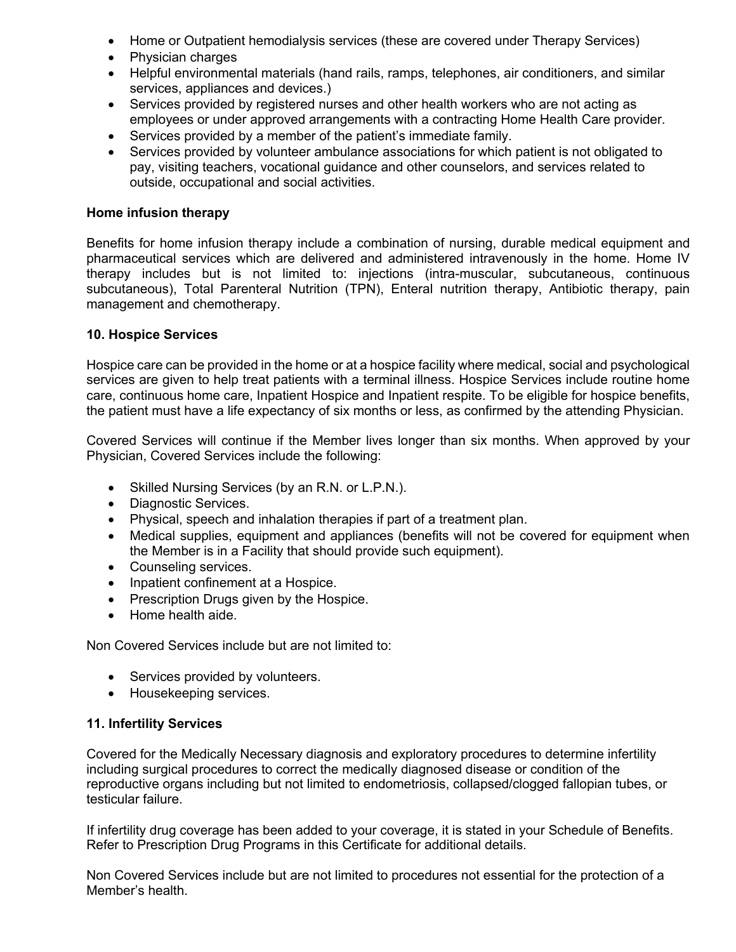- Home or Outpatient hemodialysis services (these are covered under Therapy Services)
- Physician charges
- Helpful environmental materials (hand rails, ramps, telephones, air conditioners, and similar services, appliances and devices.)
- Services provided by registered nurses and other health workers who are not acting as employees or under approved arrangements with a contracting Home Health Care provider.
- Services provided by a member of the patient's immediate family.
- Services provided by volunteer ambulance associations for which patient is not obligated to pay, visiting teachers, vocational guidance and other counselors, and services related to outside, occupational and social activities.

#### **Home infusion therapy**

Benefits for home infusion therapy include a combination of nursing, durable medical equipment and pharmaceutical services which are delivered and administered intravenously in the home. Home IV therapy includes but is not limited to: injections (intra-muscular, subcutaneous, continuous subcutaneous), Total Parenteral Nutrition (TPN), Enteral nutrition therapy, Antibiotic therapy, pain management and chemotherapy.

#### **10. Hospice Services**

Hospice care can be provided in the home or at a hospice facility where medical, social and psychological services are given to help treat patients with a terminal illness. Hospice Services include routine home care, continuous home care, Inpatient Hospice and Inpatient respite. To be eligible for hospice benefits, the patient must have a life expectancy of six months or less, as confirmed by the attending Physician.

Covered Services will continue if the Member lives longer than six months. When approved by your Physician, Covered Services include the following:

- Skilled Nursing Services (by an R.N. or L.P.N.).
- Diagnostic Services.
- Physical, speech and inhalation therapies if part of a treatment plan.
- Medical supplies, equipment and appliances (benefits will not be covered for equipment when the Member is in a Facility that should provide such equipment).
- Counseling services.
- Inpatient confinement at a Hospice.
- Prescription Drugs given by the Hospice.
- Home health aide.

Non Covered Services include but are not limited to:

- Services provided by volunteers.
- Housekeeping services.

#### **11. Infertility Services**

Covered for the Medically Necessary diagnosis and exploratory procedures to determine infertility including surgical procedures to correct the medically diagnosed disease or condition of the reproductive organs including but not limited to endometriosis, collapsed/clogged fallopian tubes, or testicular failure.

If infertility drug coverage has been added to your coverage, it is stated in your Schedule of Benefits. Refer to Prescription Drug Programs in this Certificate for additional details.

Non Covered Services include but are not limited to procedures not essential for the protection of a Member's health.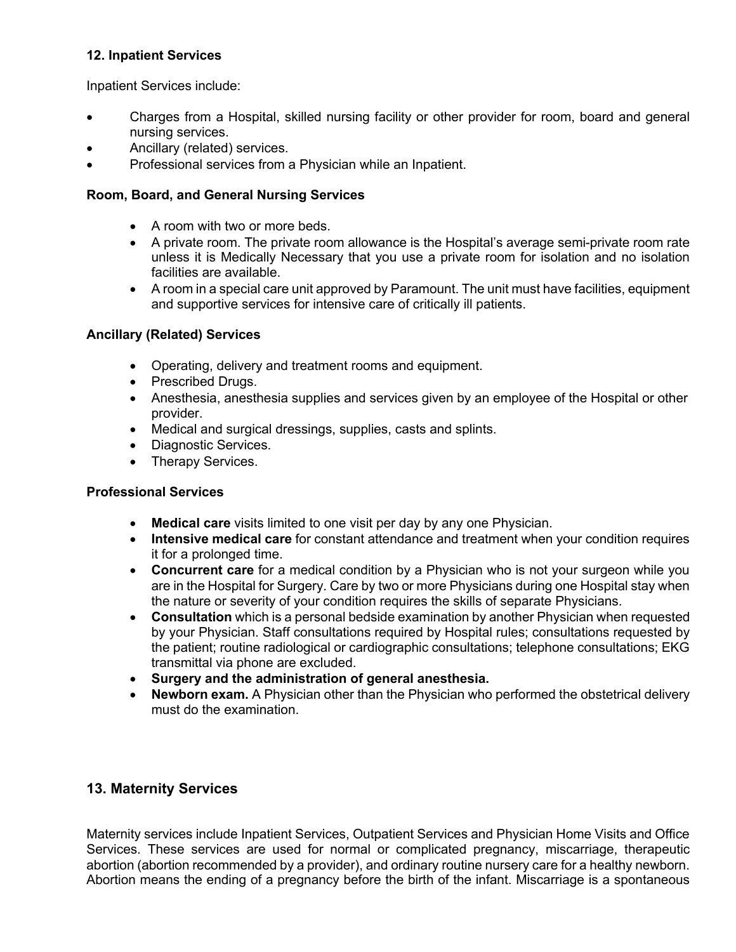# **12. Inpatient Services**

Inpatient Services include:

- Charges from a Hospital, skilled nursing facility or other provider for room, board and general nursing services.
- Ancillary (related) services.
- Professional services from a Physician while an Inpatient.

## **Room, Board, and General Nursing Services**

- A room with two or more beds.
- A private room. The private room allowance is the Hospital's average semi-private room rate unless it is Medically Necessary that you use a private room for isolation and no isolation facilities are available.
- A room in a special care unit approved by Paramount. The unit must have facilities, equipment and supportive services for intensive care of critically ill patients.

# **Ancillary (Related) Services**

- Operating, delivery and treatment rooms and equipment.
- Prescribed Drugs.
- Anesthesia, anesthesia supplies and services given by an employee of the Hospital or other provider.
- Medical and surgical dressings, supplies, casts and splints.
- Diagnostic Services.
- Therapy Services.

## **Professional Services**

- **Medical care** visits limited to one visit per day by any one Physician.
- **Intensive medical care** for constant attendance and treatment when your condition requires it for a prolonged time.
- **Concurrent care** for a medical condition by a Physician who is not your surgeon while you are in the Hospital for Surgery. Care by two or more Physicians during one Hospital stay when the nature or severity of your condition requires the skills of separate Physicians.
- **Consultation** which is a personal bedside examination by another Physician when requested by your Physician. Staff consultations required by Hospital rules; consultations requested by the patient; routine radiological or cardiographic consultations; telephone consultations; EKG transmittal via phone are excluded.
- **Surgery and the administration of general anesthesia.**
- **Newborn exam.** A Physician other than the Physician who performed the obstetrical delivery must do the examination.

# **13. Maternity Services**

Maternity services include Inpatient Services, Outpatient Services and Physician Home Visits and Office Services. These services are used for normal or complicated pregnancy, miscarriage, therapeutic abortion (abortion recommended by a provider), and ordinary routine nursery care for a healthy newborn. Abortion means the ending of a pregnancy before the birth of the infant. Miscarriage is a spontaneous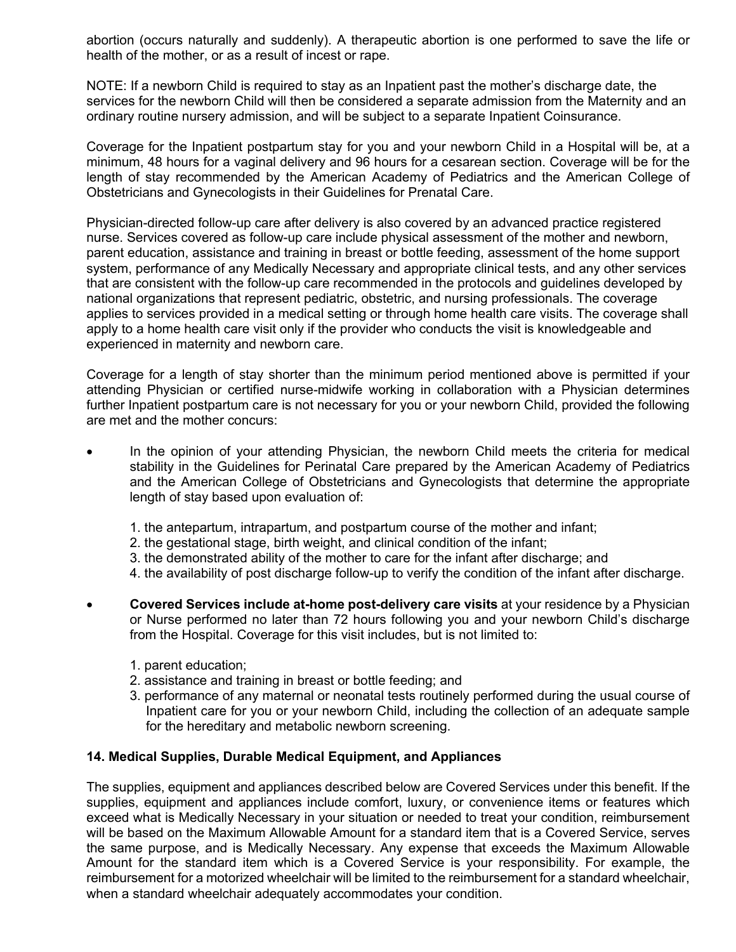abortion (occurs naturally and suddenly). A therapeutic abortion is one performed to save the life or health of the mother, or as a result of incest or rape.

NOTE: If a newborn Child is required to stay as an Inpatient past the mother's discharge date, the services for the newborn Child will then be considered a separate admission from the Maternity and an ordinary routine nursery admission, and will be subject to a separate Inpatient Coinsurance.

Coverage for the Inpatient postpartum stay for you and your newborn Child in a Hospital will be, at a minimum, 48 hours for a vaginal delivery and 96 hours for a cesarean section. Coverage will be for the length of stay recommended by the American Academy of Pediatrics and the American College of Obstetricians and Gynecologists in their Guidelines for Prenatal Care.

Physician-directed follow-up care after delivery is also covered by an advanced practice registered nurse. Services covered as follow-up care include physical assessment of the mother and newborn, parent education, assistance and training in breast or bottle feeding, assessment of the home support system, performance of any Medically Necessary and appropriate clinical tests, and any other services that are consistent with the follow-up care recommended in the protocols and guidelines developed by national organizations that represent pediatric, obstetric, and nursing professionals. The coverage applies to services provided in a medical setting or through home health care visits. The coverage shall apply to a home health care visit only if the provider who conducts the visit is knowledgeable and experienced in maternity and newborn care.

Coverage for a length of stay shorter than the minimum period mentioned above is permitted if your attending Physician or certified nurse-midwife working in collaboration with a Physician determines further Inpatient postpartum care is not necessary for you or your newborn Child, provided the following are met and the mother concurs:

- In the opinion of your attending Physician, the newborn Child meets the criteria for medical stability in the Guidelines for Perinatal Care prepared by the American Academy of Pediatrics and the American College of Obstetricians and Gynecologists that determine the appropriate length of stay based upon evaluation of:
	- 1. the antepartum, intrapartum, and postpartum course of the mother and infant;
	- 2. the gestational stage, birth weight, and clinical condition of the infant;
	- 3. the demonstrated ability of the mother to care for the infant after discharge; and
	- 4. the availability of post discharge follow-up to verify the condition of the infant after discharge.
- **Covered Services include at-home post-delivery care visits** at your residence by a Physician or Nurse performed no later than 72 hours following you and your newborn Child's discharge from the Hospital. Coverage for this visit includes, but is not limited to:
	- 1. parent education;
	- 2. assistance and training in breast or bottle feeding; and
	- 3. performance of any maternal or neonatal tests routinely performed during the usual course of Inpatient care for you or your newborn Child, including the collection of an adequate sample for the hereditary and metabolic newborn screening.

## **14. Medical Supplies, Durable Medical Equipment, and Appliances**

The supplies, equipment and appliances described below are Covered Services under this benefit. If the supplies, equipment and appliances include comfort, luxury, or convenience items or features which exceed what is Medically Necessary in your situation or needed to treat your condition, reimbursement will be based on the Maximum Allowable Amount for a standard item that is a Covered Service, serves the same purpose, and is Medically Necessary. Any expense that exceeds the Maximum Allowable Amount for the standard item which is a Covered Service is your responsibility. For example, the reimbursement for a motorized wheelchair will be limited to the reimbursement for a standard wheelchair, when a standard wheelchair adequately accommodates your condition.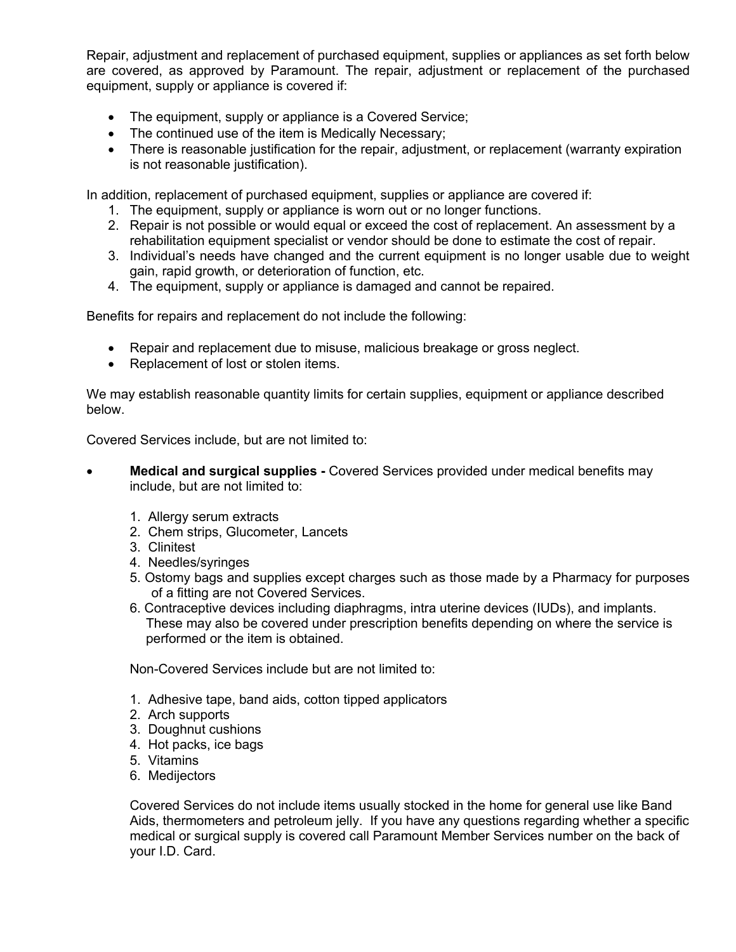Repair, adjustment and replacement of purchased equipment, supplies or appliances as set forth below are covered, as approved by Paramount. The repair, adjustment or replacement of the purchased equipment, supply or appliance is covered if:

- The equipment, supply or appliance is a Covered Service;
- The continued use of the item is Medically Necessary;
- There is reasonable justification for the repair, adjustment, or replacement (warranty expiration is not reasonable justification).

In addition, replacement of purchased equipment, supplies or appliance are covered if:

- 1. The equipment, supply or appliance is worn out or no longer functions.
- 2. Repair is not possible or would equal or exceed the cost of replacement. An assessment by a rehabilitation equipment specialist or vendor should be done to estimate the cost of repair.
- 3. Individual's needs have changed and the current equipment is no longer usable due to weight gain, rapid growth, or deterioration of function, etc.
- 4. The equipment, supply or appliance is damaged and cannot be repaired.

Benefits for repairs and replacement do not include the following:

- Repair and replacement due to misuse, malicious breakage or gross neglect.
- Replacement of lost or stolen items.

We may establish reasonable quantity limits for certain supplies, equipment or appliance described below.

Covered Services include, but are not limited to:

- **Medical and surgical supplies -** Covered Services provided under medical benefits may include, but are not limited to:
	- 1. Allergy serum extracts
	- 2. Chem strips, Glucometer, Lancets
	- 3. Clinitest
	- 4. Needles/syringes
	- 5. Ostomy bags and supplies except charges such as those made by a Pharmacy for purposes of a fitting are not Covered Services.
	- 6. Contraceptive devices including diaphragms, intra uterine devices (IUDs), and implants. These may also be covered under prescription benefits depending on where the service is performed or the item is obtained.

Non-Covered Services include but are not limited to:

- 1. Adhesive tape, band aids, cotton tipped applicators
- 2. Arch supports
- 3. Doughnut cushions
- 4. Hot packs, ice bags
- 5. Vitamins
- 6. Medijectors

Covered Services do not include items usually stocked in the home for general use like Band Aids, thermometers and petroleum jelly. If you have any questions regarding whether a specific medical or surgical supply is covered call Paramount Member Services number on the back of your I.D. Card.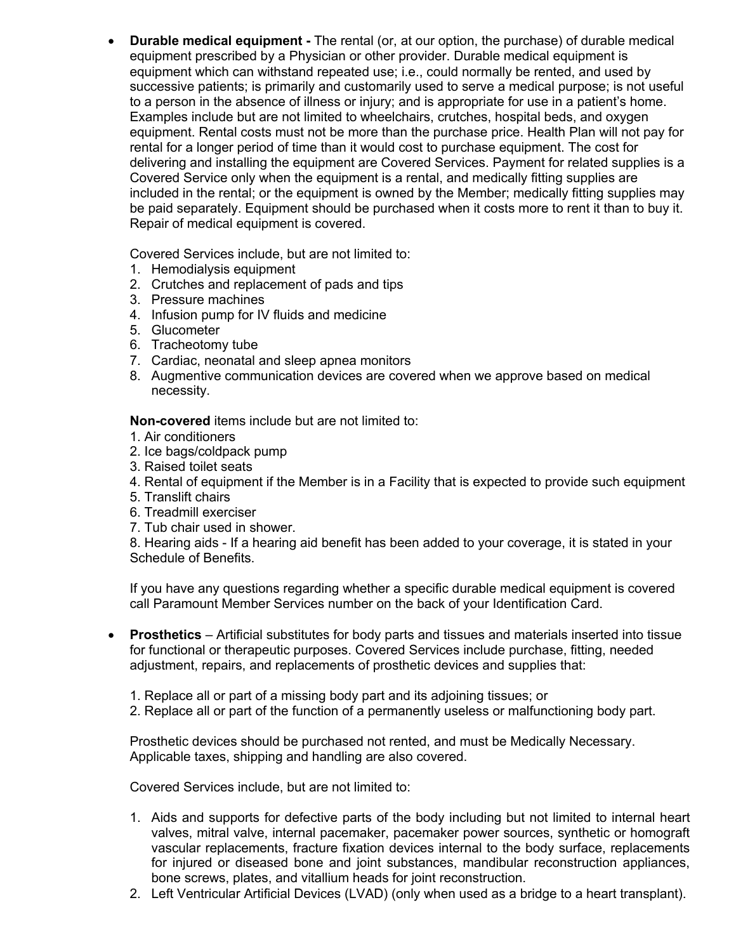• **Durable medical equipment -** The rental (or, at our option, the purchase) of durable medical equipment prescribed by a Physician or other provider. Durable medical equipment is equipment which can withstand repeated use; i.e., could normally be rented, and used by successive patients; is primarily and customarily used to serve a medical purpose; is not useful to a person in the absence of illness or injury; and is appropriate for use in a patient's home. Examples include but are not limited to wheelchairs, crutches, hospital beds, and oxygen equipment. Rental costs must not be more than the purchase price. Health Plan will not pay for rental for a longer period of time than it would cost to purchase equipment. The cost for delivering and installing the equipment are Covered Services. Payment for related supplies is a Covered Service only when the equipment is a rental, and medically fitting supplies are included in the rental; or the equipment is owned by the Member; medically fitting supplies may be paid separately. Equipment should be purchased when it costs more to rent it than to buy it. Repair of medical equipment is covered.

Covered Services include, but are not limited to:

- 1. Hemodialysis equipment
- 2. Crutches and replacement of pads and tips
- 3. Pressure machines
- 4. Infusion pump for IV fluids and medicine
- 5. Glucometer
- 6. Tracheotomy tube
- 7. Cardiac, neonatal and sleep apnea monitors
- 8. Augmentive communication devices are covered when we approve based on medical necessity.

**Non-covered** items include but are not limited to:

- 1. Air conditioners
- 2. Ice bags/coldpack pump
- 3. Raised toilet seats
- 4. Rental of equipment if the Member is in a Facility that is expected to provide such equipment
- 5. Translift chairs
- 6. Treadmill exerciser
- 7. Tub chair used in shower.

8. Hearing aids - If a hearing aid benefit has been added to your coverage, it is stated in your Schedule of Benefits.

If you have any questions regarding whether a specific durable medical equipment is covered call Paramount Member Services number on the back of your Identification Card.

- **Prosthetics**  Artificial substitutes for body parts and tissues and materials inserted into tissue for functional or therapeutic purposes. Covered Services include purchase, fitting, needed adjustment, repairs, and replacements of prosthetic devices and supplies that:
	- 1. Replace all or part of a missing body part and its adjoining tissues; or
	- 2. Replace all or part of the function of a permanently useless or malfunctioning body part.

Prosthetic devices should be purchased not rented, and must be Medically Necessary. Applicable taxes, shipping and handling are also covered.

Covered Services include, but are not limited to:

- 1. Aids and supports for defective parts of the body including but not limited to internal heart valves, mitral valve, internal pacemaker, pacemaker power sources, synthetic or homograft vascular replacements, fracture fixation devices internal to the body surface, replacements for injured or diseased bone and joint substances, mandibular reconstruction appliances, bone screws, plates, and vitallium heads for joint reconstruction.
- 2. Left Ventricular Artificial Devices (LVAD) (only when used as a bridge to a heart transplant).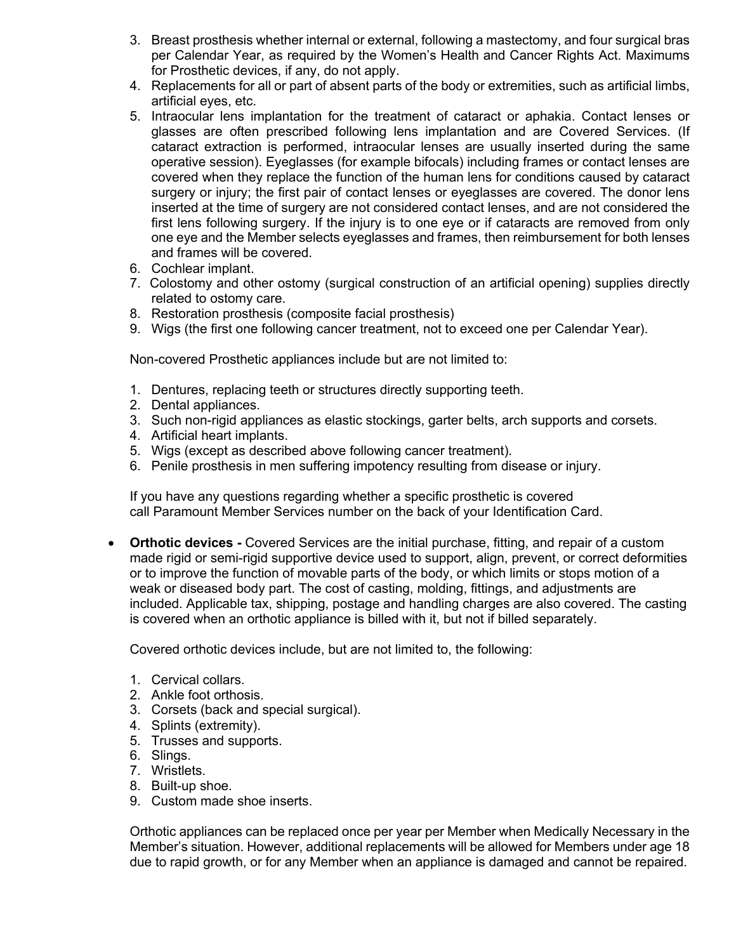- 3. Breast prosthesis whether internal or external, following a mastectomy, and four surgical bras per Calendar Year, as required by the Women's Health and Cancer Rights Act. Maximums for Prosthetic devices, if any, do not apply.
- 4. Replacements for all or part of absent parts of the body or extremities, such as artificial limbs, artificial eyes, etc.
- 5. Intraocular lens implantation for the treatment of cataract or aphakia. Contact lenses or glasses are often prescribed following lens implantation and are Covered Services. (If cataract extraction is performed, intraocular lenses are usually inserted during the same operative session). Eyeglasses (for example bifocals) including frames or contact lenses are covered when they replace the function of the human lens for conditions caused by cataract surgery or injury; the first pair of contact lenses or eyeglasses are covered. The donor lens inserted at the time of surgery are not considered contact lenses, and are not considered the first lens following surgery. If the injury is to one eye or if cataracts are removed from only one eye and the Member selects eyeglasses and frames, then reimbursement for both lenses and frames will be covered.
- 6. Cochlear implant.
- 7. Colostomy and other ostomy (surgical construction of an artificial opening) supplies directly related to ostomy care.
- 8. Restoration prosthesis (composite facial prosthesis)
- 9. Wigs (the first one following cancer treatment, not to exceed one per Calendar Year).

Non-covered Prosthetic appliances include but are not limited to:

- 1. Dentures, replacing teeth or structures directly supporting teeth.
- 2. Dental appliances.
- 3. Such non-rigid appliances as elastic stockings, garter belts, arch supports and corsets.
- 4. Artificial heart implants.
- 5. Wigs (except as described above following cancer treatment).
- 6. Penile prosthesis in men suffering impotency resulting from disease or injury.

If you have any questions regarding whether a specific prosthetic is covered call Paramount Member Services number on the back of your Identification Card.

• **Orthotic devices -** Covered Services are the initial purchase, fitting, and repair of a custom made rigid or semi-rigid supportive device used to support, align, prevent, or correct deformities or to improve the function of movable parts of the body, or which limits or stops motion of a weak or diseased body part. The cost of casting, molding, fittings, and adjustments are included. Applicable tax, shipping, postage and handling charges are also covered. The casting is covered when an orthotic appliance is billed with it, but not if billed separately.

Covered orthotic devices include, but are not limited to, the following:

- 1. Cervical collars.
- 2. Ankle foot orthosis.
- 3. Corsets (back and special surgical).
- 4. Splints (extremity).
- 5. Trusses and supports.
- 6. Slings.
- 7. Wristlets.
- 8. Built-up shoe.
- 9. Custom made shoe inserts.

Orthotic appliances can be replaced once per year per Member when Medically Necessary in the Member's situation. However, additional replacements will be allowed for Members under age 18 due to rapid growth, or for any Member when an appliance is damaged and cannot be repaired.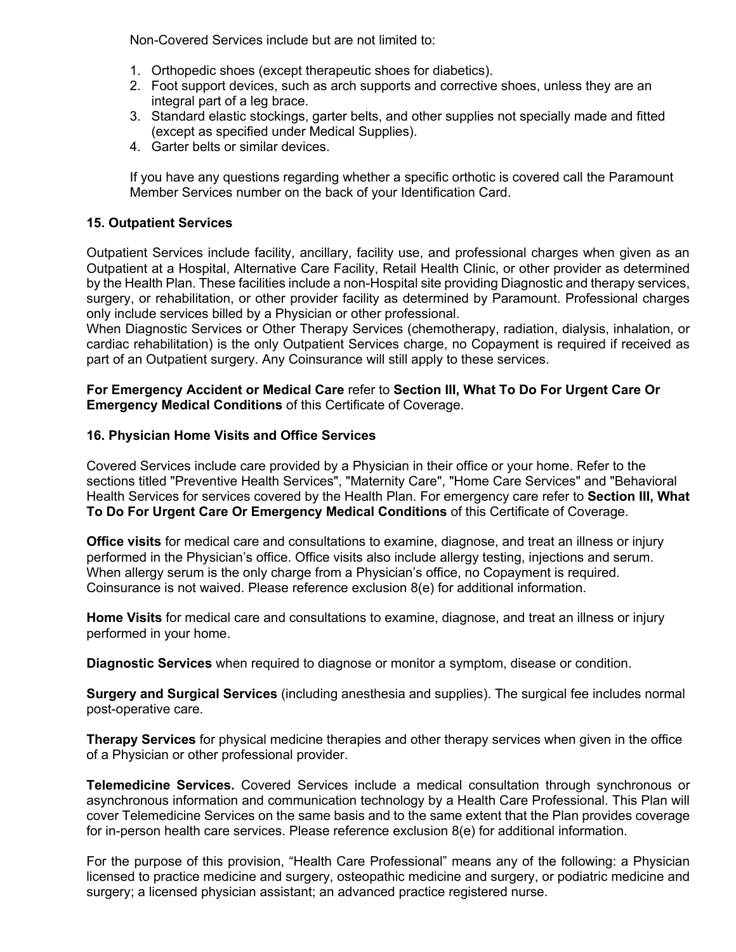Non-Covered Services include but are not limited to:

- 1. Orthopedic shoes (except therapeutic shoes for diabetics).
- 2. Foot support devices, such as arch supports and corrective shoes, unless they are an integral part of a leg brace.
- 3. Standard elastic stockings, garter belts, and other supplies not specially made and fitted (except as specified under Medical Supplies).
- 4. Garter belts or similar devices.

If you have any questions regarding whether a specific orthotic is covered call the Paramount Member Services number on the back of your Identification Card.

## **15. Outpatient Services**

Outpatient Services include facility, ancillary, facility use, and professional charges when given as an Outpatient at a Hospital, Alternative Care Facility, Retail Health Clinic, or other provider as determined by the Health Plan. These facilities include a non-Hospital site providing Diagnostic and therapy services, surgery, or rehabilitation, or other provider facility as determined by Paramount. Professional charges only include services billed by a Physician or other professional.

When Diagnostic Services or Other Therapy Services (chemotherapy, radiation, dialysis, inhalation, or cardiac rehabilitation) is the only Outpatient Services charge, no Copayment is required if received as part of an Outpatient surgery. Any Coinsurance will still apply to these services.

## **For Emergency Accident or Medical Care** refer to **Section III, What To Do For Urgent Care Or Emergency Medical Conditions** of this Certificate of Coverage.

## **16. Physician Home Visits and Office Services**

Covered Services include care provided by a Physician in their office or your home. Refer to the sections titled "Preventive Health Services", "Maternity Care", "Home Care Services" and "Behavioral Health Services for services covered by the Health Plan. For emergency care refer to **Section III, What To Do For Urgent Care Or Emergency Medical Conditions** of this Certificate of Coverage.

**Office visits** for medical care and consultations to examine, diagnose, and treat an illness or injury performed in the Physician's office. Office visits also include allergy testing, injections and serum. When allergy serum is the only charge from a Physician's office, no Copayment is required. Coinsurance is not waived. Please reference exclusion 8(e) for additional information.

**Home Visits** for medical care and consultations to examine, diagnose, and treat an illness or injury performed in your home.

**Diagnostic Services** when required to diagnose or monitor a symptom, disease or condition.

**Surgery and Surgical Services** (including anesthesia and supplies). The surgical fee includes normal post-operative care.

**Therapy Services** for physical medicine therapies and other therapy services when given in the office of a Physician or other professional provider.

**Telemedicine Services.** Covered Services include a medical consultation through synchronous or asynchronous information and communication technology by a Health Care Professional. This Plan will cover Telemedicine Services on the same basis and to the same extent that the Plan provides coverage for in-person health care services. Please reference exclusion 8(e) for additional information.

For the purpose of this provision, "Health Care Professional" means any of the following: a Physician licensed to practice medicine and surgery, osteopathic medicine and surgery, or podiatric medicine and surgery; a licensed physician assistant; an advanced practice registered nurse.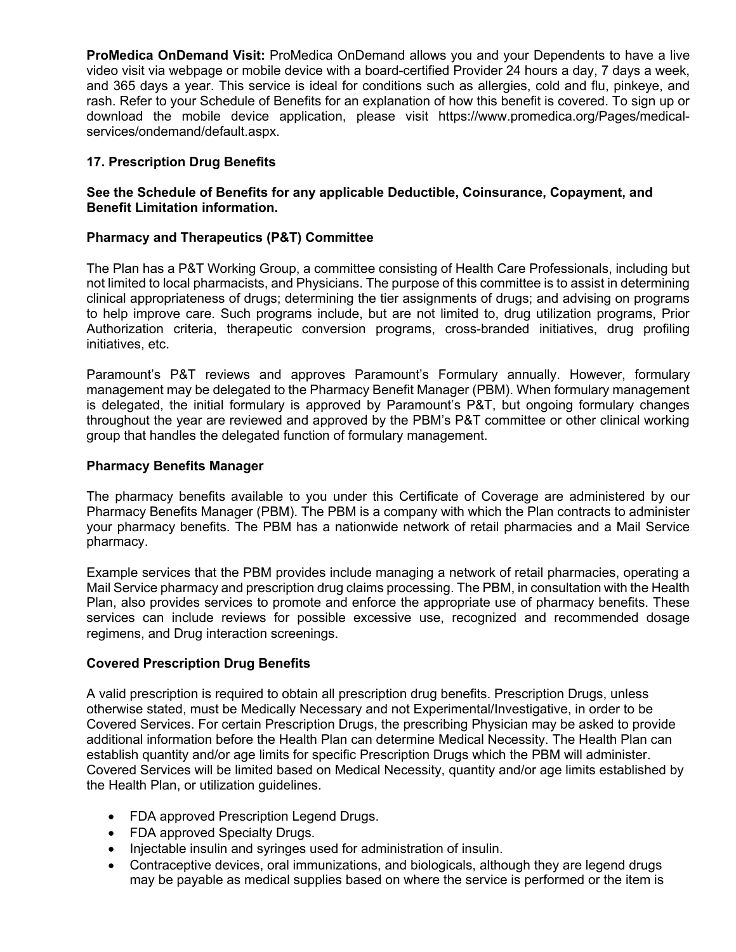**ProMedica OnDemand Visit:** ProMedica OnDemand allows you and your Dependents to have a live video visit via webpage or mobile device with a board-certified Provider 24 hours a day, 7 days a week, and 365 days a year. This service is ideal for conditions such as allergies, cold and flu, pinkeye, and rash. Refer to your Schedule of Benefits for an explanation of how this benefit is covered. To sign up or download the mobile device application, please visit https://www.promedica.org/Pages/medicalservices/ondemand/default.aspx.

# **17. Prescription Drug Benefits**

## **See the Schedule of Benefits for any applicable Deductible, Coinsurance, Copayment, and Benefit Limitation information.**

## **Pharmacy and Therapeutics (P&T) Committee**

The Plan has a P&T Working Group, a committee consisting of Health Care Professionals, including but not limited to local pharmacists, and Physicians. The purpose of this committee is to assist in determining clinical appropriateness of drugs; determining the tier assignments of drugs; and advising on programs to help improve care. Such programs include, but are not limited to, drug utilization programs, Prior Authorization criteria, therapeutic conversion programs, cross-branded initiatives, drug profiling initiatives, etc.

Paramount's P&T reviews and approves Paramount's Formulary annually. However, formulary management may be delegated to the Pharmacy Benefit Manager (PBM). When formulary management is delegated, the initial formulary is approved by Paramount's P&T, but ongoing formulary changes throughout the year are reviewed and approved by the PBM's P&T committee or other clinical working group that handles the delegated function of formulary management.

#### **Pharmacy Benefits Manager**

The pharmacy benefits available to you under this Certificate of Coverage are administered by our Pharmacy Benefits Manager (PBM). The PBM is a company with which the Plan contracts to administer your pharmacy benefits. The PBM has a nationwide network of retail pharmacies and a Mail Service pharmacy.

Example services that the PBM provides include managing a network of retail pharmacies, operating a Mail Service pharmacy and prescription drug claims processing. The PBM, in consultation with the Health Plan, also provides services to promote and enforce the appropriate use of pharmacy benefits. These services can include reviews for possible excessive use, recognized and recommended dosage regimens, and Drug interaction screenings.

#### **Covered Prescription Drug Benefits**

A valid prescription is required to obtain all prescription drug benefits. Prescription Drugs, unless otherwise stated, must be Medically Necessary and not Experimental/Investigative, in order to be Covered Services. For certain Prescription Drugs, the prescribing Physician may be asked to provide additional information before the Health Plan can determine Medical Necessity. The Health Plan can establish quantity and/or age limits for specific Prescription Drugs which the PBM will administer. Covered Services will be limited based on Medical Necessity, quantity and/or age limits established by the Health Plan, or utilization guidelines.

- FDA approved Prescription Legend Drugs.
- FDA approved Specialty Drugs.
- Injectable insulin and syringes used for administration of insulin.
- Contraceptive devices, oral immunizations, and biologicals, although they are legend drugs may be payable as medical supplies based on where the service is performed or the item is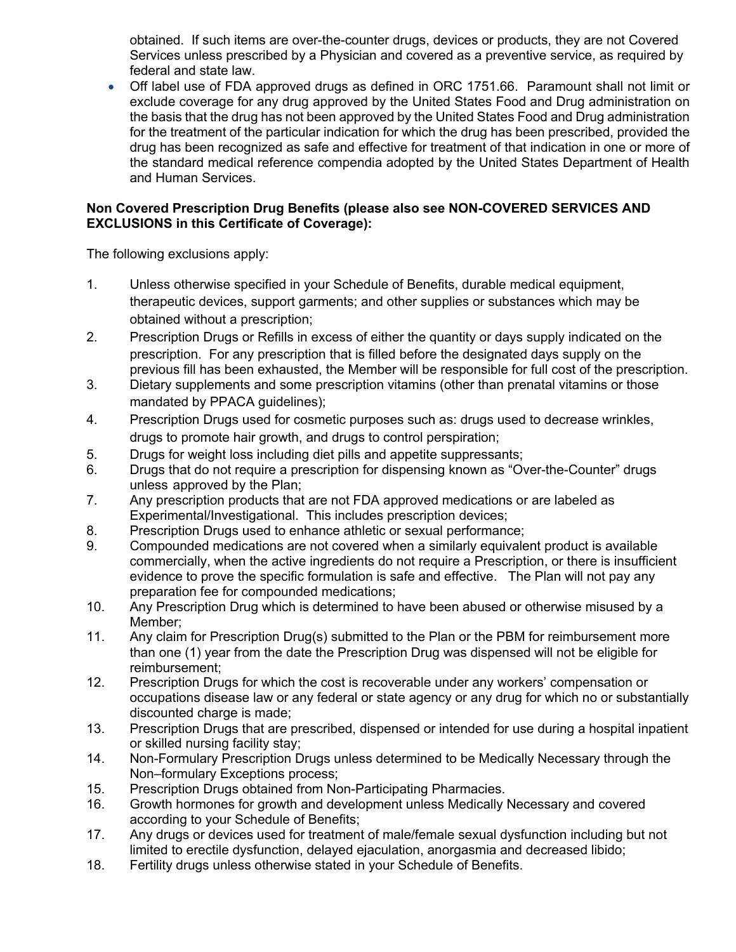obtained. If such items are over-the-counter drugs, devices or products, they are not Covered Services unless prescribed by a Physician and covered as a preventive service, as required by federal and state law.

• Off label use of FDA approved drugs as defined in ORC 1751.66. Paramount shall not limit or exclude coverage for any drug approved by the United States Food and Drug administration on the basis that the drug has not been approved by the United States Food and Drug administration for the treatment of the particular indication for which the drug has been prescribed, provided the drug has been recognized as safe and effective for treatment of that indication in one or more of the standard medical reference compendia adopted by the United States Department of Health and Human Services.

# **Non Covered Prescription Drug Benefits (please also see NON-COVERED SERVICES AND EXCLUSIONS in this Certificate of Coverage):**

The following exclusions apply:

- 1. Unless otherwise specified in your Schedule of Benefits, durable medical equipment, therapeutic devices, support garments; and other supplies or substances which may be obtained without a prescription;
- 2. Prescription Drugs or Refills in excess of either the quantity or days supply indicated on the prescription. For any prescription that is filled before the designated days supply on the previous fill has been exhausted, the Member will be responsible for full cost of the prescription.
- 3. Dietary supplements and some prescription vitamins (other than prenatal vitamins or those mandated by PPACA guidelines);
- 4. Prescription Drugs used for cosmetic purposes such as: drugs used to decrease wrinkles, drugs to promote hair growth, and drugs to control perspiration;
- 5. Drugs for weight loss including diet pills and appetite suppressants;
- 6. Drugs that do not require a prescription for dispensing known as "Over-the-Counter" drugs unless approved by the Plan;
- 7. Any prescription products that are not FDA approved medications or are labeled as Experimental/Investigational. This includes prescription devices;
- 8. Prescription Drugs used to enhance athletic or sexual performance;
- 9. Compounded medications are not covered when a similarly equivalent product is available commercially, when the active ingredients do not require a Prescription, or there is insufficient evidence to prove the specific formulation is safe and effective. The Plan will not pay any preparation fee for compounded medications;
- 10. Any Prescription Drug which is determined to have been abused or otherwise misused by a Member;
- 11. Any claim for Prescription Drug(s) submitted to the Plan or the PBM for reimbursement more than one (1) year from the date the Prescription Drug was dispensed will not be eligible for reimbursement;
- 12. Prescription Drugs for which the cost is recoverable under any workers' compensation or occupations disease law or any federal or state agency or any drug for which no or substantially discounted charge is made;
- 13. Prescription Drugs that are prescribed, dispensed or intended for use during a hospital inpatient or skilled nursing facility stay;
- 14. Non-Formulary Prescription Drugs unless determined to be Medically Necessary through the Non–formulary Exceptions process;
- 15. Prescription Drugs obtained from Non-Participating Pharmacies.
- 16. Growth hormones for growth and development unless Medically Necessary and covered according to your Schedule of Benefits;
- 17. Any drugs or devices used for treatment of male/female sexual dysfunction including but not limited to erectile dysfunction, delayed ejaculation, anorgasmia and decreased libido;
- 18. Fertility drugs unless otherwise stated in your Schedule of Benefits.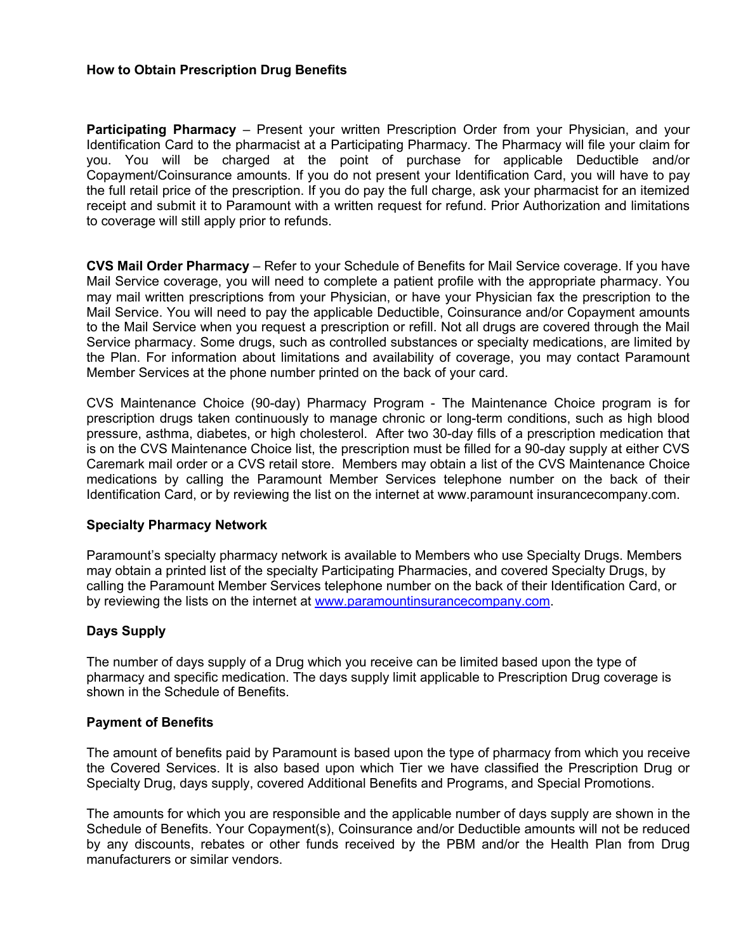#### **How to Obtain Prescription Drug Benefits**

**Participating Pharmacy** – Present your written Prescription Order from your Physician, and your Identification Card to the pharmacist at a Participating Pharmacy. The Pharmacy will file your claim for you. You will be charged at the point of purchase for applicable Deductible and/or Copayment/Coinsurance amounts. If you do not present your Identification Card, you will have to pay the full retail price of the prescription. If you do pay the full charge, ask your pharmacist for an itemized receipt and submit it to Paramount with a written request for refund. Prior Authorization and limitations to coverage will still apply prior to refunds.

**CVS Mail Order Pharmacy** – Refer to your Schedule of Benefits for Mail Service coverage. If you have Mail Service coverage, you will need to complete a patient profile with the appropriate pharmacy. You may mail written prescriptions from your Physician, or have your Physician fax the prescription to the Mail Service. You will need to pay the applicable Deductible, Coinsurance and/or Copayment amounts to the Mail Service when you request a prescription or refill. Not all drugs are covered through the Mail Service pharmacy. Some drugs, such as controlled substances or specialty medications, are limited by the Plan. For information about limitations and availability of coverage, you may contact Paramount Member Services at the phone number printed on the back of your card.

CVS Maintenance Choice (90-day) Pharmacy Program - The Maintenance Choice program is for prescription drugs taken continuously to manage chronic or long-term conditions, such as high blood pressure, asthma, diabetes, or high cholesterol. After two 30-day fills of a prescription medication that is on the CVS Maintenance Choice list, the prescription must be filled for a 90-day supply at either CVS Caremark mail order or a CVS retail store. Members may obtain a list of the CVS Maintenance Choice medications by calling the Paramount Member Services telephone number on the back of their Identification Card, or by reviewing the list on the internet at www.paramount insurancecompany.com.

#### **Specialty Pharmacy Network**

Paramount's specialty pharmacy network is available to Members who use Specialty Drugs. Members may obtain a printed list of the specialty Participating Pharmacies, and covered Specialty Drugs, by calling the Paramount Member Services telephone number on the back of their Identification Card, or by reviewing the lists on the internet at www.paramountinsurancecompany.com.

## **Days Supply**

The number of days supply of a Drug which you receive can be limited based upon the type of pharmacy and specific medication. The days supply limit applicable to Prescription Drug coverage is shown in the Schedule of Benefits.

#### **Payment of Benefits**

The amount of benefits paid by Paramount is based upon the type of pharmacy from which you receive the Covered Services. It is also based upon which Tier we have classified the Prescription Drug or Specialty Drug, days supply, covered Additional Benefits and Programs, and Special Promotions.

The amounts for which you are responsible and the applicable number of days supply are shown in the Schedule of Benefits. Your Copayment(s), Coinsurance and/or Deductible amounts will not be reduced by any discounts, rebates or other funds received by the PBM and/or the Health Plan from Drug manufacturers or similar vendors.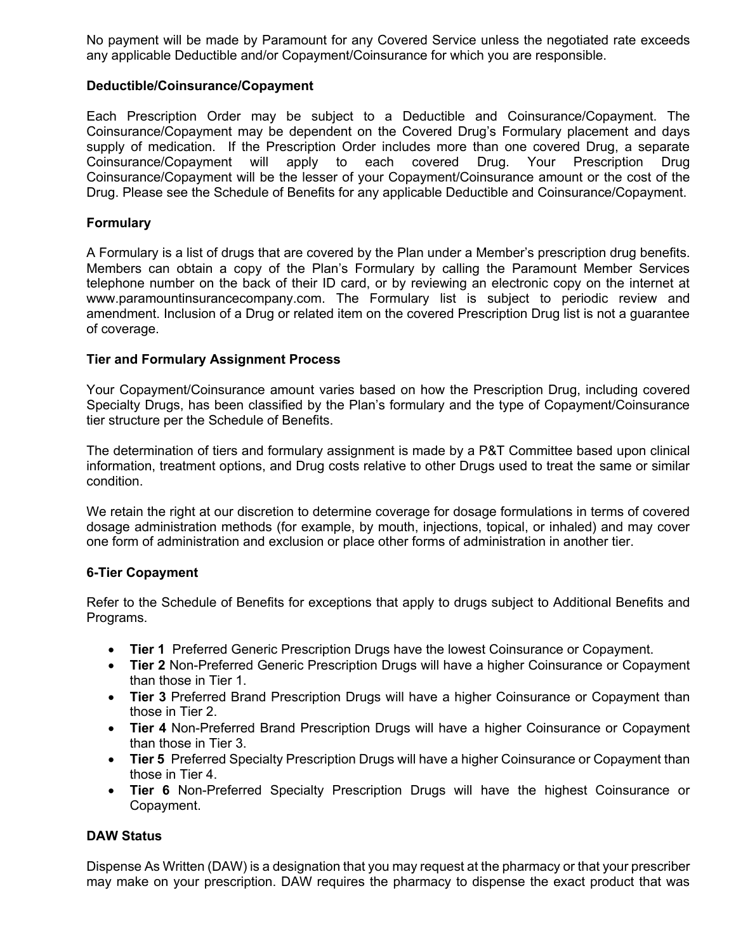No payment will be made by Paramount for any Covered Service unless the negotiated rate exceeds any applicable Deductible and/or Copayment/Coinsurance for which you are responsible.

#### **Deductible/Coinsurance/Copayment**

Each Prescription Order may be subject to a Deductible and Coinsurance/Copayment. The Coinsurance/Copayment may be dependent on the Covered Drug's Formulary placement and days supply of medication. If the Prescription Order includes more than one covered Drug, a separate Coinsurance/Copayment will apply to each covered Drug. Your Prescription Drug Coinsurance/Copayment will be the lesser of your Copayment/Coinsurance amount or the cost of the Drug. Please see the Schedule of Benefits for any applicable Deductible and Coinsurance/Copayment.

#### **Formulary**

A Formulary is a list of drugs that are covered by the Plan under a Member's prescription drug benefits. Members can obtain a copy of the Plan's Formulary by calling the Paramount Member Services telephone number on the back of their ID card, or by reviewing an electronic copy on the internet at www.paramountinsurancecompany.com. The Formulary list is subject to periodic review and amendment. Inclusion of a Drug or related item on the covered Prescription Drug list is not a guarantee of coverage.

#### **Tier and Formulary Assignment Process**

Your Copayment/Coinsurance amount varies based on how the Prescription Drug, including covered Specialty Drugs, has been classified by the Plan's formulary and the type of Copayment/Coinsurance tier structure per the Schedule of Benefits.

The determination of tiers and formulary assignment is made by a P&T Committee based upon clinical information, treatment options, and Drug costs relative to other Drugs used to treat the same or similar condition.

We retain the right at our discretion to determine coverage for dosage formulations in terms of covered dosage administration methods (for example, by mouth, injections, topical, or inhaled) and may cover one form of administration and exclusion or place other forms of administration in another tier.

## **6-Tier Copayment**

Refer to the Schedule of Benefits for exceptions that apply to drugs subject to Additional Benefits and Programs.

- **Tier 1** Preferred Generic Prescription Drugs have the lowest Coinsurance or Copayment.
- **Tier 2** Non-Preferred Generic Prescription Drugs will have a higher Coinsurance or Copayment than those in Tier 1.
- **Tier 3** Preferred Brand Prescription Drugs will have a higher Coinsurance or Copayment than those in Tier 2.
- **Tier 4** Non-Preferred Brand Prescription Drugs will have a higher Coinsurance or Copayment than those in Tier 3.
- **Tier 5** Preferred Specialty Prescription Drugs will have a higher Coinsurance or Copayment than those in Tier 4.
- **Tier 6** Non-Preferred Specialty Prescription Drugs will have the highest Coinsurance or Copayment.

## **DAW Status**

Dispense As Written (DAW) is a designation that you may request at the pharmacy or that your prescriber may make on your prescription. DAW requires the pharmacy to dispense the exact product that was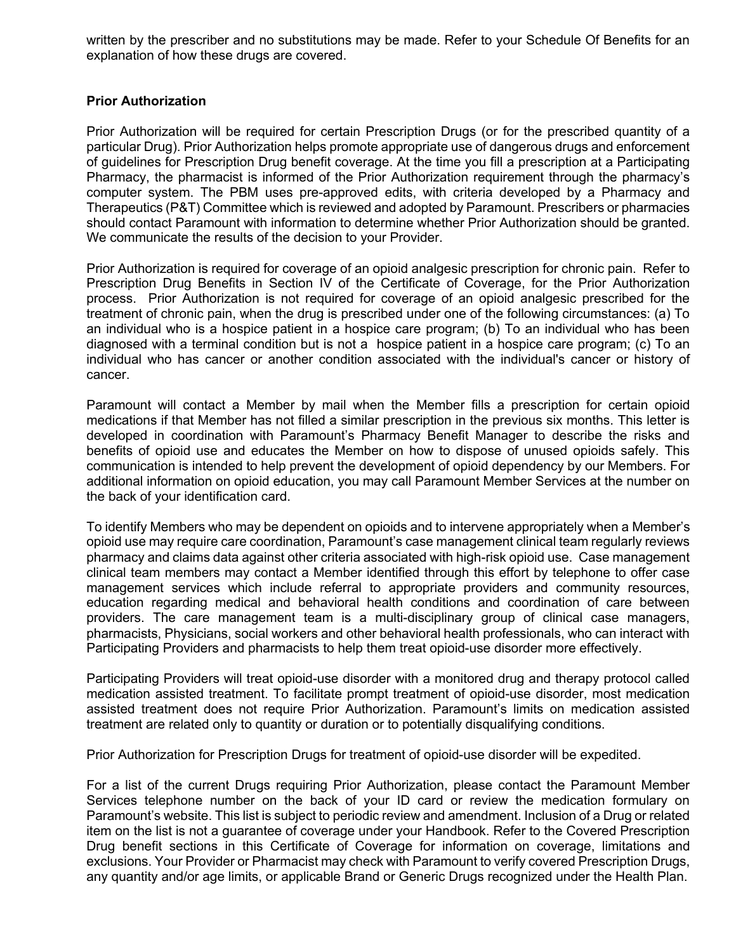written by the prescriber and no substitutions may be made. Refer to your Schedule Of Benefits for an explanation of how these drugs are covered.

#### **Prior Authorization**

Prior Authorization will be required for certain Prescription Drugs (or for the prescribed quantity of a particular Drug). Prior Authorization helps promote appropriate use of dangerous drugs and enforcement of guidelines for Prescription Drug benefit coverage. At the time you fill a prescription at a Participating Pharmacy, the pharmacist is informed of the Prior Authorization requirement through the pharmacy's computer system. The PBM uses pre-approved edits, with criteria developed by a Pharmacy and Therapeutics (P&T) Committee which is reviewed and adopted by Paramount. Prescribers or pharmacies should contact Paramount with information to determine whether Prior Authorization should be granted. We communicate the results of the decision to your Provider.

Prior Authorization is required for coverage of an opioid analgesic prescription for chronic pain. Refer to Prescription Drug Benefits in Section IV of the Certificate of Coverage, for the Prior Authorization process. Prior Authorization is not required for coverage of an opioid analgesic prescribed for the treatment of chronic pain, when the drug is prescribed under one of the following circumstances: (a) To an individual who is a hospice patient in a hospice care program; (b) To an individual who has been diagnosed with a terminal condition but is not a hospice patient in a hospice care program; (c) To an individual who has cancer or another condition associated with the individual's cancer or history of cancer.

Paramount will contact a Member by mail when the Member fills a prescription for certain opioid medications if that Member has not filled a similar prescription in the previous six months. This letter is developed in coordination with Paramount's Pharmacy Benefit Manager to describe the risks and benefits of opioid use and educates the Member on how to dispose of unused opioids safely. This communication is intended to help prevent the development of opioid dependency by our Members. For additional information on opioid education, you may call Paramount Member Services at the number on the back of your identification card.

To identify Members who may be dependent on opioids and to intervene appropriately when a Member's opioid use may require care coordination, Paramount's case management clinical team regularly reviews pharmacy and claims data against other criteria associated with high-risk opioid use. Case management clinical team members may contact a Member identified through this effort by telephone to offer case management services which include referral to appropriate providers and community resources, education regarding medical and behavioral health conditions and coordination of care between providers. The care management team is a multi-disciplinary group of clinical case managers, pharmacists, Physicians, social workers and other behavioral health professionals, who can interact with Participating Providers and pharmacists to help them treat opioid-use disorder more effectively.

Participating Providers will treat opioid-use disorder with a monitored drug and therapy protocol called medication assisted treatment. To facilitate prompt treatment of opioid-use disorder, most medication assisted treatment does not require Prior Authorization. Paramount's limits on medication assisted treatment are related only to quantity or duration or to potentially disqualifying conditions.

Prior Authorization for Prescription Drugs for treatment of opioid-use disorder will be expedited.

For a list of the current Drugs requiring Prior Authorization, please contact the Paramount Member Services telephone number on the back of your ID card or review the medication formulary on Paramount's website. This list is subject to periodic review and amendment. Inclusion of a Drug or related item on the list is not a guarantee of coverage under your Handbook. Refer to the Covered Prescription Drug benefit sections in this Certificate of Coverage for information on coverage, limitations and exclusions. Your Provider or Pharmacist may check with Paramount to verify covered Prescription Drugs, any quantity and/or age limits, or applicable Brand or Generic Drugs recognized under the Health Plan.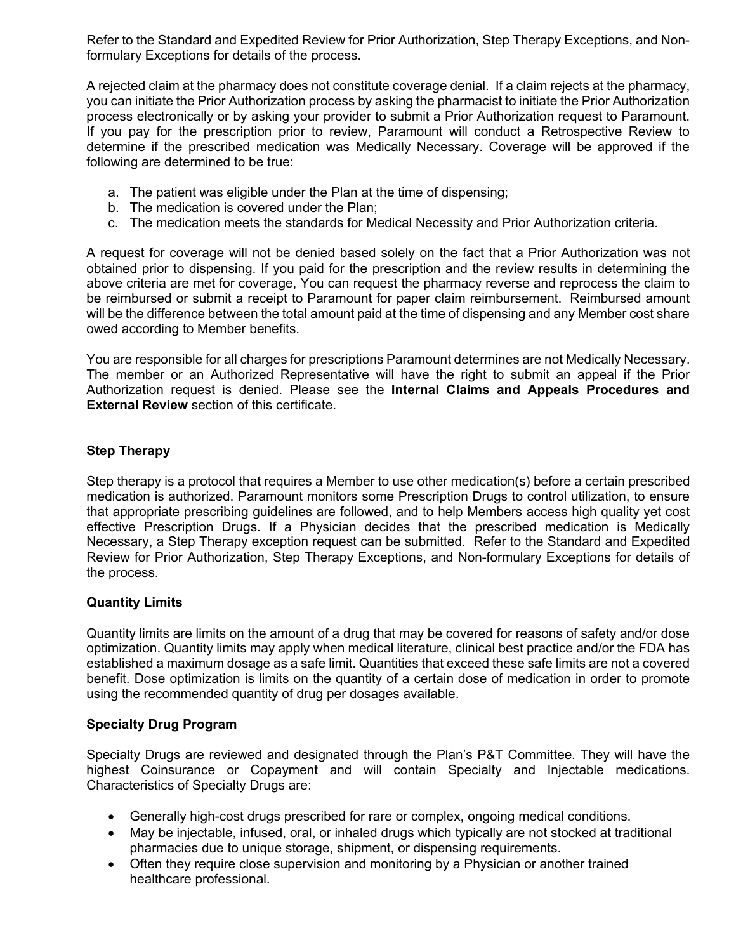Refer to the Standard and Expedited Review for Prior Authorization, Step Therapy Exceptions, and Nonformulary Exceptions for details of the process.

A rejected claim at the pharmacy does not constitute coverage denial. If a claim rejects at the pharmacy, you can initiate the Prior Authorization process by asking the pharmacist to initiate the Prior Authorization process electronically or by asking your provider to submit a Prior Authorization request to Paramount. If you pay for the prescription prior to review, Paramount will conduct a Retrospective Review to determine if the prescribed medication was Medically Necessary. Coverage will be approved if the following are determined to be true:

- a. The patient was eligible under the Plan at the time of dispensing;
- b. The medication is covered under the Plan;
- c. The medication meets the standards for Medical Necessity and Prior Authorization criteria.

A request for coverage will not be denied based solely on the fact that a Prior Authorization was not obtained prior to dispensing. If you paid for the prescription and the review results in determining the above criteria are met for coverage, You can request the pharmacy reverse and reprocess the claim to be reimbursed or submit a receipt to Paramount for paper claim reimbursement. Reimbursed amount will be the difference between the total amount paid at the time of dispensing and any Member cost share owed according to Member benefits.

You are responsible for all charges for prescriptions Paramount determines are not Medically Necessary. The member or an Authorized Representative will have the right to submit an appeal if the Prior Authorization request is denied. Please see the **Internal Claims and Appeals Procedures and External Review** section of this certificate.

# **Step Therapy**

Step therapy is a protocol that requires a Member to use other medication(s) before a certain prescribed medication is authorized. Paramount monitors some Prescription Drugs to control utilization, to ensure that appropriate prescribing guidelines are followed, and to help Members access high quality yet cost effective Prescription Drugs. If a Physician decides that the prescribed medication is Medically Necessary, a Step Therapy exception request can be submitted. Refer to the Standard and Expedited Review for Prior Authorization, Step Therapy Exceptions, and Non-formulary Exceptions for details of the process.

## **Quantity Limits**

Quantity limits are limits on the amount of a drug that may be covered for reasons of safety and/or dose optimization. Quantity limits may apply when medical literature, clinical best practice and/or the FDA has established a maximum dosage as a safe limit. Quantities that exceed these safe limits are not a covered benefit. Dose optimization is limits on the quantity of a certain dose of medication in order to promote using the recommended quantity of drug per dosages available.

## **Specialty Drug Program**

Specialty Drugs are reviewed and designated through the Plan's P&T Committee. They will have the highest Coinsurance or Copayment and will contain Specialty and Injectable medications. Characteristics of Specialty Drugs are:

- Generally high-cost drugs prescribed for rare or complex, ongoing medical conditions.
- May be injectable, infused, oral, or inhaled drugs which typically are not stocked at traditional pharmacies due to unique storage, shipment, or dispensing requirements.
- Often they require close supervision and monitoring by a Physician or another trained healthcare professional.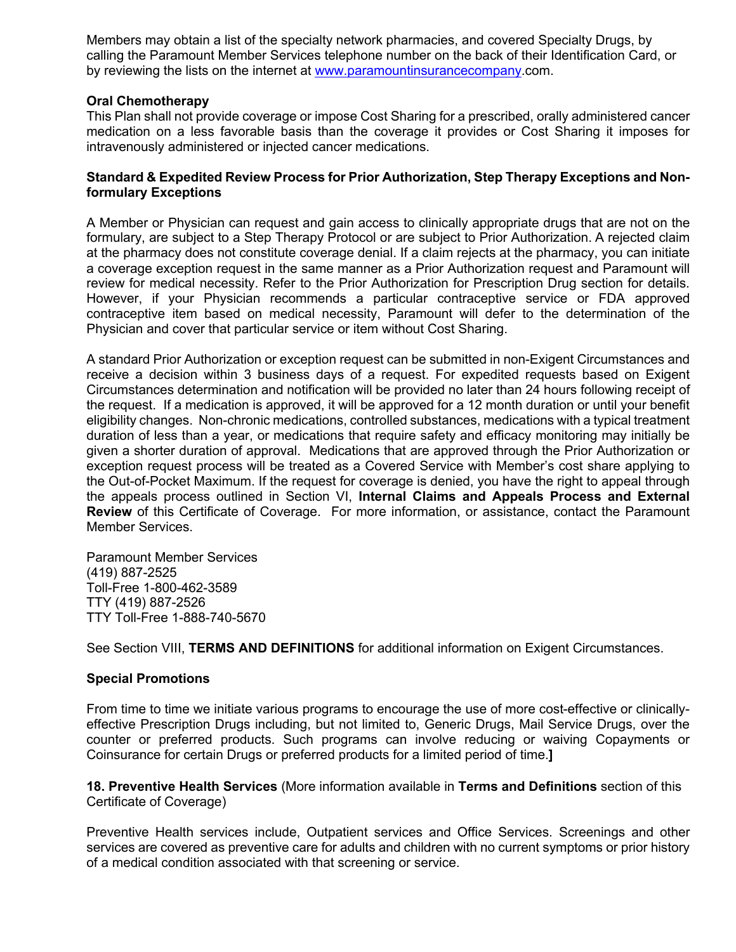Members may obtain a list of the specialty network pharmacies, and covered Specialty Drugs, by calling the Paramount Member Services telephone number on the back of their Identification Card, or by reviewing the lists on the internet at www.paramountinsurancecompany.com.

#### **Oral Chemotherapy**

This Plan shall not provide coverage or impose Cost Sharing for a prescribed, orally administered cancer medication on a less favorable basis than the coverage it provides or Cost Sharing it imposes for intravenously administered or injected cancer medications.

#### **Standard & Expedited Review Process for Prior Authorization, Step Therapy Exceptions and Nonformulary Exceptions**

A Member or Physician can request and gain access to clinically appropriate drugs that are not on the formulary, are subject to a Step Therapy Protocol or are subject to Prior Authorization. A rejected claim at the pharmacy does not constitute coverage denial. If a claim rejects at the pharmacy, you can initiate a coverage exception request in the same manner as a Prior Authorization request and Paramount will review for medical necessity. Refer to the Prior Authorization for Prescription Drug section for details. However, if your Physician recommends a particular contraceptive service or FDA approved contraceptive item based on medical necessity, Paramount will defer to the determination of the Physician and cover that particular service or item without Cost Sharing.

A standard Prior Authorization or exception request can be submitted in non-Exigent Circumstances and receive a decision within 3 business days of a request. For expedited requests based on Exigent Circumstances determination and notification will be provided no later than 24 hours following receipt of the request. If a medication is approved, it will be approved for a 12 month duration or until your benefit eligibility changes. Non-chronic medications, controlled substances, medications with a typical treatment duration of less than a year, or medications that require safety and efficacy monitoring may initially be given a shorter duration of approval. Medications that are approved through the Prior Authorization or exception request process will be treated as a Covered Service with Member's cost share applying to the Out-of-Pocket Maximum. If the request for coverage is denied, you have the right to appeal through the appeals process outlined in Section VI, **Internal Claims and Appeals Process and External Review** of this Certificate of Coverage. For more information, or assistance, contact the Paramount Member Services.

Paramount Member Services (419) 887-2525 Toll-Free 1-800-462-3589 TTY (419) 887-2526 TTY Toll-Free 1-888-740-5670

See Section VIII, **TERMS AND DEFINITIONS** for additional information on Exigent Circumstances.

## **Special Promotions**

From time to time we initiate various programs to encourage the use of more cost-effective or clinicallyeffective Prescription Drugs including, but not limited to, Generic Drugs, Mail Service Drugs, over the counter or preferred products. Such programs can involve reducing or waiving Copayments or Coinsurance for certain Drugs or preferred products for a limited period of time.**]**

**18. Preventive Health Services** (More information available in **Terms and Definitions** section of this Certificate of Coverage)

Preventive Health services include, Outpatient services and Office Services. Screenings and other services are covered as preventive care for adults and children with no current symptoms or prior history of a medical condition associated with that screening or service.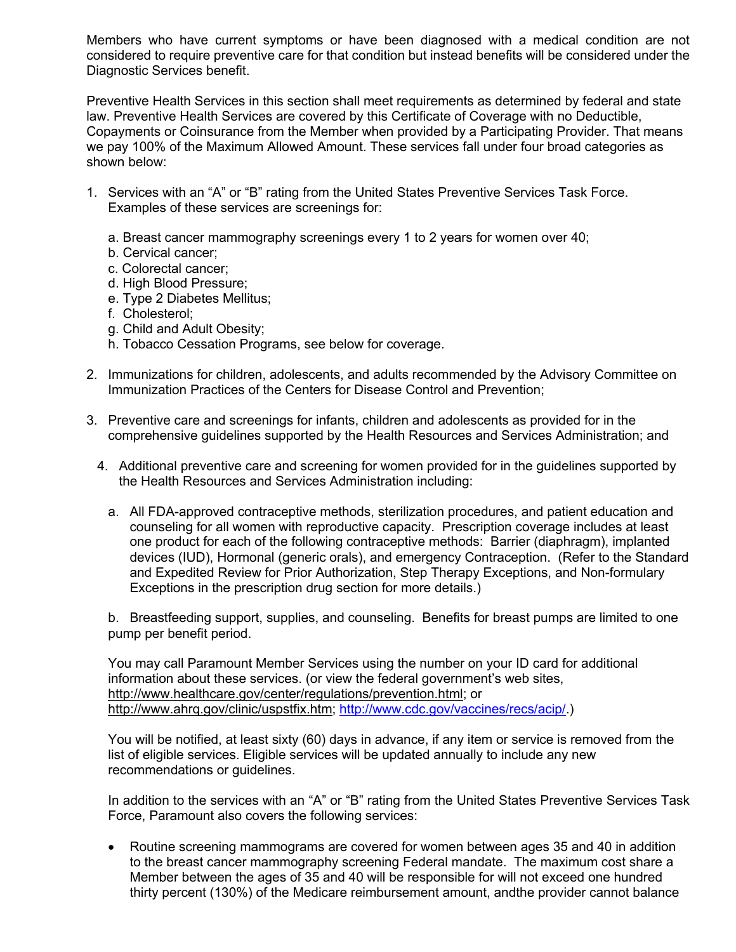Members who have current symptoms or have been diagnosed with a medical condition are not considered to require preventive care for that condition but instead benefits will be considered under the Diagnostic Services benefit.

Preventive Health Services in this section shall meet requirements as determined by federal and state law. Preventive Health Services are covered by this Certificate of Coverage with no Deductible, Copayments or Coinsurance from the Member when provided by a Participating Provider. That means we pay 100% of the Maximum Allowed Amount. These services fall under four broad categories as shown below:

- 1. Services with an "A" or "B" rating from the United States Preventive Services Task Force. Examples of these services are screenings for:
	- a. Breast cancer mammography screenings every 1 to 2 years for women over 40;
	- b. Cervical cancer;
	- c. Colorectal cancer;
	- d. High Blood Pressure;
	- e. Type 2 Diabetes Mellitus;
	- f. Cholesterol;
	- g. Child and Adult Obesity;
	- h. Tobacco Cessation Programs, see below for coverage.
- 2. Immunizations for children, adolescents, and adults recommended by the Advisory Committee on Immunization Practices of the Centers for Disease Control and Prevention;
- 3. Preventive care and screenings for infants, children and adolescents as provided for in the comprehensive guidelines supported by the Health Resources and Services Administration; and
	- 4. Additional preventive care and screening for women provided for in the guidelines supported by the Health Resources and Services Administration including:
		- a. All FDA-approved contraceptive methods, sterilization procedures, and patient education and counseling for all women with reproductive capacity. Prescription coverage includes at least one product for each of the following contraceptive methods: Barrier (diaphragm), implanted devices (IUD), Hormonal (generic orals), and emergency Contraception. (Refer to the Standard and Expedited Review for Prior Authorization, Step Therapy Exceptions, and Non-formulary Exceptions in the prescription drug section for more details.)

b. Breastfeeding support, supplies, and counseling. Benefits for breast pumps are limited to one pump per benefit period.

You may call Paramount Member Services using the number on your ID card for additional information about these services. (or view the federal government's web sites, http://www.healthcare.gov/center/regulations/prevention.html; or http://www.ahrq.gov/clinic/uspstfix.htm; http://www.cdc.gov/vaccines/recs/acip/.)

You will be notified, at least sixty (60) days in advance, if any item or service is removed from the list of eligible services. Eligible services will be updated annually to include any new recommendations or guidelines.

In addition to the services with an "A" or "B" rating from the United States Preventive Services Task Force, Paramount also covers the following services:

• Routine screening mammograms are covered for women between ages 35 and 40 in addition to the breast cancer mammography screening Federal mandate. The maximum cost share a Member between the ages of 35 and 40 will be responsible for will not exceed one hundred thirty percent (130%) of the Medicare reimbursement amount, andthe provider cannot balance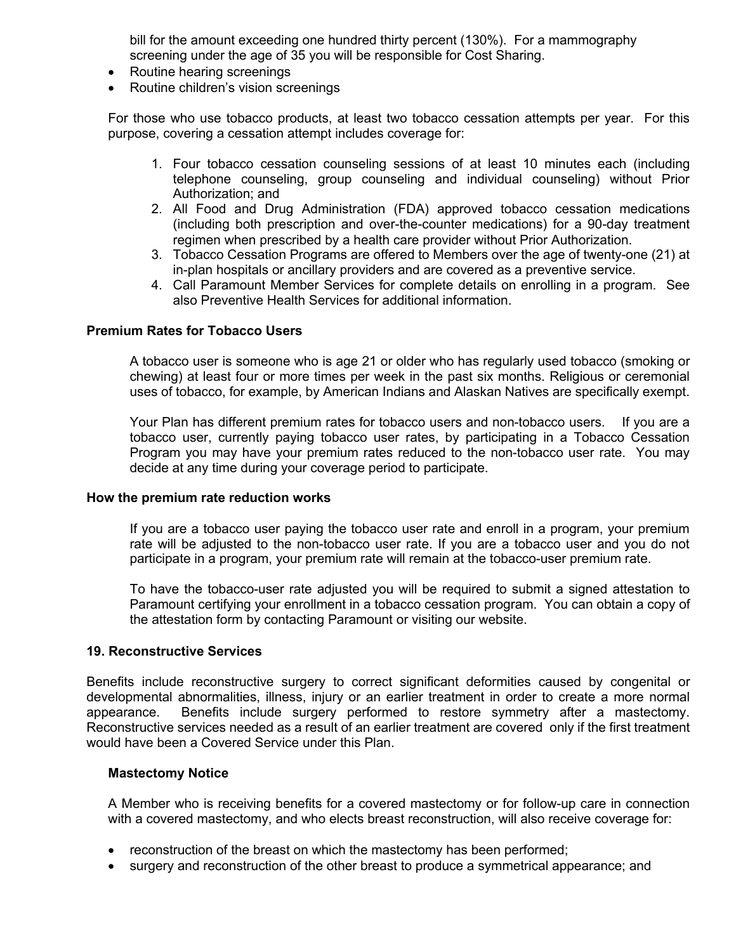bill for the amount exceeding one hundred thirty percent (130%). For a mammography screening under the age of 35 you will be responsible for Cost Sharing.

- Routine hearing screenings
- Routine children's vision screenings

For those who use tobacco products, at least two tobacco cessation attempts per year. For this purpose, covering a cessation attempt includes coverage for:

- 1. Four tobacco cessation counseling sessions of at least 10 minutes each (including telephone counseling, group counseling and individual counseling) without Prior Authorization; and
- 2. All Food and Drug Administration (FDA) approved tobacco cessation medications (including both prescription and over-the-counter medications) for a 90-day treatment regimen when prescribed by a health care provider without Prior Authorization.
- 3. Tobacco Cessation Programs are offered to Members over the age of twenty-one (21) at in-plan hospitals or ancillary providers and are covered as a preventive service.
- 4. Call Paramount Member Services for complete details on enrolling in a program. See also Preventive Health Services for additional information.

#### **Premium Rates for Tobacco Users**

A tobacco user is someone who is age 21 or older who has regularly used tobacco (smoking or chewing) at least four or more times per week in the past six months. Religious or ceremonial uses of tobacco, for example, by American Indians and Alaskan Natives are specifically exempt.

Your Plan has different premium rates for tobacco users and non-tobacco users. If you are a tobacco user, currently paying tobacco user rates, by participating in a Tobacco Cessation Program you may have your premium rates reduced to the non-tobacco user rate. You may decide at any time during your coverage period to participate.

#### **How the premium rate reduction works**

If you are a tobacco user paying the tobacco user rate and enroll in a program, your premium rate will be adjusted to the non-tobacco user rate. If you are a tobacco user and you do not participate in a program, your premium rate will remain at the tobacco-user premium rate.

To have the tobacco-user rate adjusted you will be required to submit a signed attestation to Paramount certifying your enrollment in a tobacco cessation program. You can obtain a copy of the attestation form by contacting Paramount or visiting our website.

#### **19. Reconstructive Services**

Benefits include reconstructive surgery to correct significant deformities caused by congenital or developmental abnormalities, illness, injury or an earlier treatment in order to create a more normal appearance. Benefits include surgery performed to restore symmetry after a mastectomy. Reconstructive services needed as a result of an earlier treatment are covered only if the first treatment would have been a Covered Service under this Plan.

#### **Mastectomy Notice**

A Member who is receiving benefits for a covered mastectomy or for follow-up care in connection with a covered mastectomy, and who elects breast reconstruction, will also receive coverage for:

- reconstruction of the breast on which the mastectomy has been performed;
- surgery and reconstruction of the other breast to produce a symmetrical appearance; and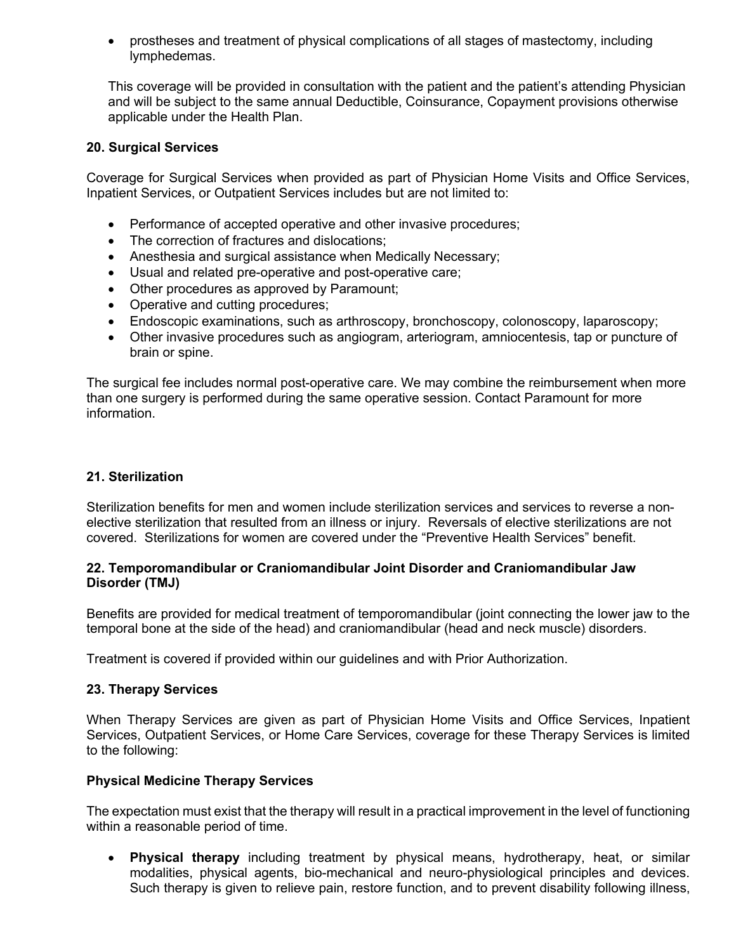• prostheses and treatment of physical complications of all stages of mastectomy, including lymphedemas.

This coverage will be provided in consultation with the patient and the patient's attending Physician and will be subject to the same annual Deductible, Coinsurance, Copayment provisions otherwise applicable under the Health Plan.

#### **20. Surgical Services**

Coverage for Surgical Services when provided as part of Physician Home Visits and Office Services, Inpatient Services, or Outpatient Services includes but are not limited to:

- Performance of accepted operative and other invasive procedures;
- The correction of fractures and dislocations;
- Anesthesia and surgical assistance when Medically Necessary;
- Usual and related pre-operative and post-operative care;
- Other procedures as approved by Paramount;
- Operative and cutting procedures;
- Endoscopic examinations, such as arthroscopy, bronchoscopy, colonoscopy, laparoscopy;
- Other invasive procedures such as angiogram, arteriogram, amniocentesis, tap or puncture of brain or spine.

The surgical fee includes normal post-operative care. We may combine the reimbursement when more than one surgery is performed during the same operative session. Contact Paramount for more information.

#### **21. Sterilization**

Sterilization benefits for men and women include sterilization services and services to reverse a nonelective sterilization that resulted from an illness or injury. Reversals of elective sterilizations are not covered. Sterilizations for women are covered under the "Preventive Health Services" benefit.

#### **22. Temporomandibular or Craniomandibular Joint Disorder and Craniomandibular Jaw Disorder (TMJ)**

Benefits are provided for medical treatment of temporomandibular (joint connecting the lower jaw to the temporal bone at the side of the head) and craniomandibular (head and neck muscle) disorders.

Treatment is covered if provided within our guidelines and with Prior Authorization.

#### **23. Therapy Services**

When Therapy Services are given as part of Physician Home Visits and Office Services, Inpatient Services, Outpatient Services, or Home Care Services, coverage for these Therapy Services is limited to the following:

#### **Physical Medicine Therapy Services**

The expectation must exist that the therapy will result in a practical improvement in the level of functioning within a reasonable period of time.

• **Physical therapy** including treatment by physical means, hydrotherapy, heat, or similar modalities, physical agents, bio-mechanical and neuro-physiological principles and devices. Such therapy is given to relieve pain, restore function, and to prevent disability following illness,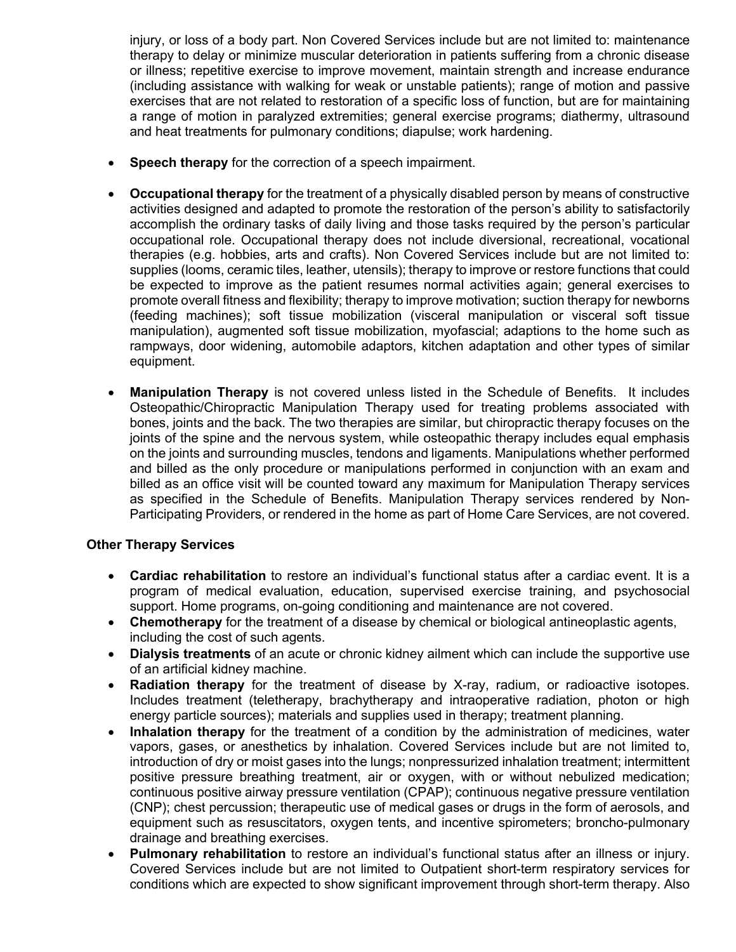injury, or loss of a body part. Non Covered Services include but are not limited to: maintenance therapy to delay or minimize muscular deterioration in patients suffering from a chronic disease or illness; repetitive exercise to improve movement, maintain strength and increase endurance (including assistance with walking for weak or unstable patients); range of motion and passive exercises that are not related to restoration of a specific loss of function, but are for maintaining a range of motion in paralyzed extremities; general exercise programs; diathermy, ultrasound and heat treatments for pulmonary conditions; diapulse; work hardening.

- **Speech therapy** for the correction of a speech impairment.
- **Occupational therapy** for the treatment of a physically disabled person by means of constructive activities designed and adapted to promote the restoration of the person's ability to satisfactorily accomplish the ordinary tasks of daily living and those tasks required by the person's particular occupational role. Occupational therapy does not include diversional, recreational, vocational therapies (e.g. hobbies, arts and crafts). Non Covered Services include but are not limited to: supplies (looms, ceramic tiles, leather, utensils); therapy to improve or restore functions that could be expected to improve as the patient resumes normal activities again; general exercises to promote overall fitness and flexibility; therapy to improve motivation; suction therapy for newborns (feeding machines); soft tissue mobilization (visceral manipulation or visceral soft tissue manipulation), augmented soft tissue mobilization, myofascial; adaptions to the home such as rampways, door widening, automobile adaptors, kitchen adaptation and other types of similar equipment.
- **Manipulation Therapy** is not covered unless listed in the Schedule of Benefits. It includes Osteopathic/Chiropractic Manipulation Therapy used for treating problems associated with bones, joints and the back. The two therapies are similar, but chiropractic therapy focuses on the joints of the spine and the nervous system, while osteopathic therapy includes equal emphasis on the joints and surrounding muscles, tendons and ligaments. Manipulations whether performed and billed as the only procedure or manipulations performed in conjunction with an exam and billed as an office visit will be counted toward any maximum for Manipulation Therapy services as specified in the Schedule of Benefits. Manipulation Therapy services rendered by Non-Participating Providers, or rendered in the home as part of Home Care Services, are not covered.

## **Other Therapy Services**

- **Cardiac rehabilitation** to restore an individual's functional status after a cardiac event. It is a program of medical evaluation, education, supervised exercise training, and psychosocial support. Home programs, on-going conditioning and maintenance are not covered.
- **Chemotherapy** for the treatment of a disease by chemical or biological antineoplastic agents, including the cost of such agents.
- **Dialysis treatments** of an acute or chronic kidney ailment which can include the supportive use of an artificial kidney machine.
- **Radiation therapy** for the treatment of disease by X-ray, radium, or radioactive isotopes. Includes treatment (teletherapy, brachytherapy and intraoperative radiation, photon or high energy particle sources); materials and supplies used in therapy; treatment planning.
- **Inhalation therapy** for the treatment of a condition by the administration of medicines, water vapors, gases, or anesthetics by inhalation. Covered Services include but are not limited to, introduction of dry or moist gases into the lungs; nonpressurized inhalation treatment; intermittent positive pressure breathing treatment, air or oxygen, with or without nebulized medication; continuous positive airway pressure ventilation (CPAP); continuous negative pressure ventilation (CNP); chest percussion; therapeutic use of medical gases or drugs in the form of aerosols, and equipment such as resuscitators, oxygen tents, and incentive spirometers; broncho-pulmonary drainage and breathing exercises.
- **Pulmonary rehabilitation** to restore an individual's functional status after an illness or injury. Covered Services include but are not limited to Outpatient short-term respiratory services for conditions which are expected to show significant improvement through short-term therapy. Also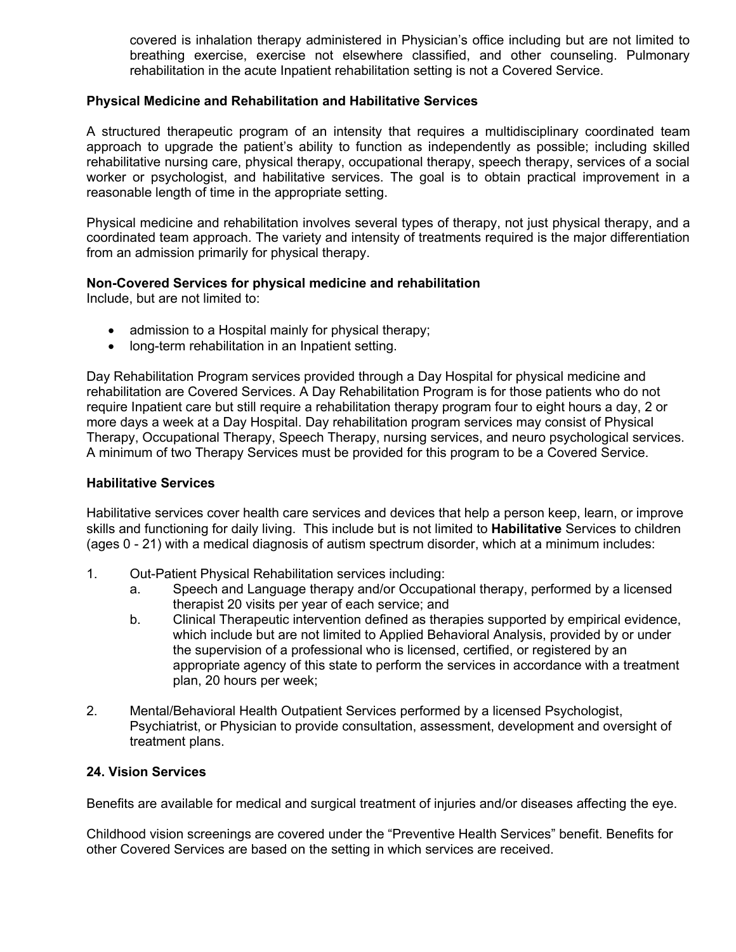covered is inhalation therapy administered in Physician's office including but are not limited to breathing exercise, exercise not elsewhere classified, and other counseling. Pulmonary rehabilitation in the acute Inpatient rehabilitation setting is not a Covered Service.

#### **Physical Medicine and Rehabilitation and Habilitative Services**

A structured therapeutic program of an intensity that requires a multidisciplinary coordinated team approach to upgrade the patient's ability to function as independently as possible; including skilled rehabilitative nursing care, physical therapy, occupational therapy, speech therapy, services of a social worker or psychologist, and habilitative services. The goal is to obtain practical improvement in a reasonable length of time in the appropriate setting.

Physical medicine and rehabilitation involves several types of therapy, not just physical therapy, and a coordinated team approach. The variety and intensity of treatments required is the major differentiation from an admission primarily for physical therapy.

## **Non-Covered Services for physical medicine and rehabilitation**

Include, but are not limited to:

- admission to a Hospital mainly for physical therapy;
- long-term rehabilitation in an Inpatient setting.

Day Rehabilitation Program services provided through a Day Hospital for physical medicine and rehabilitation are Covered Services. A Day Rehabilitation Program is for those patients who do not require Inpatient care but still require a rehabilitation therapy program four to eight hours a day, 2 or more days a week at a Day Hospital. Day rehabilitation program services may consist of Physical Therapy, Occupational Therapy, Speech Therapy, nursing services, and neuro psychological services. A minimum of two Therapy Services must be provided for this program to be a Covered Service.

#### **Habilitative Services**

Habilitative services cover health care services and devices that help a person keep, learn, or improve skills and functioning for daily living. This include but is not limited to **Habilitative** Services to children (ages 0 - 21) with a medical diagnosis of autism spectrum disorder, which at a minimum includes:

- 1. Out-Patient Physical Rehabilitation services including:
	- a. Speech and Language therapy and/or Occupational therapy, performed by a licensed therapist 20 visits per year of each service; and
	- b. Clinical Therapeutic intervention defined as therapies supported by empirical evidence, which include but are not limited to Applied Behavioral Analysis, provided by or under the supervision of a professional who is licensed, certified, or registered by an appropriate agency of this state to perform the services in accordance with a treatment plan, 20 hours per week;
- 2. Mental/Behavioral Health Outpatient Services performed by a licensed Psychologist, Psychiatrist, or Physician to provide consultation, assessment, development and oversight of treatment plans.

#### **24. Vision Services**

Benefits are available for medical and surgical treatment of injuries and/or diseases affecting the eye.

Childhood vision screenings are covered under the "Preventive Health Services" benefit. Benefits for other Covered Services are based on the setting in which services are received.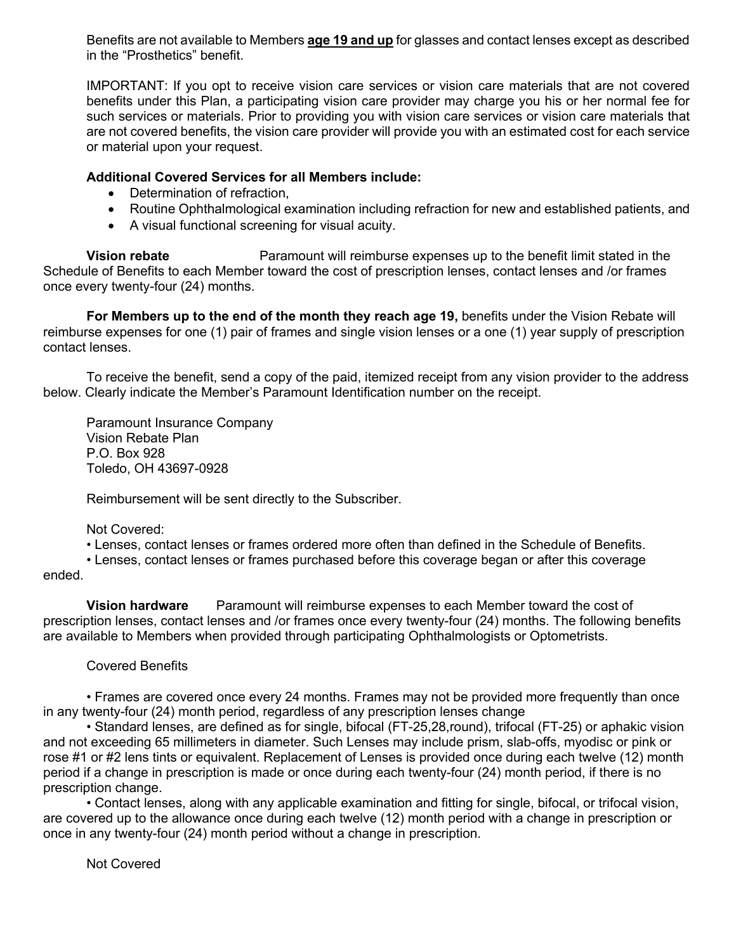Benefits are not available to Members **age 19 and up** for glasses and contact lenses except as described in the "Prosthetics" benefit.

IMPORTANT: If you opt to receive vision care services or vision care materials that are not covered benefits under this Plan, a participating vision care provider may charge you his or her normal fee for such services or materials. Prior to providing you with vision care services or vision care materials that are not covered benefits, the vision care provider will provide you with an estimated cost for each service or material upon your request.

## **Additional Covered Services for all Members include:**

- Determination of refraction,
- Routine Ophthalmological examination including refraction for new and established patients, and
- A visual functional screening for visual acuity.

**Vision rebate** Paramount will reimburse expenses up to the benefit limit stated in the Schedule of Benefits to each Member toward the cost of prescription lenses, contact lenses and /or frames once every twenty-four (24) months.

**For Members up to the end of the month they reach age 19,** benefits under the Vision Rebate will reimburse expenses for one (1) pair of frames and single vision lenses or a one (1) year supply of prescription contact lenses.

To receive the benefit, send a copy of the paid, itemized receipt from any vision provider to the address below. Clearly indicate the Member's Paramount Identification number on the receipt.

Paramount Insurance Company Vision Rebate Plan P.O. Box 928 Toledo, OH 43697-0928

Reimbursement will be sent directly to the Subscriber.

Not Covered:

• Lenses, contact lenses or frames ordered more often than defined in the Schedule of Benefits.

• Lenses, contact lenses or frames purchased before this coverage began or after this coverage ended.

**Vision hardware** Paramount will reimburse expenses to each Member toward the cost of prescription lenses, contact lenses and /or frames once every twenty-four (24) months. The following benefits are available to Members when provided through participating Ophthalmologists or Optometrists.

#### Covered Benefits

• Frames are covered once every 24 months. Frames may not be provided more frequently than once in any twenty-four (24) month period, regardless of any prescription lenses change

• Standard lenses, are defined as for single, bifocal (FT-25,28,round), trifocal (FT-25) or aphakic vision and not exceeding 65 millimeters in diameter. Such Lenses may include prism, slab-offs, myodisc or pink or rose #1 or #2 lens tints or equivalent. Replacement of Lenses is provided once during each twelve (12) month period if a change in prescription is made or once during each twenty-four (24) month period, if there is no prescription change.

• Contact lenses, along with any applicable examination and fitting for single, bifocal, or trifocal vision, are covered up to the allowance once during each twelve (12) month period with a change in prescription or once in any twenty-four (24) month period without a change in prescription.

Not Covered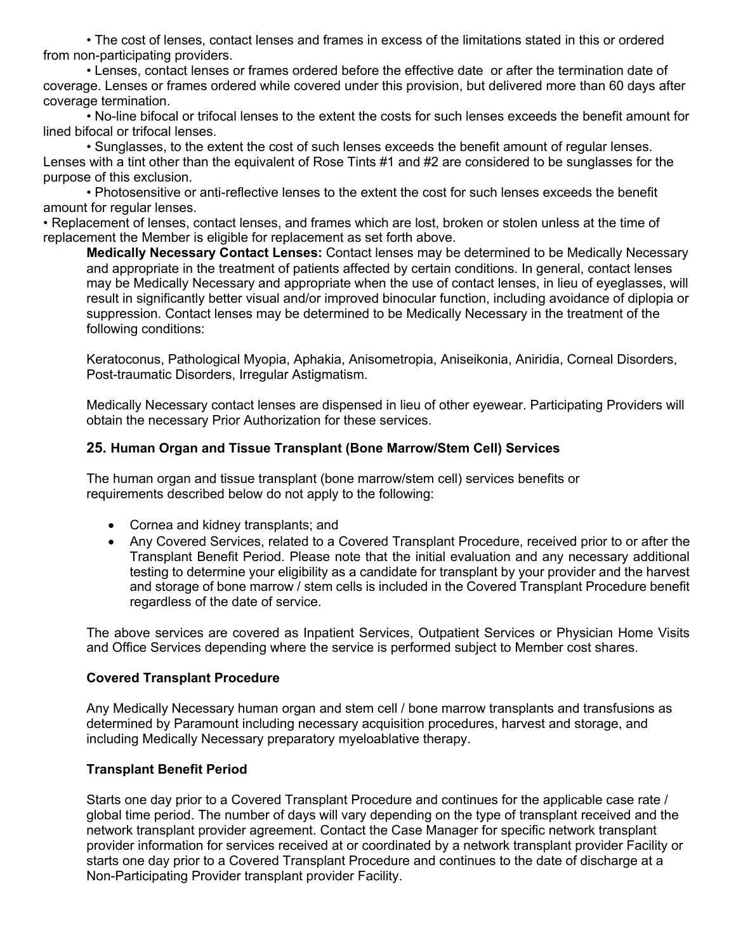• The cost of lenses, contact lenses and frames in excess of the limitations stated in this or ordered from non-participating providers.

• Lenses, contact lenses or frames ordered before the effective date or after the termination date of coverage. Lenses or frames ordered while covered under this provision, but delivered more than 60 days after coverage termination.

• No-line bifocal or trifocal lenses to the extent the costs for such lenses exceeds the benefit amount for lined bifocal or trifocal lenses.

• Sunglasses, to the extent the cost of such lenses exceeds the benefit amount of regular lenses. Lenses with a tint other than the equivalent of Rose Tints #1 and #2 are considered to be sunglasses for the purpose of this exclusion.

• Photosensitive or anti-reflective lenses to the extent the cost for such lenses exceeds the benefit amount for regular lenses.

• Replacement of lenses, contact lenses, and frames which are lost, broken or stolen unless at the time of replacement the Member is eligible for replacement as set forth above.

**Medically Necessary Contact Lenses:** Contact lenses may be determined to be Medically Necessary and appropriate in the treatment of patients affected by certain conditions. In general, contact lenses may be Medically Necessary and appropriate when the use of contact lenses, in lieu of eyeglasses, will result in significantly better visual and/or improved binocular function, including avoidance of diplopia or suppression. Contact lenses may be determined to be Medically Necessary in the treatment of the following conditions:

Keratoconus, Pathological Myopia, Aphakia, Anisometropia, Aniseikonia, Aniridia, Corneal Disorders, Post-traumatic Disorders, Irregular Astigmatism.

Medically Necessary contact lenses are dispensed in lieu of other eyewear. Participating Providers will obtain the necessary Prior Authorization for these services.

#### **25. Human Organ and Tissue Transplant (Bone Marrow/Stem Cell) Services**

The human organ and tissue transplant (bone marrow/stem cell) services benefits or requirements described below do not apply to the following:

- Cornea and kidney transplants; and
- Any Covered Services, related to a Covered Transplant Procedure, received prior to or after the Transplant Benefit Period. Please note that the initial evaluation and any necessary additional testing to determine your eligibility as a candidate for transplant by your provider and the harvest and storage of bone marrow / stem cells is included in the Covered Transplant Procedure benefit regardless of the date of service.

The above services are covered as Inpatient Services, Outpatient Services or Physician Home Visits and Office Services depending where the service is performed subject to Member cost shares.

#### **Covered Transplant Procedure**

Any Medically Necessary human organ and stem cell / bone marrow transplants and transfusions as determined by Paramount including necessary acquisition procedures, harvest and storage, and including Medically Necessary preparatory myeloablative therapy.

#### **Transplant Benefit Period**

Starts one day prior to a Covered Transplant Procedure and continues for the applicable case rate / global time period. The number of days will vary depending on the type of transplant received and the network transplant provider agreement. Contact the Case Manager for specific network transplant provider information for services received at or coordinated by a network transplant provider Facility or starts one day prior to a Covered Transplant Procedure and continues to the date of discharge at a Non-Participating Provider transplant provider Facility.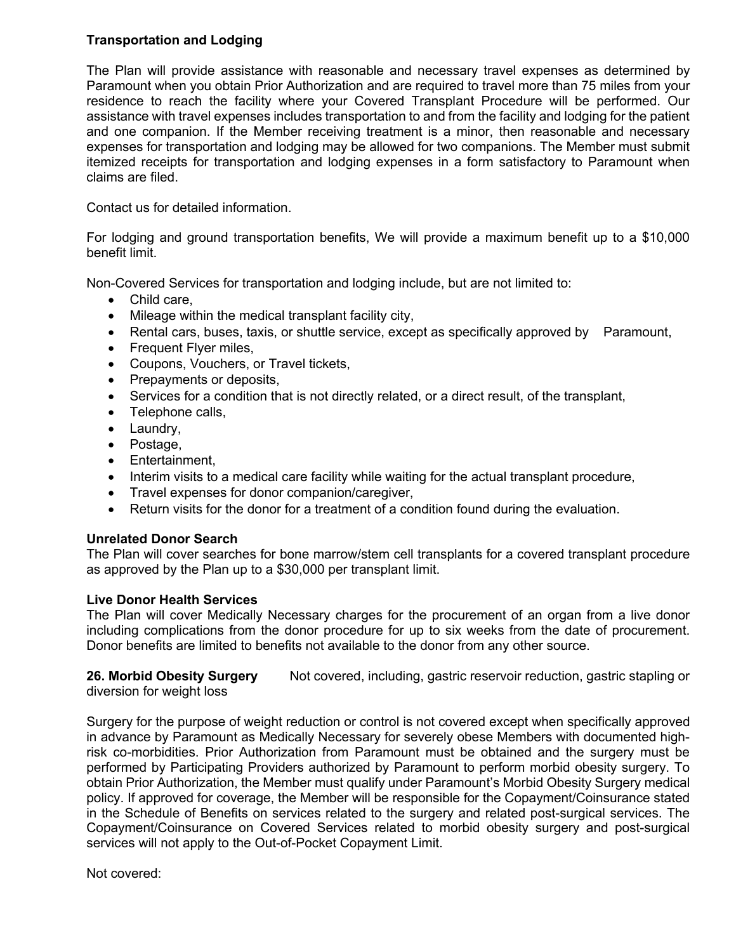# **Transportation and Lodging**

The Plan will provide assistance with reasonable and necessary travel expenses as determined by Paramount when you obtain Prior Authorization and are required to travel more than 75 miles from your residence to reach the facility where your Covered Transplant Procedure will be performed. Our assistance with travel expenses includes transportation to and from the facility and lodging for the patient and one companion. If the Member receiving treatment is a minor, then reasonable and necessary expenses for transportation and lodging may be allowed for two companions. The Member must submit itemized receipts for transportation and lodging expenses in a form satisfactory to Paramount when claims are filed.

Contact us for detailed information.

For lodging and ground transportation benefits, We will provide a maximum benefit up to a \$10,000 benefit limit.

Non-Covered Services for transportation and lodging include, but are not limited to:

- Child care,
- Mileage within the medical transplant facility city,
- Rental cars, buses, taxis, or shuttle service, except as specifically approved by Paramount,
- Frequent Flyer miles,
- Coupons, Vouchers, or Travel tickets,
- Prepayments or deposits,
- Services for a condition that is not directly related, or a direct result, of the transplant,
- Telephone calls.
- Laundry,
- Postage,
- Entertainment,
- Interim visits to a medical care facility while waiting for the actual transplant procedure,
- Travel expenses for donor companion/caregiver,
- Return visits for the donor for a treatment of a condition found during the evaluation.

## **Unrelated Donor Search**

The Plan will cover searches for bone marrow/stem cell transplants for a covered transplant procedure as approved by the Plan up to a \$30,000 per transplant limit.

## **Live Donor Health Services**

The Plan will cover Medically Necessary charges for the procurement of an organ from a live donor including complications from the donor procedure for up to six weeks from the date of procurement. Donor benefits are limited to benefits not available to the donor from any other source.

**26. Morbid Obesity Surgery** Not covered, including, gastric reservoir reduction, gastric stapling or diversion for weight loss

Surgery for the purpose of weight reduction or control is not covered except when specifically approved in advance by Paramount as Medically Necessary for severely obese Members with documented highrisk co-morbidities. Prior Authorization from Paramount must be obtained and the surgery must be performed by Participating Providers authorized by Paramount to perform morbid obesity surgery. To obtain Prior Authorization, the Member must qualify under Paramount's Morbid Obesity Surgery medical policy. If approved for coverage, the Member will be responsible for the Copayment/Coinsurance stated in the Schedule of Benefits on services related to the surgery and related post-surgical services. The Copayment/Coinsurance on Covered Services related to morbid obesity surgery and post-surgical services will not apply to the Out-of-Pocket Copayment Limit.

Not covered: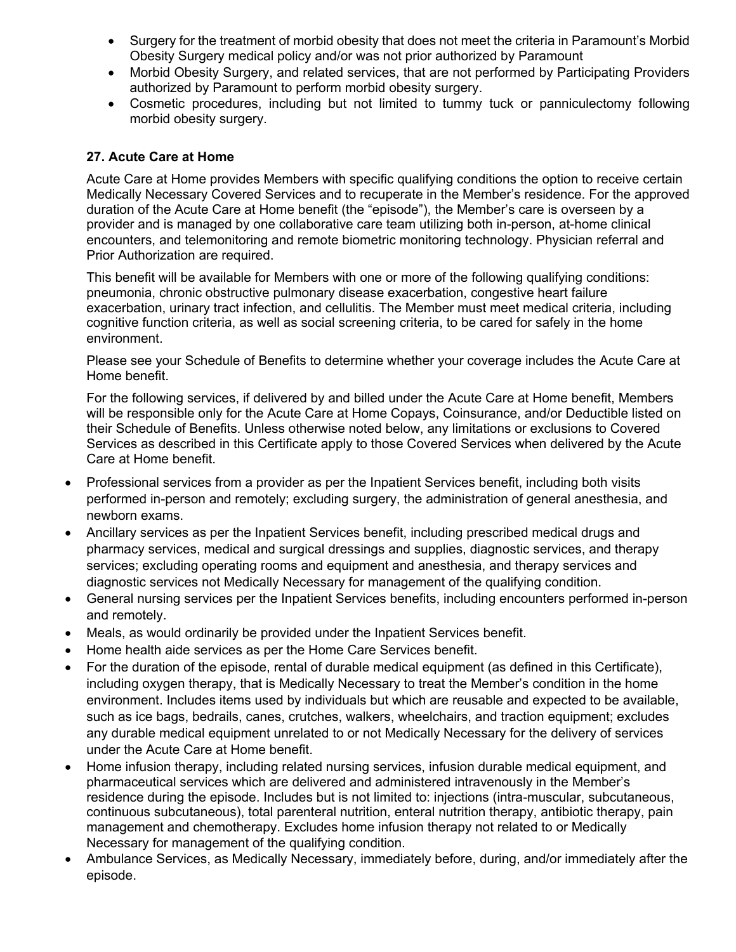- Surgery for the treatment of morbid obesity that does not meet the criteria in Paramount's Morbid Obesity Surgery medical policy and/or was not prior authorized by Paramount
- Morbid Obesity Surgery, and related services, that are not performed by Participating Providers authorized by Paramount to perform morbid obesity surgery.
- Cosmetic procedures, including but not limited to tummy tuck or panniculectomy following morbid obesity surgery.

## **27. Acute Care at Home**

Acute Care at Home provides Members with specific qualifying conditions the option to receive certain Medically Necessary Covered Services and to recuperate in the Member's residence. For the approved duration of the Acute Care at Home benefit (the "episode"), the Member's care is overseen by a provider and is managed by one collaborative care team utilizing both in-person, at-home clinical encounters, and telemonitoring and remote biometric monitoring technology. Physician referral and Prior Authorization are required.

This benefit will be available for Members with one or more of the following qualifying conditions: pneumonia, chronic obstructive pulmonary disease exacerbation, congestive heart failure exacerbation, urinary tract infection, and cellulitis. The Member must meet medical criteria, including cognitive function criteria, as well as social screening criteria, to be cared for safely in the home environment.

Please see your Schedule of Benefits to determine whether your coverage includes the Acute Care at Home benefit.

For the following services, if delivered by and billed under the Acute Care at Home benefit, Members will be responsible only for the Acute Care at Home Copays, Coinsurance, and/or Deductible listed on their Schedule of Benefits. Unless otherwise noted below, any limitations or exclusions to Covered Services as described in this Certificate apply to those Covered Services when delivered by the Acute Care at Home benefit.

- Professional services from a provider as per the Inpatient Services benefit, including both visits performed in-person and remotely; excluding surgery, the administration of general anesthesia, and newborn exams.
- Ancillary services as per the Inpatient Services benefit, including prescribed medical drugs and pharmacy services, medical and surgical dressings and supplies, diagnostic services, and therapy services; excluding operating rooms and equipment and anesthesia, and therapy services and diagnostic services not Medically Necessary for management of the qualifying condition.
- General nursing services per the Inpatient Services benefits, including encounters performed in-person and remotely.
- Meals, as would ordinarily be provided under the Inpatient Services benefit.
- Home health aide services as per the Home Care Services benefit.
- For the duration of the episode, rental of durable medical equipment (as defined in this Certificate), including oxygen therapy, that is Medically Necessary to treat the Member's condition in the home environment. Includes items used by individuals but which are reusable and expected to be available, such as ice bags, bedrails, canes, crutches, walkers, wheelchairs, and traction equipment; excludes any durable medical equipment unrelated to or not Medically Necessary for the delivery of services under the Acute Care at Home benefit.
- Home infusion therapy, including related nursing services, infusion durable medical equipment, and pharmaceutical services which are delivered and administered intravenously in the Member's residence during the episode. Includes but is not limited to: injections (intra-muscular, subcutaneous, continuous subcutaneous), total parenteral nutrition, enteral nutrition therapy, antibiotic therapy, pain management and chemotherapy. Excludes home infusion therapy not related to or Medically Necessary for management of the qualifying condition.
- Ambulance Services, as Medically Necessary, immediately before, during, and/or immediately after the episode.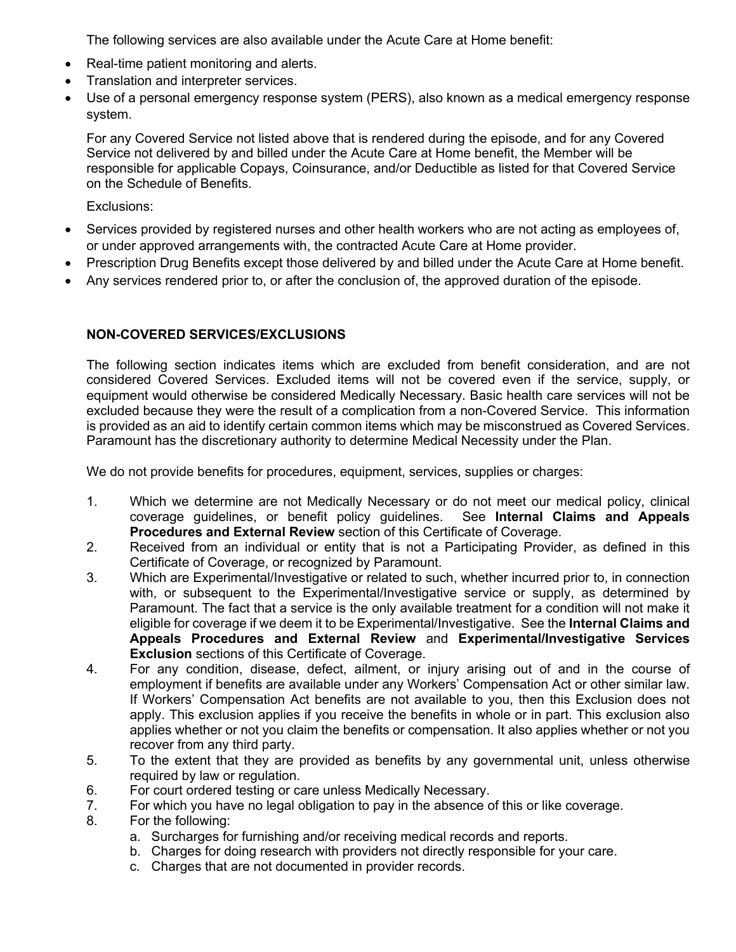The following services are also available under the Acute Care at Home benefit:

- Real-time patient monitoring and alerts.
- Translation and interpreter services.
- Use of a personal emergency response system (PERS), also known as a medical emergency response system.

For any Covered Service not listed above that is rendered during the episode, and for any Covered Service not delivered by and billed under the Acute Care at Home benefit, the Member will be responsible for applicable Copays, Coinsurance, and/or Deductible as listed for that Covered Service on the Schedule of Benefits.

Exclusions:

- Services provided by registered nurses and other health workers who are not acting as employees of, or under approved arrangements with, the contracted Acute Care at Home provider.
- Prescription Drug Benefits except those delivered by and billed under the Acute Care at Home benefit.
- Any services rendered prior to, or after the conclusion of, the approved duration of the episode.

# **NON-COVERED SERVICES/EXCLUSIONS**

The following section indicates items which are excluded from benefit consideration, and are not considered Covered Services. Excluded items will not be covered even if the service, supply, or equipment would otherwise be considered Medically Necessary. Basic health care services will not be excluded because they were the result of a complication from a non-Covered Service. This information is provided as an aid to identify certain common items which may be misconstrued as Covered Services. Paramount has the discretionary authority to determine Medical Necessity under the Plan.

We do not provide benefits for procedures, equipment, services, supplies or charges:

- 1. Which we determine are not Medically Necessary or do not meet our medical policy, clinical coverage guidelines, or benefit policy guidelines. See **Internal Claims and Appeals Procedures and External Review** section of this Certificate of Coverage.
- 2. Received from an individual or entity that is not a Participating Provider, as defined in this Certificate of Coverage, or recognized by Paramount.
- 3. Which are Experimental/Investigative or related to such, whether incurred prior to, in connection with, or subsequent to the Experimental/Investigative service or supply, as determined by Paramount. The fact that a service is the only available treatment for a condition will not make it eligible for coverage if we deem it to be Experimental/Investigative. See the **Internal Claims and Appeals Procedures and External Review** and **Experimental/Investigative Services Exclusion** sections of this Certificate of Coverage.
- 4. For any condition, disease, defect, ailment, or injury arising out of and in the course of employment if benefits are available under any Workers' Compensation Act or other similar law. If Workers' Compensation Act benefits are not available to you, then this Exclusion does not apply. This exclusion applies if you receive the benefits in whole or in part. This exclusion also applies whether or not you claim the benefits or compensation. It also applies whether or not you recover from any third party.
- 5. To the extent that they are provided as benefits by any governmental unit, unless otherwise required by law or regulation.
- 6. For court ordered testing or care unless Medically Necessary.
- 7. For which you have no legal obligation to pay in the absence of this or like coverage.
- 8. For the following:
	- a. Surcharges for furnishing and/or receiving medical records and reports.
	- b. Charges for doing research with providers not directly responsible for your care.
	- c. Charges that are not documented in provider records.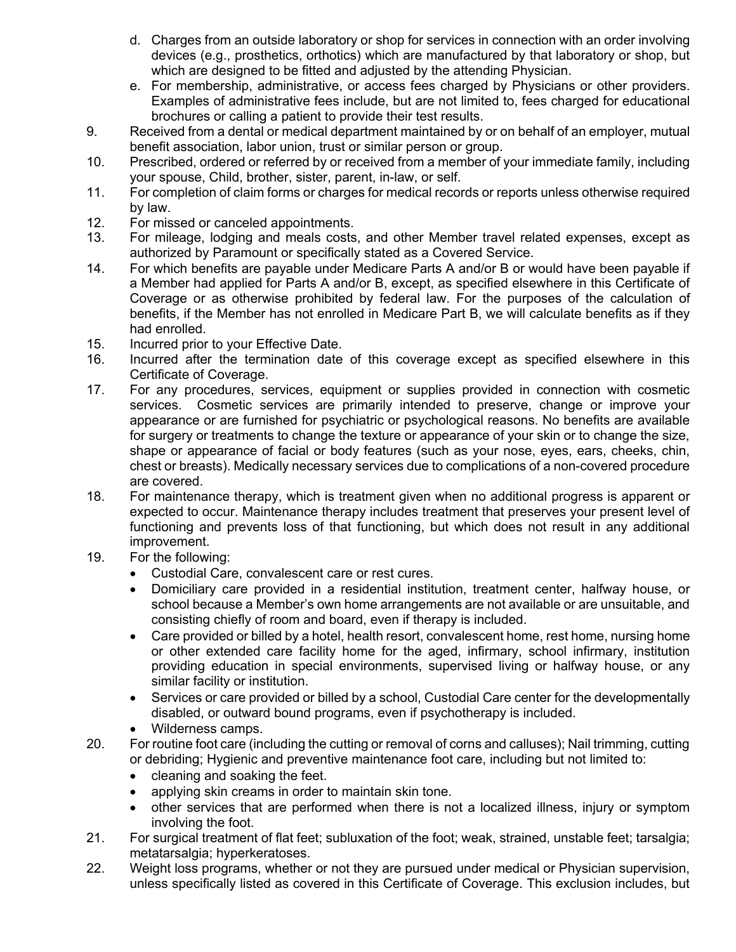- d. Charges from an outside laboratory or shop for services in connection with an order involving devices (e.g., prosthetics, orthotics) which are manufactured by that laboratory or shop, but which are designed to be fitted and adjusted by the attending Physician.
- e. For membership, administrative, or access fees charged by Physicians or other providers. Examples of administrative fees include, but are not limited to, fees charged for educational brochures or calling a patient to provide their test results.
- 9. Received from a dental or medical department maintained by or on behalf of an employer, mutual benefit association, labor union, trust or similar person or group.
- 10. Prescribed, ordered or referred by or received from a member of your immediate family, including your spouse, Child, brother, sister, parent, in-law, or self.
- 11. For completion of claim forms or charges for medical records or reports unless otherwise required by law.
- 12. For missed or canceled appointments.
- 13. For mileage, lodging and meals costs, and other Member travel related expenses, except as authorized by Paramount or specifically stated as a Covered Service.
- 14. For which benefits are payable under Medicare Parts A and/or B or would have been payable if a Member had applied for Parts A and/or B, except, as specified elsewhere in this Certificate of Coverage or as otherwise prohibited by federal law. For the purposes of the calculation of benefits, if the Member has not enrolled in Medicare Part B, we will calculate benefits as if they had enrolled.
- 15. Incurred prior to your Effective Date.
- 16. Incurred after the termination date of this coverage except as specified elsewhere in this Certificate of Coverage.
- 17. For any procedures, services, equipment or supplies provided in connection with cosmetic services. Cosmetic services are primarily intended to preserve, change or improve your appearance or are furnished for psychiatric or psychological reasons. No benefits are available for surgery or treatments to change the texture or appearance of your skin or to change the size, shape or appearance of facial or body features (such as your nose, eyes, ears, cheeks, chin, chest or breasts). Medically necessary services due to complications of a non-covered procedure are covered.
- 18. For maintenance therapy, which is treatment given when no additional progress is apparent or expected to occur. Maintenance therapy includes treatment that preserves your present level of functioning and prevents loss of that functioning, but which does not result in any additional improvement.
- 19. For the following:
	- Custodial Care, convalescent care or rest cures.
	- Domiciliary care provided in a residential institution, treatment center, halfway house, or school because a Member's own home arrangements are not available or are unsuitable, and consisting chiefly of room and board, even if therapy is included.
	- Care provided or billed by a hotel, health resort, convalescent home, rest home, nursing home or other extended care facility home for the aged, infirmary, school infirmary, institution providing education in special environments, supervised living or halfway house, or any similar facility or institution.
	- Services or care provided or billed by a school, Custodial Care center for the developmentally disabled, or outward bound programs, even if psychotherapy is included.
	- Wilderness camps.
- 20. For routine foot care (including the cutting or removal of corns and calluses); Nail trimming, cutting or debriding; Hygienic and preventive maintenance foot care, including but not limited to:
	- cleaning and soaking the feet.
	- applying skin creams in order to maintain skin tone.
	- other services that are performed when there is not a localized illness, injury or symptom involving the foot.
- 21. For surgical treatment of flat feet; subluxation of the foot; weak, strained, unstable feet; tarsalgia; metatarsalgia; hyperkeratoses.
- 22. Weight loss programs, whether or not they are pursued under medical or Physician supervision, unless specifically listed as covered in this Certificate of Coverage. This exclusion includes, but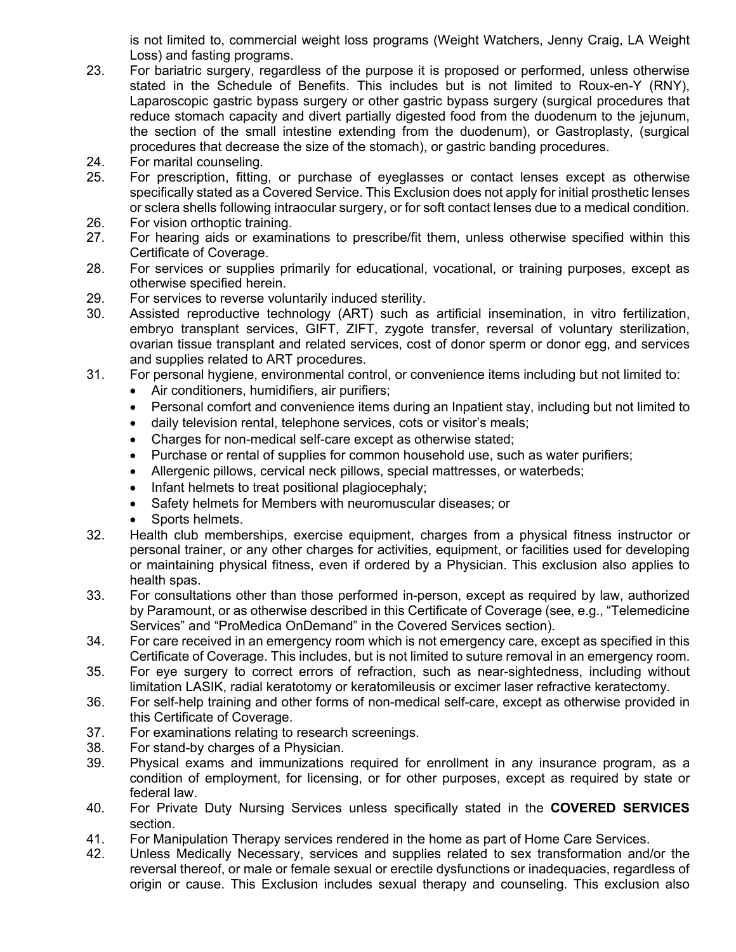is not limited to, commercial weight loss programs (Weight Watchers, Jenny Craig, LA Weight Loss) and fasting programs.

- 23. For bariatric surgery, regardless of the purpose it is proposed or performed, unless otherwise stated in the Schedule of Benefits. This includes but is not limited to Roux-en-Y (RNY), Laparoscopic gastric bypass surgery or other gastric bypass surgery (surgical procedures that reduce stomach capacity and divert partially digested food from the duodenum to the jejunum, the section of the small intestine extending from the duodenum), or Gastroplasty, (surgical procedures that decrease the size of the stomach), or gastric banding procedures.
- 24. For marital counseling.
- 25. For prescription, fitting, or purchase of eyeglasses or contact lenses except as otherwise specifically stated as a Covered Service. This Exclusion does not apply for initial prosthetic lenses or sclera shells following intraocular surgery, or for soft contact lenses due to a medical condition.
- 26. For vision orthoptic training.
- 27. For hearing aids or examinations to prescribe/fit them, unless otherwise specified within this Certificate of Coverage.
- 28. For services or supplies primarily for educational, vocational, or training purposes, except as otherwise specified herein.
- 29. For services to reverse voluntarily induced sterility.
- 30. Assisted reproductive technology (ART) such as artificial insemination, in vitro fertilization, embryo transplant services, GIFT, ZIFT, zygote transfer, reversal of voluntary sterilization, ovarian tissue transplant and related services, cost of donor sperm or donor egg, and services and supplies related to ART procedures.
- 31. For personal hygiene, environmental control, or convenience items including but not limited to:
	- Air conditioners, humidifiers, air purifiers;
	- Personal comfort and convenience items during an Inpatient stay, including but not limited to
	- daily television rental, telephone services, cots or visitor's meals;
	- Charges for non-medical self-care except as otherwise stated;
	- Purchase or rental of supplies for common household use, such as water purifiers;
	- Allergenic pillows, cervical neck pillows, special mattresses, or waterbeds;
	- Infant helmets to treat positional plagiocephaly;
	- Safety helmets for Members with neuromuscular diseases; or
	- Sports helmets.
- 32. Health club memberships, exercise equipment, charges from a physical fitness instructor or personal trainer, or any other charges for activities, equipment, or facilities used for developing or maintaining physical fitness, even if ordered by a Physician. This exclusion also applies to health spas.
- 33. For consultations other than those performed in-person, except as required by law, authorized by Paramount, or as otherwise described in this Certificate of Coverage (see, e.g., "Telemedicine Services" and "ProMedica OnDemand" in the Covered Services section).
- 34. For care received in an emergency room which is not emergency care, except as specified in this Certificate of Coverage. This includes, but is not limited to suture removal in an emergency room.
- 35. For eye surgery to correct errors of refraction, such as near-sightedness, including without limitation LASIK, radial keratotomy or keratomileusis or excimer laser refractive keratectomy.
- 36. For self-help training and other forms of non-medical self-care, except as otherwise provided in this Certificate of Coverage.
- 37. For examinations relating to research screenings.
- 38. For stand-by charges of a Physician.
- 39. Physical exams and immunizations required for enrollment in any insurance program, as a condition of employment, for licensing, or for other purposes, except as required by state or federal law.
- 40. For Private Duty Nursing Services unless specifically stated in the **COVERED SERVICES** section.
- 41. For Manipulation Therapy services rendered in the home as part of Home Care Services.
- 42. Unless Medically Necessary, services and supplies related to sex transformation and/or the reversal thereof, or male or female sexual or erectile dysfunctions or inadequacies, regardless of origin or cause. This Exclusion includes sexual therapy and counseling. This exclusion also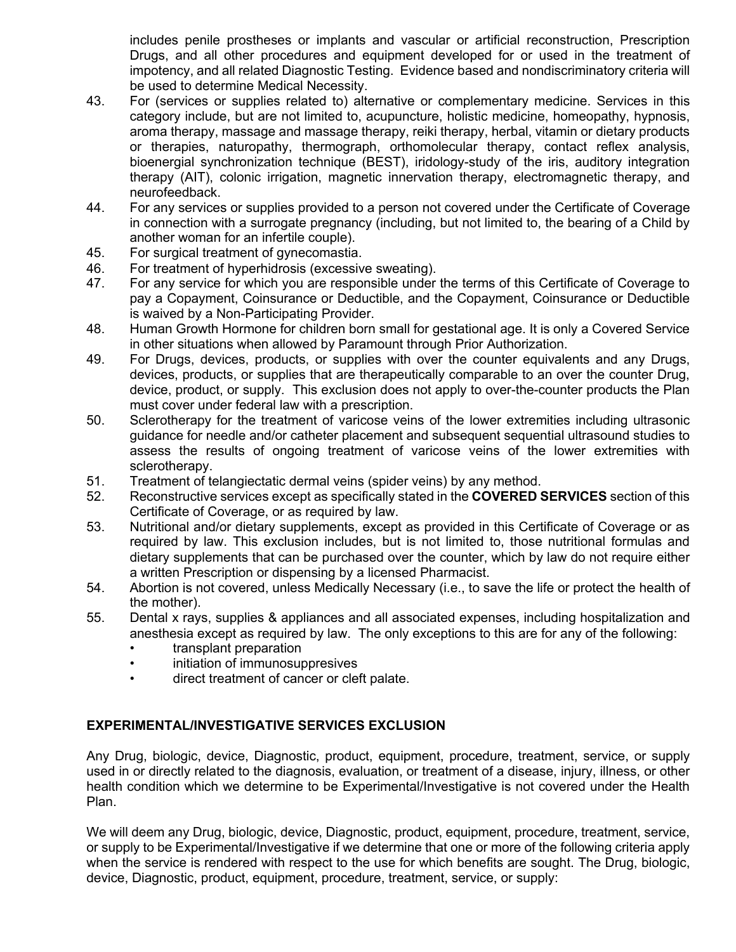includes penile prostheses or implants and vascular or artificial reconstruction, Prescription Drugs, and all other procedures and equipment developed for or used in the treatment of impotency, and all related Diagnostic Testing. Evidence based and nondiscriminatory criteria will be used to determine Medical Necessity.

- 43. For (services or supplies related to) alternative or complementary medicine. Services in this category include, but are not limited to, acupuncture, holistic medicine, homeopathy, hypnosis, aroma therapy, massage and massage therapy, reiki therapy, herbal, vitamin or dietary products or therapies, naturopathy, thermograph, orthomolecular therapy, contact reflex analysis, bioenergial synchronization technique (BEST), iridology-study of the iris, auditory integration therapy (AIT), colonic irrigation, magnetic innervation therapy, electromagnetic therapy, and neurofeedback.
- 44. For any services or supplies provided to a person not covered under the Certificate of Coverage in connection with a surrogate pregnancy (including, but not limited to, the bearing of a Child by another woman for an infertile couple).
- 45. For surgical treatment of gynecomastia.
- 46. For treatment of hyperhidrosis (excessive sweating).
- 47. For any service for which you are responsible under the terms of this Certificate of Coverage to pay a Copayment, Coinsurance or Deductible, and the Copayment, Coinsurance or Deductible is waived by a Non-Participating Provider.
- 48. Human Growth Hormone for children born small for gestational age. It is only a Covered Service in other situations when allowed by Paramount through Prior Authorization.
- 49. For Drugs, devices, products, or supplies with over the counter equivalents and any Drugs, devices, products, or supplies that are therapeutically comparable to an over the counter Drug, device, product, or supply. This exclusion does not apply to over-the-counter products the Plan must cover under federal law with a prescription.
- 50. Sclerotherapy for the treatment of varicose veins of the lower extremities including ultrasonic guidance for needle and/or catheter placement and subsequent sequential ultrasound studies to assess the results of ongoing treatment of varicose veins of the lower extremities with sclerotherapy.
- 51. Treatment of telangiectatic dermal veins (spider veins) by any method.
- 52. Reconstructive services except as specifically stated in the **COVERED SERVICES** section of this Certificate of Coverage, or as required by law.
- 53. Nutritional and/or dietary supplements, except as provided in this Certificate of Coverage or as required by law. This exclusion includes, but is not limited to, those nutritional formulas and dietary supplements that can be purchased over the counter, which by law do not require either a written Prescription or dispensing by a licensed Pharmacist.
- 54. Abortion is not covered, unless Medically Necessary (i.e., to save the life or protect the health of the mother).
- 55. Dental x rays, supplies & appliances and all associated expenses, including hospitalization and anesthesia except as required by law. The only exceptions to this are for any of the following:
	- transplant preparation
	- initiation of immunosuppresives
	- direct treatment of cancer or cleft palate.

## **EXPERIMENTAL/INVESTIGATIVE SERVICES EXCLUSION**

Any Drug, biologic, device, Diagnostic, product, equipment, procedure, treatment, service, or supply used in or directly related to the diagnosis, evaluation, or treatment of a disease, injury, illness, or other health condition which we determine to be Experimental/Investigative is not covered under the Health Plan.

We will deem any Drug, biologic, device, Diagnostic, product, equipment, procedure, treatment, service, or supply to be Experimental/Investigative if we determine that one or more of the following criteria apply when the service is rendered with respect to the use for which benefits are sought. The Drug, biologic, device, Diagnostic, product, equipment, procedure, treatment, service, or supply: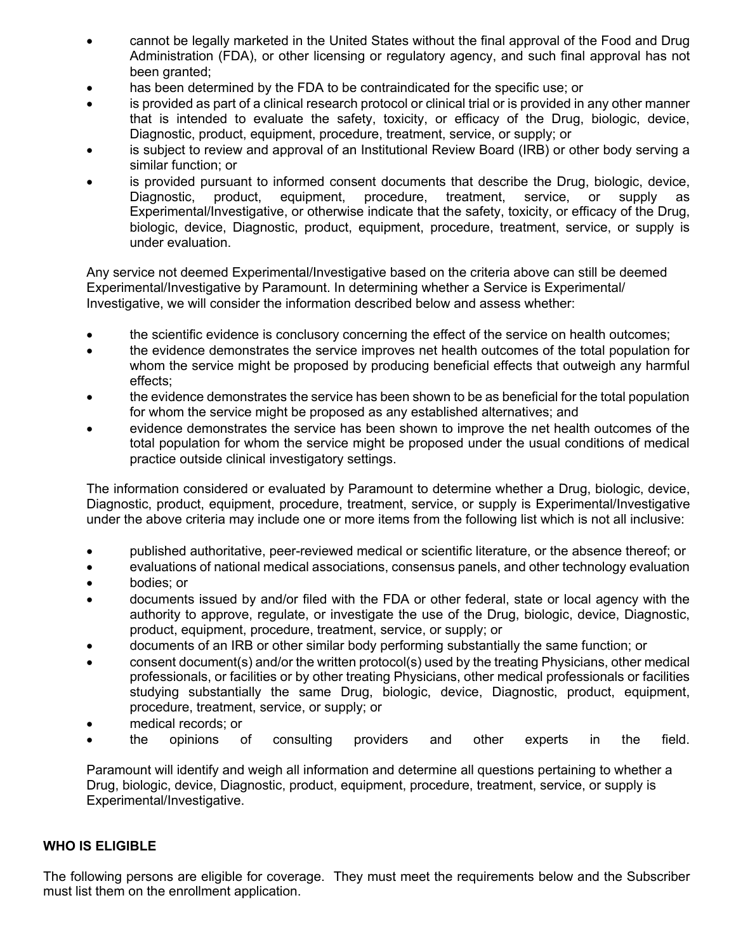- cannot be legally marketed in the United States without the final approval of the Food and Drug Administration (FDA), or other licensing or regulatory agency, and such final approval has not been granted;
- has been determined by the FDA to be contraindicated for the specific use; or
- is provided as part of a clinical research protocol or clinical trial or is provided in any other manner that is intended to evaluate the safety, toxicity, or efficacy of the Drug, biologic, device, Diagnostic, product, equipment, procedure, treatment, service, or supply; or
- is subject to review and approval of an Institutional Review Board (IRB) or other body serving a similar function; or
- is provided pursuant to informed consent documents that describe the Drug, biologic, device, Diagnostic, product, equipment, procedure, treatment, service, or supply as Experimental/Investigative, or otherwise indicate that the safety, toxicity, or efficacy of the Drug, biologic, device, Diagnostic, product, equipment, procedure, treatment, service, or supply is under evaluation.

Any service not deemed Experimental/Investigative based on the criteria above can still be deemed Experimental/Investigative by Paramount. In determining whether a Service is Experimental/ Investigative, we will consider the information described below and assess whether:

- the scientific evidence is conclusory concerning the effect of the service on health outcomes;
- the evidence demonstrates the service improves net health outcomes of the total population for whom the service might be proposed by producing beneficial effects that outweigh any harmful effects;
- the evidence demonstrates the service has been shown to be as beneficial for the total population for whom the service might be proposed as any established alternatives; and
- evidence demonstrates the service has been shown to improve the net health outcomes of the total population for whom the service might be proposed under the usual conditions of medical practice outside clinical investigatory settings.

The information considered or evaluated by Paramount to determine whether a Drug, biologic, device, Diagnostic, product, equipment, procedure, treatment, service, or supply is Experimental/Investigative under the above criteria may include one or more items from the following list which is not all inclusive:

- published authoritative, peer-reviewed medical or scientific literature, or the absence thereof; or
- evaluations of national medical associations, consensus panels, and other technology evaluation
- bodies; or
- documents issued by and/or filed with the FDA or other federal, state or local agency with the authority to approve, regulate, or investigate the use of the Drug, biologic, device, Diagnostic, product, equipment, procedure, treatment, service, or supply; or
- documents of an IRB or other similar body performing substantially the same function; or
- consent document(s) and/or the written protocol(s) used by the treating Physicians, other medical professionals, or facilities or by other treating Physicians, other medical professionals or facilities studying substantially the same Drug, biologic, device, Diagnostic, product, equipment, procedure, treatment, service, or supply; or
- medical records; or
- the opinions of consulting providers and other experts in the field.

Paramount will identify and weigh all information and determine all questions pertaining to whether a Drug, biologic, device, Diagnostic, product, equipment, procedure, treatment, service, or supply is Experimental/Investigative.

#### **WHO IS ELIGIBLE**

The following persons are eligible for coverage. They must meet the requirements below and the Subscriber must list them on the enrollment application.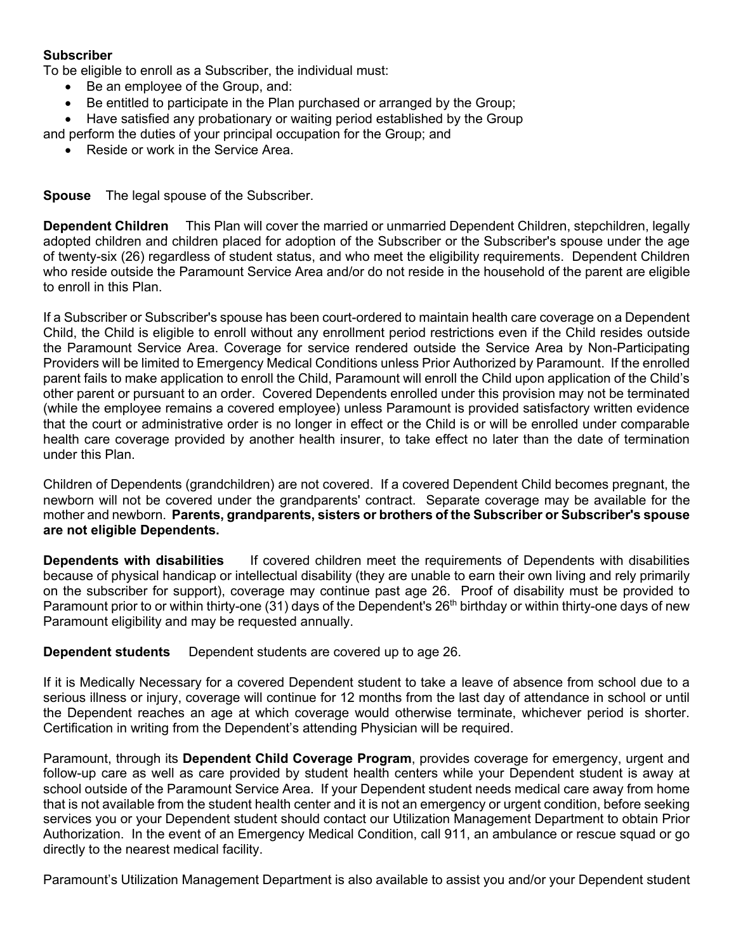## **Subscriber**

To be eligible to enroll as a Subscriber, the individual must:

- Be an employee of the Group, and:
- Be entitled to participate in the Plan purchased or arranged by the Group;

• Have satisfied any probationary or waiting period established by the Group

- and perform the duties of your principal occupation for the Group; and
	- Reside or work in the Service Area.

**Spouse** The legal spouse of the Subscriber.

**Dependent Children** This Plan will cover the married or unmarried Dependent Children, stepchildren, legally adopted children and children placed for adoption of the Subscriber or the Subscriber's spouse under the age of twenty-six (26) regardless of student status, and who meet the eligibility requirements. Dependent Children who reside outside the Paramount Service Area and/or do not reside in the household of the parent are eligible to enroll in this Plan.

If a Subscriber or Subscriber's spouse has been court-ordered to maintain health care coverage on a Dependent Child, the Child is eligible to enroll without any enrollment period restrictions even if the Child resides outside the Paramount Service Area. Coverage for service rendered outside the Service Area by Non-Participating Providers will be limited to Emergency Medical Conditions unless Prior Authorized by Paramount. If the enrolled parent fails to make application to enroll the Child, Paramount will enroll the Child upon application of the Child's other parent or pursuant to an order. Covered Dependents enrolled under this provision may not be terminated (while the employee remains a covered employee) unless Paramount is provided satisfactory written evidence that the court or administrative order is no longer in effect or the Child is or will be enrolled under comparable health care coverage provided by another health insurer, to take effect no later than the date of termination under this Plan.

Children of Dependents (grandchildren) are not covered. If a covered Dependent Child becomes pregnant, the newborn will not be covered under the grandparents' contract. Separate coverage may be available for the mother and newborn. **Parents, grandparents, sisters or brothers of the Subscriber or Subscriber's spouse are not eligible Dependents.**

**Dependents with disabilities** If covered children meet the requirements of Dependents with disabilities because of physical handicap or intellectual disability (they are unable to earn their own living and rely primarily on the subscriber for support), coverage may continue past age 26. Proof of disability must be provided to Paramount prior to or within thirty-one (31) days of the Dependent's  $26<sup>th</sup>$  birthday or within thirty-one days of new Paramount eligibility and may be requested annually.

**Dependent students** Dependent students are covered up to age 26.

If it is Medically Necessary for a covered Dependent student to take a leave of absence from school due to a serious illness or injury, coverage will continue for 12 months from the last day of attendance in school or until the Dependent reaches an age at which coverage would otherwise terminate, whichever period is shorter. Certification in writing from the Dependent's attending Physician will be required.

Paramount, through its **Dependent Child Coverage Program**, provides coverage for emergency, urgent and follow-up care as well as care provided by student health centers while your Dependent student is away at school outside of the Paramount Service Area. If your Dependent student needs medical care away from home that is not available from the student health center and it is not an emergency or urgent condition, before seeking services you or your Dependent student should contact our Utilization Management Department to obtain Prior Authorization. In the event of an Emergency Medical Condition, call 911, an ambulance or rescue squad or go directly to the nearest medical facility.

Paramount's Utilization Management Department is also available to assist you and/or your Dependent student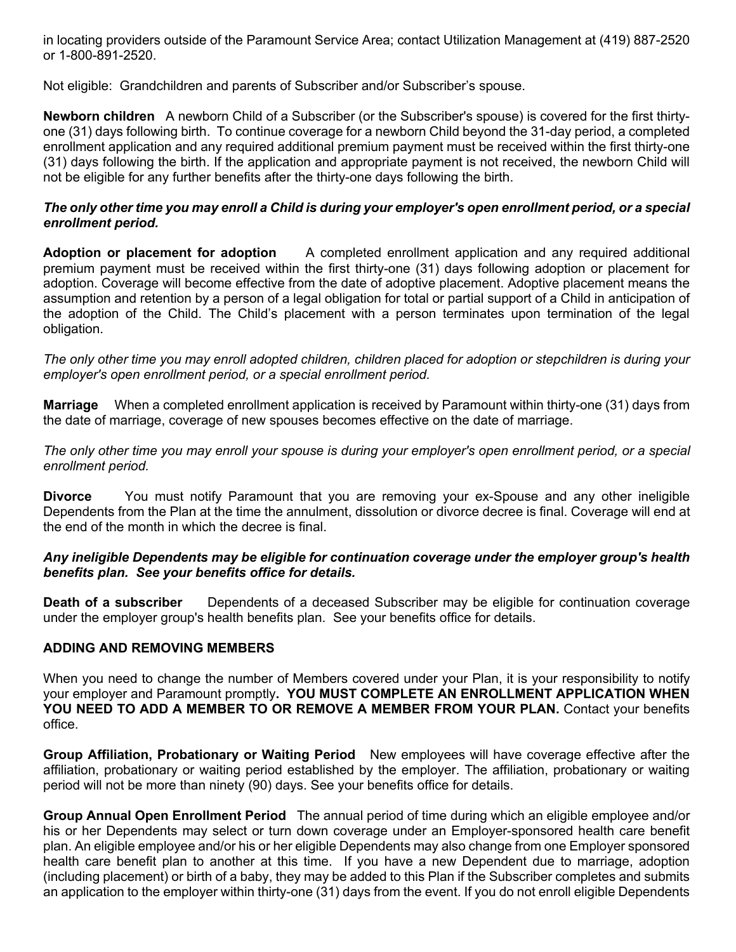in locating providers outside of the Paramount Service Area; contact Utilization Management at (419) 887-2520 or 1-800-891-2520.

Not eligible: Grandchildren and parents of Subscriber and/or Subscriber's spouse.

**Newborn children** A newborn Child of a Subscriber (or the Subscriber's spouse) is covered for the first thirtyone (31) days following birth. To continue coverage for a newborn Child beyond the 31-day period, a completed enrollment application and any required additional premium payment must be received within the first thirty-one (31) days following the birth. If the application and appropriate payment is not received, the newborn Child will not be eligible for any further benefits after the thirty-one days following the birth.

## *The only other time you may enroll a Child is during your employer's open enrollment period, or a special enrollment period.*

**Adoption or placement for adoption** A completed enrollment application and any required additional premium payment must be received within the first thirty-one (31) days following adoption or placement for adoption. Coverage will become effective from the date of adoptive placement. Adoptive placement means the assumption and retention by a person of a legal obligation for total or partial support of a Child in anticipation of the adoption of the Child. The Child's placement with a person terminates upon termination of the legal obligation.

*The only other time you may enroll adopted children, children placed for adoption or stepchildren is during your employer's open enrollment period, or a special enrollment period.*

**Marriage** When a completed enrollment application is received by Paramount within thirty-one (31) days from the date of marriage, coverage of new spouses becomes effective on the date of marriage.

*The only other time you may enroll your spouse is during your employer's open enrollment period, or a special enrollment period.*

**Divorce** You must notify Paramount that you are removing your ex-Spouse and any other ineligible Dependents from the Plan at the time the annulment, dissolution or divorce decree is final. Coverage will end at the end of the month in which the decree is final.

## *Any ineligible Dependents may be eligible for continuation coverage under the employer group's health benefits plan. See your benefits office for details.*

**Death of a subscriber** Dependents of a deceased Subscriber may be eligible for continuation coverage under the employer group's health benefits plan. See your benefits office for details.

## **ADDING AND REMOVING MEMBERS**

When you need to change the number of Members covered under your Plan, it is your responsibility to notify your employer and Paramount promptly**. YOU MUST COMPLETE AN ENROLLMENT APPLICATION WHEN YOU NEED TO ADD A MEMBER TO OR REMOVE A MEMBER FROM YOUR PLAN.** Contact your benefits office.

**Group Affiliation, Probationary or Waiting Period** New employees will have coverage effective after the affiliation, probationary or waiting period established by the employer. The affiliation, probationary or waiting period will not be more than ninety (90) days. See your benefits office for details.

**Group Annual Open Enrollment Period** The annual period of time during which an eligible employee and/or his or her Dependents may select or turn down coverage under an Employer-sponsored health care benefit plan. An eligible employee and/or his or her eligible Dependents may also change from one Employer sponsored health care benefit plan to another at this time. If you have a new Dependent due to marriage, adoption (including placement) or birth of a baby, they may be added to this Plan if the Subscriber completes and submits an application to the employer within thirty-one (31) days from the event. If you do not enroll eligible Dependents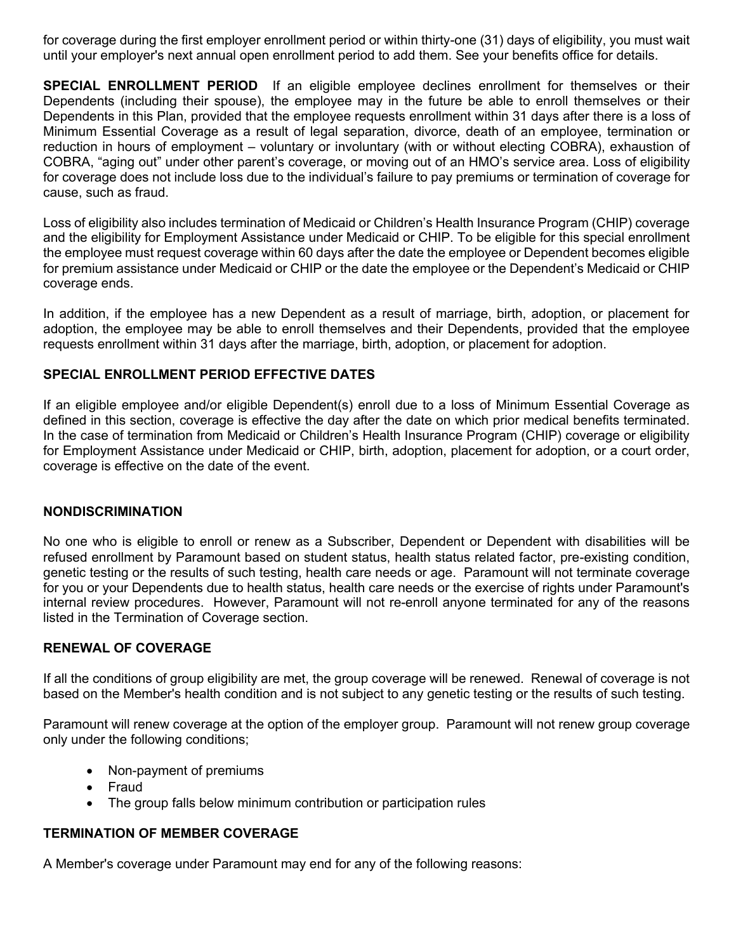for coverage during the first employer enrollment period or within thirty-one (31) days of eligibility, you must wait until your employer's next annual open enrollment period to add them. See your benefits office for details.

**SPECIAL ENROLLMENT PERIOD** If an eligible employee declines enrollment for themselves or their Dependents (including their spouse), the employee may in the future be able to enroll themselves or their Dependents in this Plan, provided that the employee requests enrollment within 31 days after there is a loss of Minimum Essential Coverage as a result of legal separation, divorce, death of an employee, termination or reduction in hours of employment – voluntary or involuntary (with or without electing COBRA), exhaustion of COBRA, "aging out" under other parent's coverage, or moving out of an HMO's service area. Loss of eligibility for coverage does not include loss due to the individual's failure to pay premiums or termination of coverage for cause, such as fraud.

Loss of eligibility also includes termination of Medicaid or Children's Health Insurance Program (CHIP) coverage and the eligibility for Employment Assistance under Medicaid or CHIP. To be eligible for this special enrollment the employee must request coverage within 60 days after the date the employee or Dependent becomes eligible for premium assistance under Medicaid or CHIP or the date the employee or the Dependent's Medicaid or CHIP coverage ends.

In addition, if the employee has a new Dependent as a result of marriage, birth, adoption, or placement for adoption, the employee may be able to enroll themselves and their Dependents, provided that the employee requests enrollment within 31 days after the marriage, birth, adoption, or placement for adoption.

## **SPECIAL ENROLLMENT PERIOD EFFECTIVE DATES**

If an eligible employee and/or eligible Dependent(s) enroll due to a loss of Minimum Essential Coverage as defined in this section, coverage is effective the day after the date on which prior medical benefits terminated. In the case of termination from Medicaid or Children's Health Insurance Program (CHIP) coverage or eligibility for Employment Assistance under Medicaid or CHIP, birth, adoption, placement for adoption, or a court order, coverage is effective on the date of the event.

## **NONDISCRIMINATION**

No one who is eligible to enroll or renew as a Subscriber, Dependent or Dependent with disabilities will be refused enrollment by Paramount based on student status, health status related factor, pre-existing condition, genetic testing or the results of such testing, health care needs or age. Paramount will not terminate coverage for you or your Dependents due to health status, health care needs or the exercise of rights under Paramount's internal review procedures. However, Paramount will not re-enroll anyone terminated for any of the reasons listed in the Termination of Coverage section.

## **RENEWAL OF COVERAGE**

If all the conditions of group eligibility are met, the group coverage will be renewed. Renewal of coverage is not based on the Member's health condition and is not subject to any genetic testing or the results of such testing.

Paramount will renew coverage at the option of the employer group. Paramount will not renew group coverage only under the following conditions;

- Non-payment of premiums
- Fraud
- The group falls below minimum contribution or participation rules

## **TERMINATION OF MEMBER COVERAGE**

A Member's coverage under Paramount may end for any of the following reasons: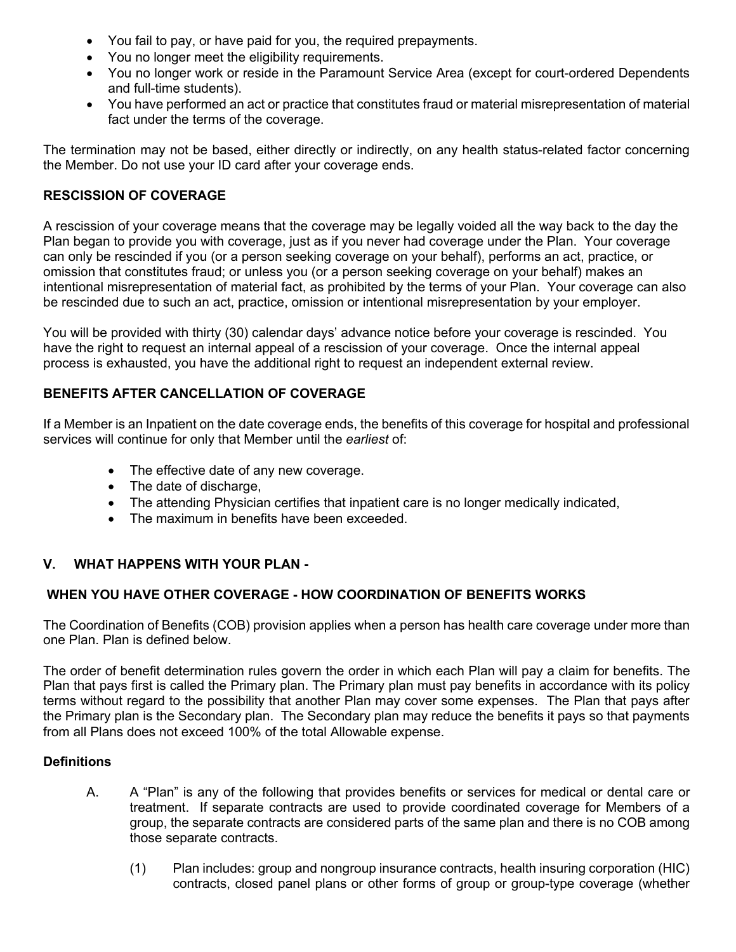- You fail to pay, or have paid for you, the required prepayments.
- You no longer meet the eligibility requirements.
- You no longer work or reside in the Paramount Service Area (except for court-ordered Dependents and full-time students).
- You have performed an act or practice that constitutes fraud or material misrepresentation of material fact under the terms of the coverage.

The termination may not be based, either directly or indirectly, on any health status-related factor concerning the Member. Do not use your ID card after your coverage ends.

## **RESCISSION OF COVERAGE**

A rescission of your coverage means that the coverage may be legally voided all the way back to the day the Plan began to provide you with coverage, just as if you never had coverage under the Plan. Your coverage can only be rescinded if you (or a person seeking coverage on your behalf), performs an act, practice, or omission that constitutes fraud; or unless you (or a person seeking coverage on your behalf) makes an intentional misrepresentation of material fact, as prohibited by the terms of your Plan. Your coverage can also be rescinded due to such an act, practice, omission or intentional misrepresentation by your employer.

You will be provided with thirty (30) calendar days' advance notice before your coverage is rescinded. You have the right to request an internal appeal of a rescission of your coverage. Once the internal appeal process is exhausted, you have the additional right to request an independent external review.

## **BENEFITS AFTER CANCELLATION OF COVERAGE**

If a Member is an Inpatient on the date coverage ends, the benefits of this coverage for hospital and professional services will continue for only that Member until the *earliest* of:

- The effective date of any new coverage.
- The date of discharge,
- The attending Physician certifies that inpatient care is no longer medically indicated,
- The maximum in benefits have been exceeded

## **V. WHAT HAPPENS WITH YOUR PLAN -**

## **WHEN YOU HAVE OTHER COVERAGE - HOW COORDINATION OF BENEFITS WORKS**

The Coordination of Benefits (COB) provision applies when a person has health care coverage under more than one Plan. Plan is defined below.

The order of benefit determination rules govern the order in which each Plan will pay a claim for benefits. The Plan that pays first is called the Primary plan. The Primary plan must pay benefits in accordance with its policy terms without regard to the possibility that another Plan may cover some expenses. The Plan that pays after the Primary plan is the Secondary plan. The Secondary plan may reduce the benefits it pays so that payments from all Plans does not exceed 100% of the total Allowable expense.

#### **Definitions**

- A. A "Plan" is any of the following that provides benefits or services for medical or dental care or treatment. If separate contracts are used to provide coordinated coverage for Members of a group, the separate contracts are considered parts of the same plan and there is no COB among those separate contracts.
	- (1) Plan includes: group and nongroup insurance contracts, health insuring corporation (HIC) contracts, closed panel plans or other forms of group or group-type coverage (whether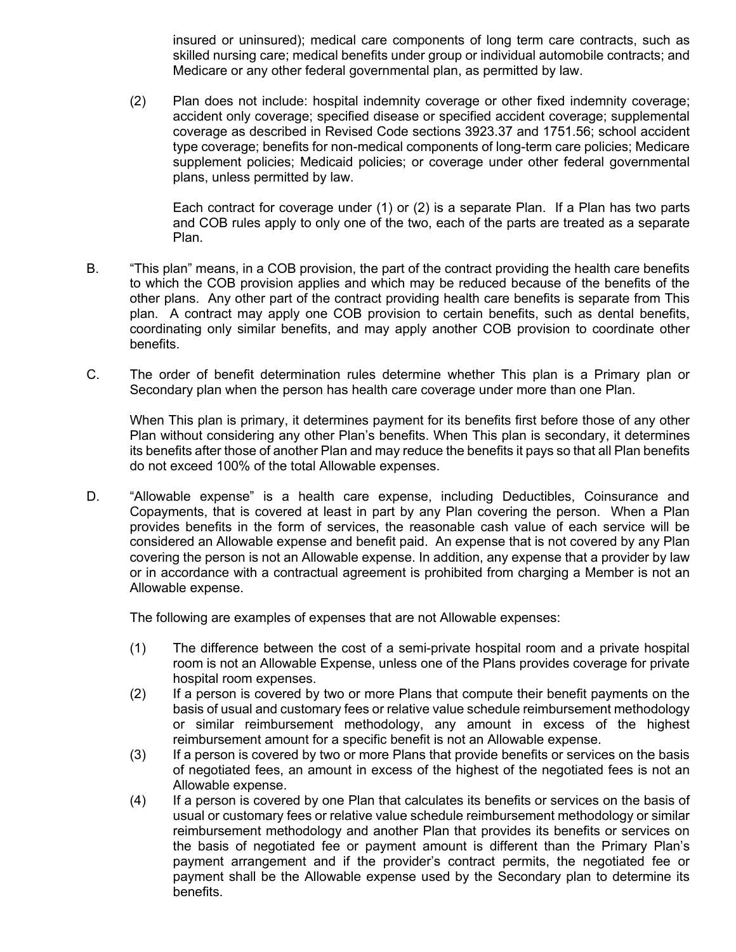insured or uninsured); medical care components of long term care contracts, such as skilled nursing care; medical benefits under group or individual automobile contracts; and Medicare or any other federal governmental plan, as permitted by law.

(2) Plan does not include: hospital indemnity coverage or other fixed indemnity coverage; accident only coverage; specified disease or specified accident coverage; supplemental coverage as described in Revised Code sections 3923.37 and 1751.56; school accident type coverage; benefits for non-medical components of long-term care policies; Medicare supplement policies; Medicaid policies; or coverage under other federal governmental plans, unless permitted by law.

Each contract for coverage under (1) or (2) is a separate Plan. If a Plan has two parts and COB rules apply to only one of the two, each of the parts are treated as a separate Plan.

- B. "This plan" means, in a COB provision, the part of the contract providing the health care benefits to which the COB provision applies and which may be reduced because of the benefits of the other plans. Any other part of the contract providing health care benefits is separate from This plan. A contract may apply one COB provision to certain benefits, such as dental benefits, coordinating only similar benefits, and may apply another COB provision to coordinate other benefits.
- C. The order of benefit determination rules determine whether This plan is a Primary plan or Secondary plan when the person has health care coverage under more than one Plan.

When This plan is primary, it determines payment for its benefits first before those of any other Plan without considering any other Plan's benefits. When This plan is secondary, it determines its benefits after those of another Plan and may reduce the benefits it pays so that all Plan benefits do not exceed 100% of the total Allowable expenses.

D. "Allowable expense" is a health care expense, including Deductibles, Coinsurance and Copayments, that is covered at least in part by any Plan covering the person. When a Plan provides benefits in the form of services, the reasonable cash value of each service will be considered an Allowable expense and benefit paid. An expense that is not covered by any Plan covering the person is not an Allowable expense. In addition, any expense that a provider by law or in accordance with a contractual agreement is prohibited from charging a Member is not an Allowable expense.

The following are examples of expenses that are not Allowable expenses:

- (1) The difference between the cost of a semi-private hospital room and a private hospital room is not an Allowable Expense, unless one of the Plans provides coverage for private hospital room expenses.
- (2) If a person is covered by two or more Plans that compute their benefit payments on the basis of usual and customary fees or relative value schedule reimbursement methodology or similar reimbursement methodology, any amount in excess of the highest reimbursement amount for a specific benefit is not an Allowable expense.
- (3) If a person is covered by two or more Plans that provide benefits or services on the basis of negotiated fees, an amount in excess of the highest of the negotiated fees is not an Allowable expense.
- (4) If a person is covered by one Plan that calculates its benefits or services on the basis of usual or customary fees or relative value schedule reimbursement methodology or similar reimbursement methodology and another Plan that provides its benefits or services on the basis of negotiated fee or payment amount is different than the Primary Plan's payment arrangement and if the provider's contract permits, the negotiated fee or payment shall be the Allowable expense used by the Secondary plan to determine its benefits.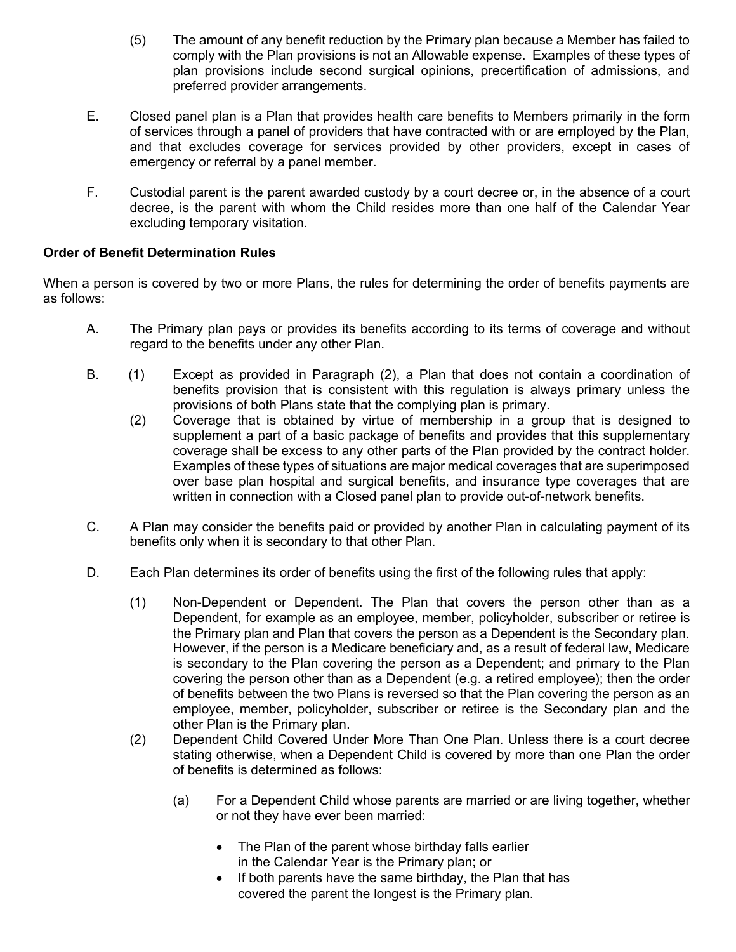- (5) The amount of any benefit reduction by the Primary plan because a Member has failed to comply with the Plan provisions is not an Allowable expense. Examples of these types of plan provisions include second surgical opinions, precertification of admissions, and preferred provider arrangements.
- E. Closed panel plan is a Plan that provides health care benefits to Members primarily in the form of services through a panel of providers that have contracted with or are employed by the Plan, and that excludes coverage for services provided by other providers, except in cases of emergency or referral by a panel member.
- F. Custodial parent is the parent awarded custody by a court decree or, in the absence of a court decree, is the parent with whom the Child resides more than one half of the Calendar Year excluding temporary visitation.

# **Order of Benefit Determination Rules**

When a person is covered by two or more Plans, the rules for determining the order of benefits payments are as follows:

- A. The Primary plan pays or provides its benefits according to its terms of coverage and without regard to the benefits under any other Plan.
- B. (1) Except as provided in Paragraph (2), a Plan that does not contain a coordination of benefits provision that is consistent with this regulation is always primary unless the provisions of both Plans state that the complying plan is primary.
	- (2) Coverage that is obtained by virtue of membership in a group that is designed to supplement a part of a basic package of benefits and provides that this supplementary coverage shall be excess to any other parts of the Plan provided by the contract holder. Examples of these types of situations are major medical coverages that are superimposed over base plan hospital and surgical benefits, and insurance type coverages that are written in connection with a Closed panel plan to provide out-of-network benefits.
- C. A Plan may consider the benefits paid or provided by another Plan in calculating payment of its benefits only when it is secondary to that other Plan.
- D. Each Plan determines its order of benefits using the first of the following rules that apply:
	- (1) Non-Dependent or Dependent. The Plan that covers the person other than as a Dependent, for example as an employee, member, policyholder, subscriber or retiree is the Primary plan and Plan that covers the person as a Dependent is the Secondary plan. However, if the person is a Medicare beneficiary and, as a result of federal law, Medicare is secondary to the Plan covering the person as a Dependent; and primary to the Plan covering the person other than as a Dependent (e.g. a retired employee); then the order of benefits between the two Plans is reversed so that the Plan covering the person as an employee, member, policyholder, subscriber or retiree is the Secondary plan and the other Plan is the Primary plan.
	- (2) Dependent Child Covered Under More Than One Plan. Unless there is a court decree stating otherwise, when a Dependent Child is covered by more than one Plan the order of benefits is determined as follows:
		- (a) For a Dependent Child whose parents are married or are living together, whether or not they have ever been married:
			- The Plan of the parent whose birthday falls earlier in the Calendar Year is the Primary plan; or
			- If both parents have the same birthday, the Plan that has covered the parent the longest is the Primary plan.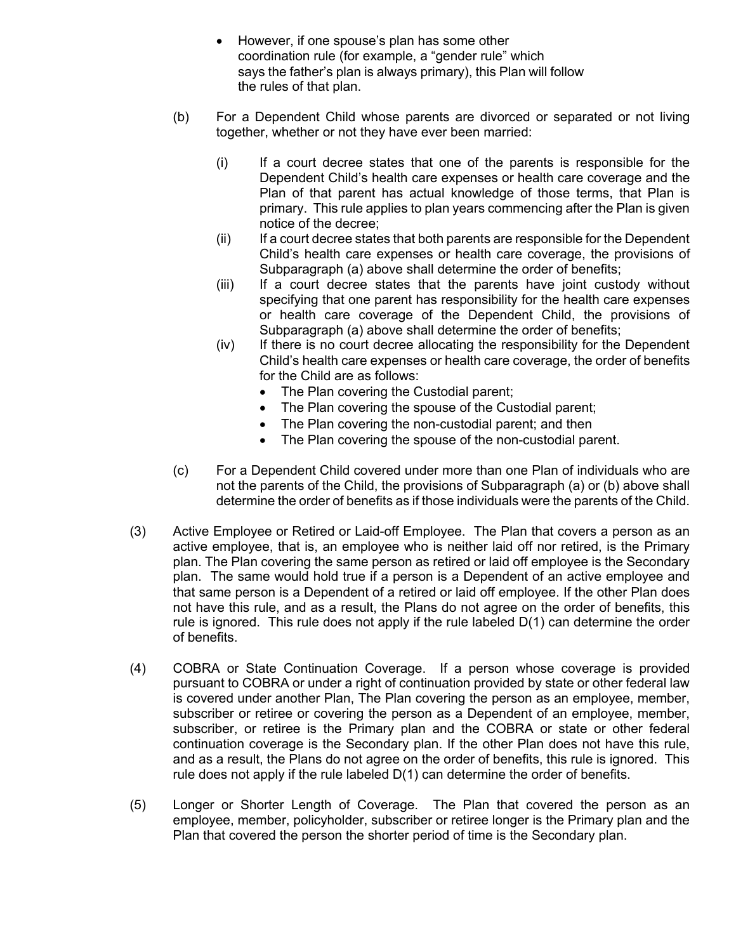- However, if one spouse's plan has some other coordination rule (for example, a "gender rule" which says the father's plan is always primary), this Plan will follow the rules of that plan.
- (b) For a Dependent Child whose parents are divorced or separated or not living together, whether or not they have ever been married:
	- (i) If a court decree states that one of the parents is responsible for the Dependent Child's health care expenses or health care coverage and the Plan of that parent has actual knowledge of those terms, that Plan is primary. This rule applies to plan years commencing after the Plan is given notice of the decree;
	- (ii) If a court decree states that both parents are responsible for the Dependent Child's health care expenses or health care coverage, the provisions of Subparagraph (a) above shall determine the order of benefits;
	- (iii) If a court decree states that the parents have joint custody without specifying that one parent has responsibility for the health care expenses or health care coverage of the Dependent Child, the provisions of Subparagraph (a) above shall determine the order of benefits;
	- (iv) If there is no court decree allocating the responsibility for the Dependent Child's health care expenses or health care coverage, the order of benefits for the Child are as follows:
		- The Plan covering the Custodial parent;
		- The Plan covering the spouse of the Custodial parent;
		- The Plan covering the non-custodial parent; and then
		- The Plan covering the spouse of the non-custodial parent.
- (c) For a Dependent Child covered under more than one Plan of individuals who are not the parents of the Child, the provisions of Subparagraph (a) or (b) above shall determine the order of benefits as if those individuals were the parents of the Child.
- (3) Active Employee or Retired or Laid-off Employee. The Plan that covers a person as an active employee, that is, an employee who is neither laid off nor retired, is the Primary plan. The Plan covering the same person as retired or laid off employee is the Secondary plan. The same would hold true if a person is a Dependent of an active employee and that same person is a Dependent of a retired or laid off employee. If the other Plan does not have this rule, and as a result, the Plans do not agree on the order of benefits, this rule is ignored. This rule does not apply if the rule labeled D(1) can determine the order of benefits.
- (4) COBRA or State Continuation Coverage. If a person whose coverage is provided pursuant to COBRA or under a right of continuation provided by state or other federal law is covered under another Plan, The Plan covering the person as an employee, member, subscriber or retiree or covering the person as a Dependent of an employee, member, subscriber, or retiree is the Primary plan and the COBRA or state or other federal continuation coverage is the Secondary plan. If the other Plan does not have this rule, and as a result, the Plans do not agree on the order of benefits, this rule is ignored. This rule does not apply if the rule labeled  $D(1)$  can determine the order of benefits.
- (5) Longer or Shorter Length of Coverage. The Plan that covered the person as an employee, member, policyholder, subscriber or retiree longer is the Primary plan and the Plan that covered the person the shorter period of time is the Secondary plan.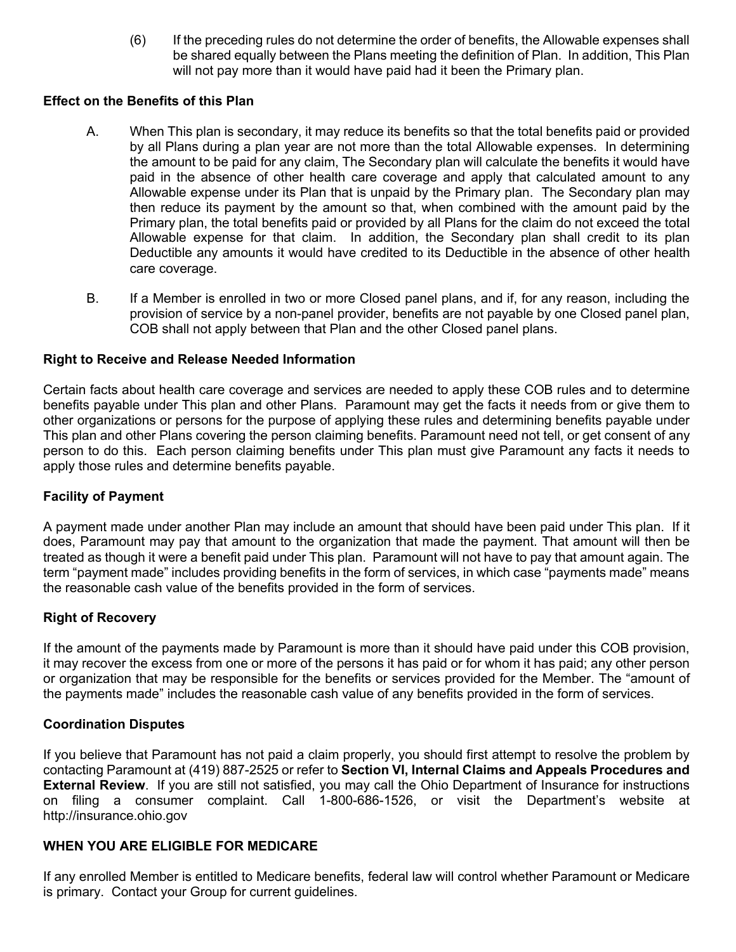(6) If the preceding rules do not determine the order of benefits, the Allowable expenses shall be shared equally between the Plans meeting the definition of Plan. In addition, This Plan will not pay more than it would have paid had it been the Primary plan.

## **Effect on the Benefits of this Plan**

- A. When This plan is secondary, it may reduce its benefits so that the total benefits paid or provided by all Plans during a plan year are not more than the total Allowable expenses. In determining the amount to be paid for any claim, The Secondary plan will calculate the benefits it would have paid in the absence of other health care coverage and apply that calculated amount to any Allowable expense under its Plan that is unpaid by the Primary plan. The Secondary plan may then reduce its payment by the amount so that, when combined with the amount paid by the Primary plan, the total benefits paid or provided by all Plans for the claim do not exceed the total Allowable expense for that claim. In addition, the Secondary plan shall credit to its plan Deductible any amounts it would have credited to its Deductible in the absence of other health care coverage.
- B. If a Member is enrolled in two or more Closed panel plans, and if, for any reason, including the provision of service by a non-panel provider, benefits are not payable by one Closed panel plan, COB shall not apply between that Plan and the other Closed panel plans.

## **Right to Receive and Release Needed Information**

Certain facts about health care coverage and services are needed to apply these COB rules and to determine benefits payable under This plan and other Plans. Paramount may get the facts it needs from or give them to other organizations or persons for the purpose of applying these rules and determining benefits payable under This plan and other Plans covering the person claiming benefits. Paramount need not tell, or get consent of any person to do this. Each person claiming benefits under This plan must give Paramount any facts it needs to apply those rules and determine benefits payable.

## **Facility of Payment**

A payment made under another Plan may include an amount that should have been paid under This plan. If it does, Paramount may pay that amount to the organization that made the payment. That amount will then be treated as though it were a benefit paid under This plan. Paramount will not have to pay that amount again. The term "payment made" includes providing benefits in the form of services, in which case "payments made" means the reasonable cash value of the benefits provided in the form of services.

#### **Right of Recovery**

If the amount of the payments made by Paramount is more than it should have paid under this COB provision, it may recover the excess from one or more of the persons it has paid or for whom it has paid; any other person or organization that may be responsible for the benefits or services provided for the Member. The "amount of the payments made" includes the reasonable cash value of any benefits provided in the form of services.

#### **Coordination Disputes**

If you believe that Paramount has not paid a claim properly, you should first attempt to resolve the problem by contacting Paramount at (419) 887-2525 or refer to **Section VI, Internal Claims and Appeals Procedures and External Review**. If you are still not satisfied, you may call the Ohio Department of Insurance for instructions on filing a consumer complaint. Call 1-800-686-1526, or visit the Department's website at http://insurance.ohio.gov

#### **WHEN YOU ARE ELIGIBLE FOR MEDICARE**

If any enrolled Member is entitled to Medicare benefits, federal law will control whether Paramount or Medicare is primary. Contact your Group for current guidelines.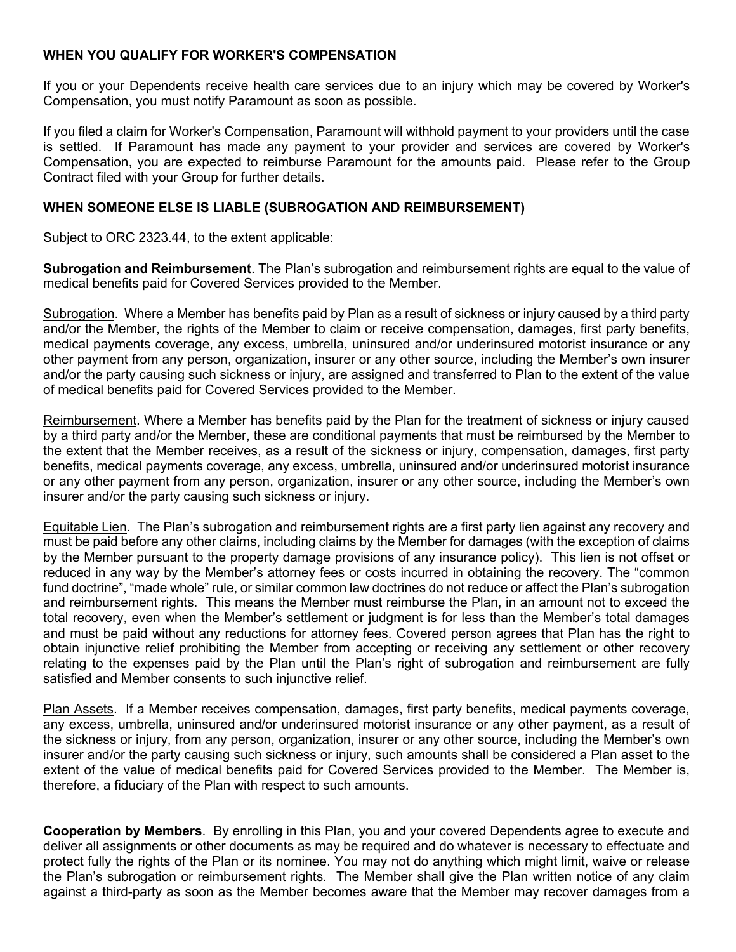## **WHEN YOU QUALIFY FOR WORKER'S COMPENSATION**

If you or your Dependents receive health care services due to an injury which may be covered by Worker's Compensation, you must notify Paramount as soon as possible.

If you filed a claim for Worker's Compensation, Paramount will withhold payment to your providers until the case is settled. If Paramount has made any payment to your provider and services are covered by Worker's Compensation, you are expected to reimburse Paramount for the amounts paid. Please refer to the Group Contract filed with your Group for further details.

## **WHEN SOMEONE ELSE IS LIABLE (SUBROGATION AND REIMBURSEMENT)**

Subject to ORC 2323.44, to the extent applicable:

**Subrogation and Reimbursement**. The Plan's subrogation and reimbursement rights are equal to the value of medical benefits paid for Covered Services provided to the Member.

Subrogation. Where a Member has benefits paid by Plan as a result of sickness or injury caused by a third party and/or the Member, the rights of the Member to claim or receive compensation, damages, first party benefits, medical payments coverage, any excess, umbrella, uninsured and/or underinsured motorist insurance or any other payment from any person, organization, insurer or any other source, including the Member's own insurer and/or the party causing such sickness or injury, are assigned and transferred to Plan to the extent of the value of medical benefits paid for Covered Services provided to the Member.

Reimbursement. Where a Member has benefits paid by the Plan for the treatment of sickness or injury caused by a third party and/or the Member, these are conditional payments that must be reimbursed by the Member to the extent that the Member receives, as a result of the sickness or injury, compensation, damages, first party benefits, medical payments coverage, any excess, umbrella, uninsured and/or underinsured motorist insurance or any other payment from any person, organization, insurer or any other source, including the Member's own insurer and/or the party causing such sickness or injury.

Equitable Lien. The Plan's subrogation and reimbursement rights are a first party lien against any recovery and must be paid before any other claims, including claims by the Member for damages (with the exception of claims by the Member pursuant to the property damage provisions of any insurance policy). This lien is not offset or reduced in any way by the Member's attorney fees or costs incurred in obtaining the recovery. The "common fund doctrine", "made whole" rule, or similar common law doctrines do not reduce or affect the Plan's subrogation and reimbursement rights. This means the Member must reimburse the Plan, in an amount not to exceed the total recovery, even when the Member's settlement or judgment is for less than the Member's total damages and must be paid without any reductions for attorney fees. Covered person agrees that Plan has the right to obtain injunctive relief prohibiting the Member from accepting or receiving any settlement or other recovery relating to the expenses paid by the Plan until the Plan's right of subrogation and reimbursement are fully satisfied and Member consents to such injunctive relief.

Plan Assets. If a Member receives compensation, damages, first party benefits, medical payments coverage, any excess, umbrella, uninsured and/or underinsured motorist insurance or any other payment, as a result of the sickness or injury, from any person, organization, insurer or any other source, including the Member's own insurer and/or the party causing such sickness or injury, such amounts shall be considered a Plan asset to the extent of the value of medical benefits paid for Covered Services provided to the Member. The Member is, therefore, a fiduciary of the Plan with respect to such amounts.

**Cooperation by Members**. By enrolling in this Plan, you and your covered Dependents agree to execute and deliver all assignments or other documents as may be required and do whatever is necessary to effectuate and protect fully the rights of the Plan or its nominee. You may not do anything which might limit, waive or release the Plan's subrogation or reimbursement rights. The Member shall give the Plan written notice of any claim against a third-party as soon as the Member becomes aware that the Member may recover damages from a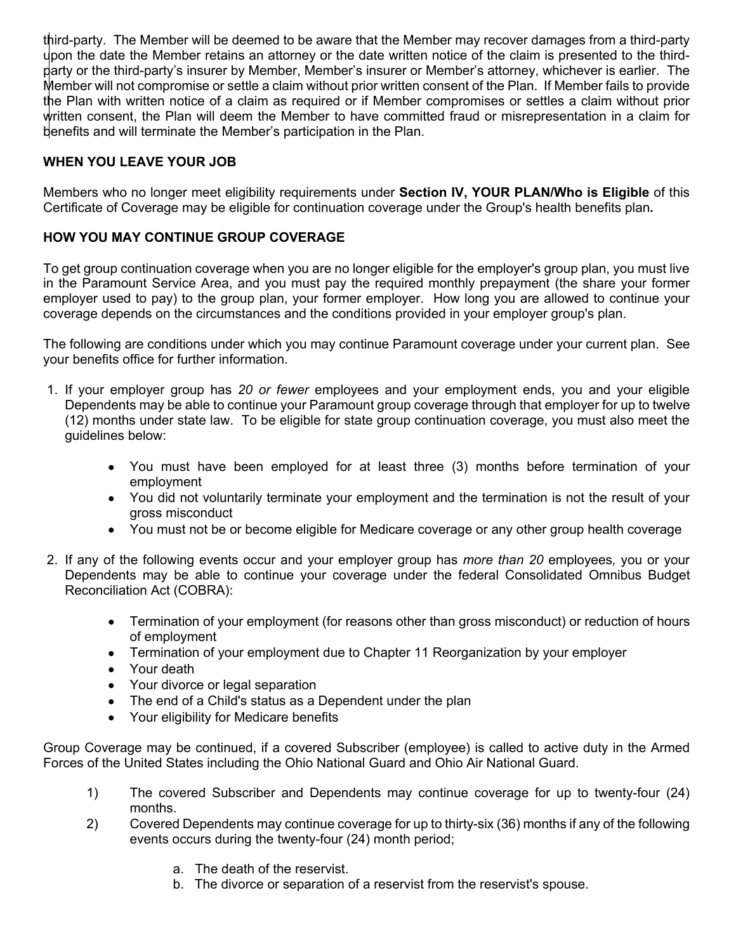third-party. The Member will be deemed to be aware that the Member may recover damages from a third-party upon the date the Member retains an attorney or the date written notice of the claim is presented to the thirdparty or the third-party's insurer by Member, Member's insurer or Member's attorney, whichever is earlier. The Member will not compromise or settle a claim without prior written consent of the Plan. If Member fails to provide the Plan with written notice of a claim as required or if Member compromises or settles a claim without prior written consent, the Plan will deem the Member to have committed fraud or misrepresentation in a claim for benefits and will terminate the Member's participation in the Plan.

# **WHEN YOU LEAVE YOUR JOB**

Members who no longer meet eligibility requirements under **Section IV, YOUR PLAN/Who is Eligible** of this Certificate of Coverage may be eligible for continuation coverage under the Group's health benefits plan**.** 

# **HOW YOU MAY CONTINUE GROUP COVERAGE**

To get group continuation coverage when you are no longer eligible for the employer's group plan, you must live in the Paramount Service Area, and you must pay the required monthly prepayment (the share your former employer used to pay) to the group plan, your former employer. How long you are allowed to continue your coverage depends on the circumstances and the conditions provided in your employer group's plan.

The following are conditions under which you may continue Paramount coverage under your current plan. See your benefits office for further information.

- 1. If your employer group has *20 or fewer* employees and your employment ends, you and your eligible Dependents may be able to continue your Paramount group coverage through that employer for up to twelve (12) months under state law. To be eligible for state group continuation coverage, you must also meet the guidelines below:
	- You must have been employed for at least three (3) months before termination of your employment
	- You did not voluntarily terminate your employment and the termination is not the result of your gross misconduct
	- You must not be or become eligible for Medicare coverage or any other group health coverage
- 2. If any of the following events occur and your employer group has *more than 20* employees*,* you or your Dependents may be able to continue your coverage under the federal Consolidated Omnibus Budget Reconciliation Act (COBRA):
	- Termination of your employment (for reasons other than gross misconduct) or reduction of hours of employment
	- Termination of your employment due to Chapter 11 Reorganization by your employer
	- Your death
	- Your divorce or legal separation
	- The end of a Child's status as a Dependent under the plan
	- Your eligibility for Medicare benefits

Group Coverage may be continued, if a covered Subscriber (employee) is called to active duty in the Armed Forces of the United States including the Ohio National Guard and Ohio Air National Guard.

- 1) The covered Subscriber and Dependents may continue coverage for up to twenty-four (24) months.
- 2) Covered Dependents may continue coverage for up to thirty-six (36) months if any of the following events occurs during the twenty-four (24) month period;
	- a. The death of the reservist.
	- b. The divorce or separation of a reservist from the reservist's spouse.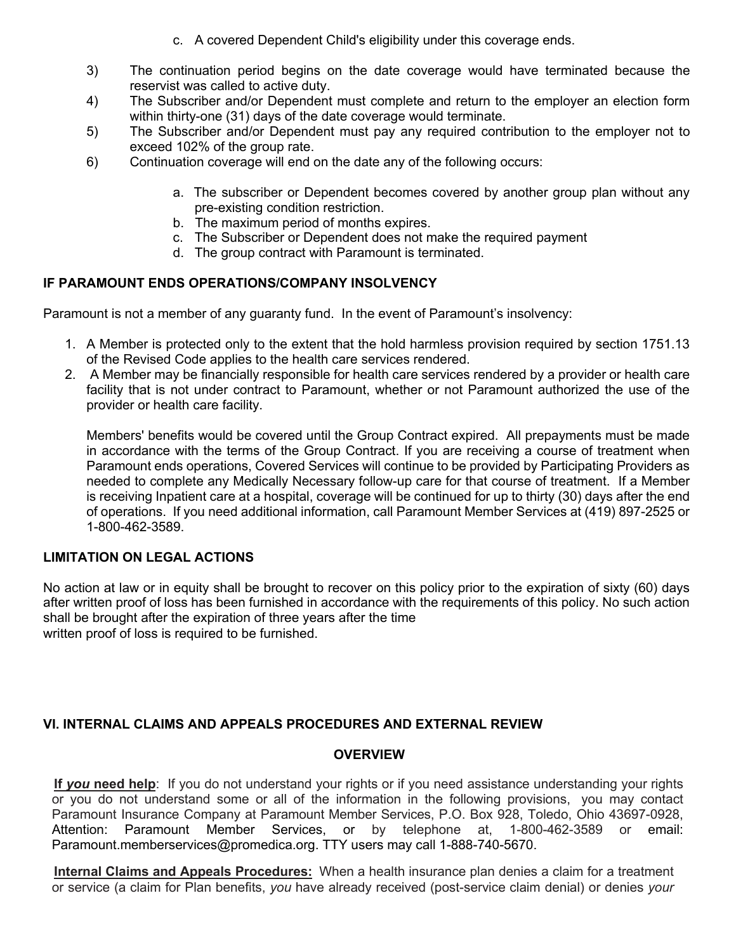- c. A covered Dependent Child's eligibility under this coverage ends.
- 3) The continuation period begins on the date coverage would have terminated because the reservist was called to active duty.
- 4) The Subscriber and/or Dependent must complete and return to the employer an election form within thirty-one (31) days of the date coverage would terminate.
- 5) The Subscriber and/or Dependent must pay any required contribution to the employer not to exceed 102% of the group rate.
- 6) Continuation coverage will end on the date any of the following occurs:
	- a. The subscriber or Dependent becomes covered by another group plan without any pre-existing condition restriction.
	- b. The maximum period of months expires.
	- c. The Subscriber or Dependent does not make the required payment
	- d. The group contract with Paramount is terminated.

## **IF PARAMOUNT ENDS OPERATIONS/COMPANY INSOLVENCY**

Paramount is not a member of any guaranty fund. In the event of Paramount's insolvency:

- 1. A Member is protected only to the extent that the hold harmless provision required by section 1751.13 of the Revised Code applies to the health care services rendered.
- 2. A Member may be financially responsible for health care services rendered by a provider or health care facility that is not under contract to Paramount, whether or not Paramount authorized the use of the provider or health care facility.

Members' benefits would be covered until the Group Contract expired. All prepayments must be made in accordance with the terms of the Group Contract. If you are receiving a course of treatment when Paramount ends operations, Covered Services will continue to be provided by Participating Providers as needed to complete any Medically Necessary follow-up care for that course of treatment. If a Member is receiving Inpatient care at a hospital, coverage will be continued for up to thirty (30) days after the end of operations. If you need additional information, call Paramount Member Services at (419) 897-2525 or 1-800-462-3589.

## **LIMITATION ON LEGAL ACTIONS**

No action at law or in equity shall be brought to recover on this policy prior to the expiration of sixty (60) days after written proof of loss has been furnished in accordance with the requirements of this policy. No such action shall be brought after the expiration of three years after the time written proof of loss is required to be furnished.

## **VI. INTERNAL CLAIMS AND APPEALS PROCEDURES AND EXTERNAL REVIEW**

#### **OVERVIEW**

**If** *you* **need help**: If you do not understand your rights or if you need assistance understanding your rights or you do not understand some or all of the information in the following provisions, you may contact Paramount Insurance Company at Paramount Member Services, P.O. Box 928, Toledo, Ohio 43697-0928, Attention: Paramount Member Services, or by telephone at, 1-800-462-3589 or email: Paramount.memberservices@promedica.org. TTY users may call 1-888-740-5670.

**Internal Claims and Appeals Procedures:** When a health insurance plan denies a claim for a treatment or service (a claim for Plan benefits, *you* have already received (post-service claim denial) or denies *your*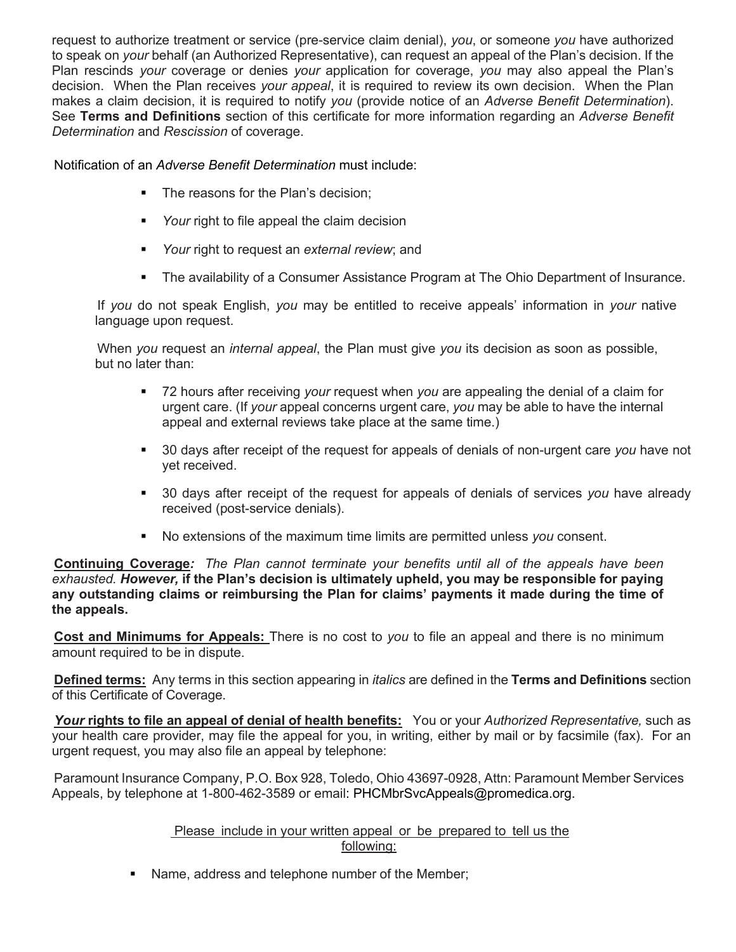request to authorize treatment or service (pre-service claim denial), *you*, or someone *you* have authorized to speak on *your* behalf (an Authorized Representative), can request an appeal of the Plan's decision. If the Plan rescinds *your* coverage or denies *your* application for coverage, *you* may also appeal the Plan's decision. When the Plan receives *your appeal*, it is required to review its own decision. When the Plan makes a claim decision, it is required to notify *you* (provide notice of an *Adverse Benefit Determination*). See **Terms and Definitions** section of this certificate for more information regarding an *Adverse Benefit Determination* and *Rescission* of coverage.

Notification of an *Adverse Benefit Determination* must include:

- The reasons for the Plan's decision;
- Your right to file appeal the claim decision
- *Your* right to request an *external review*; and
- The availability of a Consumer Assistance Program at The Ohio Department of Insurance.

If *you* do not speak English, *you* may be entitled to receive appeals' information in *your* native language upon request.

When *you* request an *internal appeal*, the Plan must give *you* its decision as soon as possible, but no later than:

- § 72 hours after receiving *your* request when *you* are appealing the denial of a claim for urgent care. (If *your* appeal concerns urgent care, *you* may be able to have the internal appeal and external reviews take place at the same time.)
- § 30 days after receipt of the request for appeals of denials of non-urgent care *you* have not yet received.
- § 30 days after receipt of the request for appeals of denials of services *you* have already received (post-service denials).
- § No extensions of the maximum time limits are permitted unless *you* consent.

**Continuing Coverage***: The Plan cannot terminate your benefits until all of the appeals have been exhausted. However,* **if the Plan's decision is ultimately upheld, you may be responsible for paying any outstanding claims or reimbursing the Plan for claims' payments it made during the time of the appeals.**

**Cost and Minimums for Appeals:** There is no cost to *you* to file an appeal and there is no minimum amount required to be in dispute.

**Defined terms:** Any terms in this section appearing in *italics* are defined in the **Terms and Definitions** section of this Certificate of Coverage.

*Your* **rights to file an appeal of denial of health benefits:** You or your *Authorized Representative,* such as your health care provider, may file the appeal for you, in writing, either by mail or by facsimile (fax). For an urgent request, you may also file an appeal by telephone:

Paramount Insurance Company, P.O. Box 928, Toledo, Ohio 43697-0928, Attn: Paramount Member Services Appeals, by telephone at 1-800-462-3589 or email: PHCMbrSvcAppeals@promedica.org.

> Please include in your written appeal or be prepared to tell us the following:

■ Name, address and telephone number of the Member;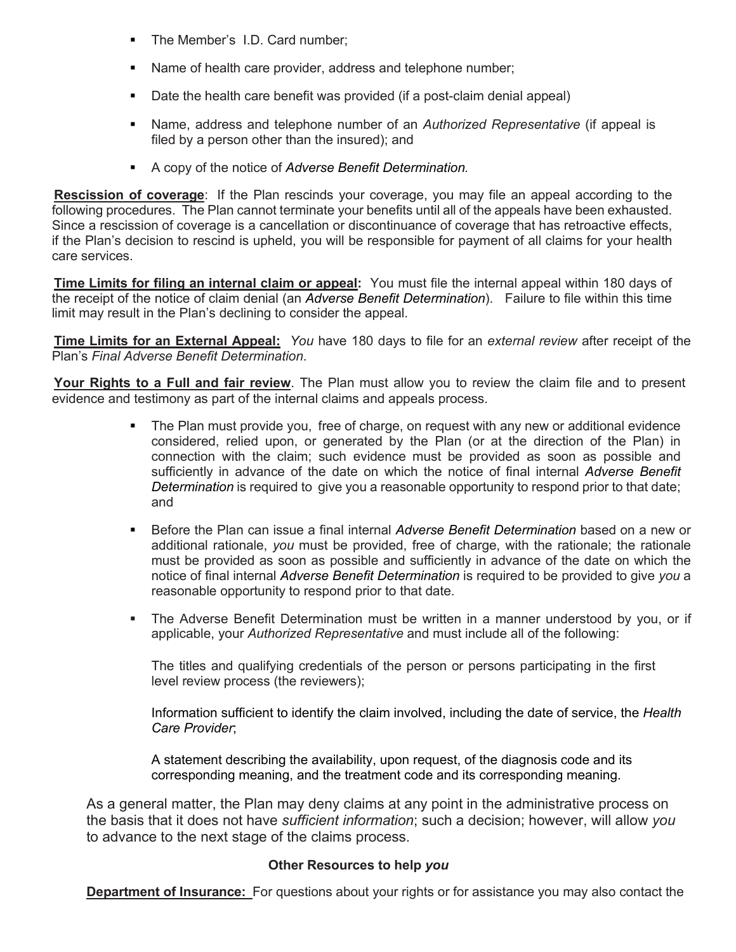- The Member's I.D. Card number;
- Name of health care provider, address and telephone number;
- Date the health care benefit was provided (if a post-claim denial appeal)
- **Name, address and telephone number of an** *Authorized Representative* **(if appeal is** filed by a person other than the insured); and
- A copy of the notice of *Adverse Benefit Determination*.

**Rescission of coverage**: If the Plan rescinds your coverage, you may file an appeal according to the following procedures. The Plan cannot terminate your benefits until all of the appeals have been exhausted. Since a rescission of coverage is a cancellation or discontinuance of coverage that has retroactive effects, if the Plan's decision to rescind is upheld, you will be responsible for payment of all claims for your health care services.

**Time Limits for filing an internal claim or appeal:** You must file the internal appeal within 180 days of the receipt of the notice of claim denial (an *Adverse Benefit Determination*). Failure to file within this time limit may result in the Plan's declining to consider the appeal.

**Time Limits for an External Appeal:** *You* have 180 days to file for an *external review* after receipt of the Plan's *Final Adverse Benefit Determination*.

**Your Rights to a Full and fair review**. The Plan must allow you to review the claim file and to present evidence and testimony as part of the internal claims and appeals process.

- The Plan must provide you, free of charge, on request with any new or additional evidence considered, relied upon, or generated by the Plan (or at the direction of the Plan) in connection with the claim; such evidence must be provided as soon as possible and sufficiently in advance of the date on which the notice of final internal *Adverse Benefit Determination* is required to give you a reasonable opportunity to respond prior to that date; and
- § Before the Plan can issue a final internal *Adverse Benefit Determination* based on a new or additional rationale, *you* must be provided, free of charge, with the rationale; the rationale must be provided as soon as possible and sufficiently in advance of the date on which the notice of final internal *Adverse Benefit Determination* is required to be provided to give *you* a reasonable opportunity to respond prior to that date.
- The Adverse Benefit Determination must be written in a manner understood by you, or if applicable, your *Authorized Representative* and must include all of the following:

The titles and qualifying credentials of the person or persons participating in the first level review process (the reviewers);

Information sufficient to identify the claim involved, including the date of service, the *Health Care Provider*;

A statement describing the availability, upon request, of the diagnosis code and its corresponding meaning, and the treatment code and its corresponding meaning.

As a general matter, the Plan may deny claims at any point in the administrative process on the basis that it does not have *sufficient information*; such a decision; however, will allow *you*  to advance to the next stage of the claims process.

## **Other Resources to help** *you*

**Department of Insurance:** For questions about your rights or for assistance you may also contact the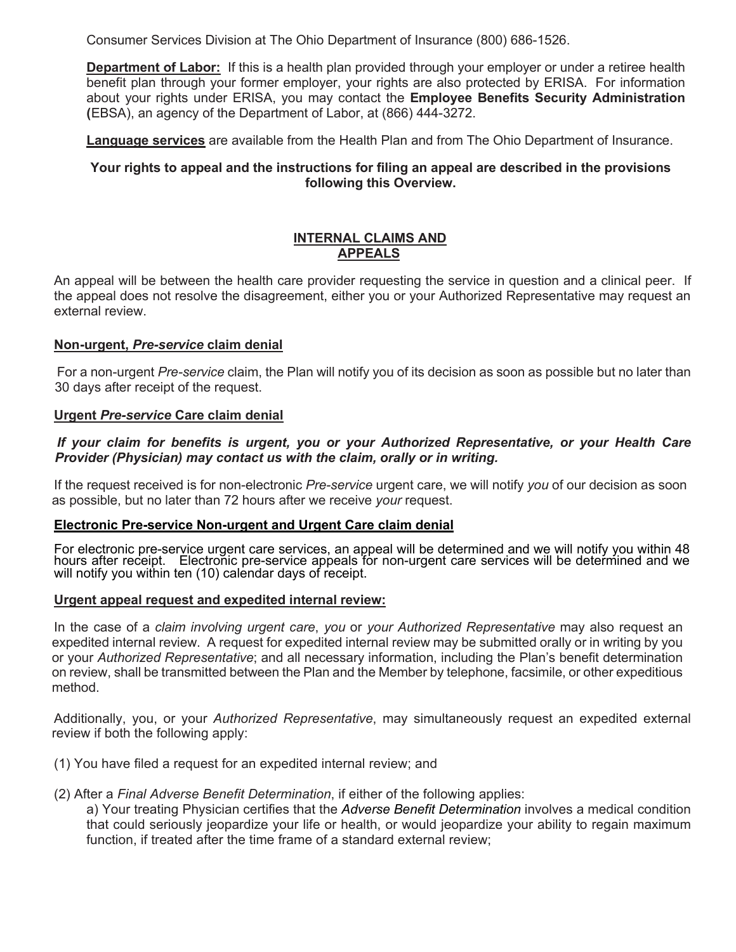Consumer Services Division at The Ohio Department of Insurance (800) 686-1526.

**Department of Labor:** If this is a health plan provided through your employer or under a retiree health benefit plan through your former employer, your rights are also protected by ERISA. For information about your rights under ERISA, you may contact the **Employee Benefits Security Administration (**EBSA), an agency of the Department of Labor, at (866) 444-3272.

**Language services** are available from the Health Plan and from The Ohio Department of Insurance.

## **Your rights to appeal and the instructions for filing an appeal are described in the provisions following this Overview.**

## **INTERNAL CLAIMS AND APPEALS**

An appeal will be between the health care provider requesting the service in question and a clinical peer. If the appeal does not resolve the disagreement, either you or your Authorized Representative may request an external review.

#### **Non-urgent,** *Pre-service* **claim denial**

For a non-urgent *Pre-service* claim, the Plan will notify you of its decision as soon as possible but no later than 30 days after receipt of the request.

#### **Urgent** *Pre-service* **Care claim denial**

#### *If your claim for benefits is urgent, you or your Authorized Representative, or your Health Care Provider (Physician) may contact us with the claim, orally or in writing.*

If the request received is for non-electronic *Pre-service* urgent care, we will notify *you* of our decision as soon as possible, but no later than 72 hours after we receive *your* request.

#### **Electronic Pre-service Non-urgent and Urgent Care claim denial**

For electronic pre-service urgent care services, an appeal will be determined and we will notify you within 48<br>hours after receipt. Electronic pre-service appeals for non-urgent care services will be determined and we<br>will

#### **Urgent appeal request and expedited internal review:**

In the case of a *claim involving urgent care*, *you* or *your Authorized Representative* may also request an expedited internal review. A request for expedited internal review may be submitted orally or in writing by you or your *Authorized Representative*; and all necessary information, including the Plan's benefit determination on review, shall be transmitted between the Plan and the Member by telephone, facsimile, or other expeditious method.

Additionally, you, or your *Authorized Representative*, may simultaneously request an expedited external review if both the following apply:

(1) You have filed a request for an expedited internal review; and

## (2) After a *Final Adverse Benefit Determination*, if either of the following applies:

a) Your treating Physician certifies that the *Adverse Benefit Determination* involves a medical condition that could seriously jeopardize your life or health, or would jeopardize your ability to regain maximum function, if treated after the time frame of a standard external review;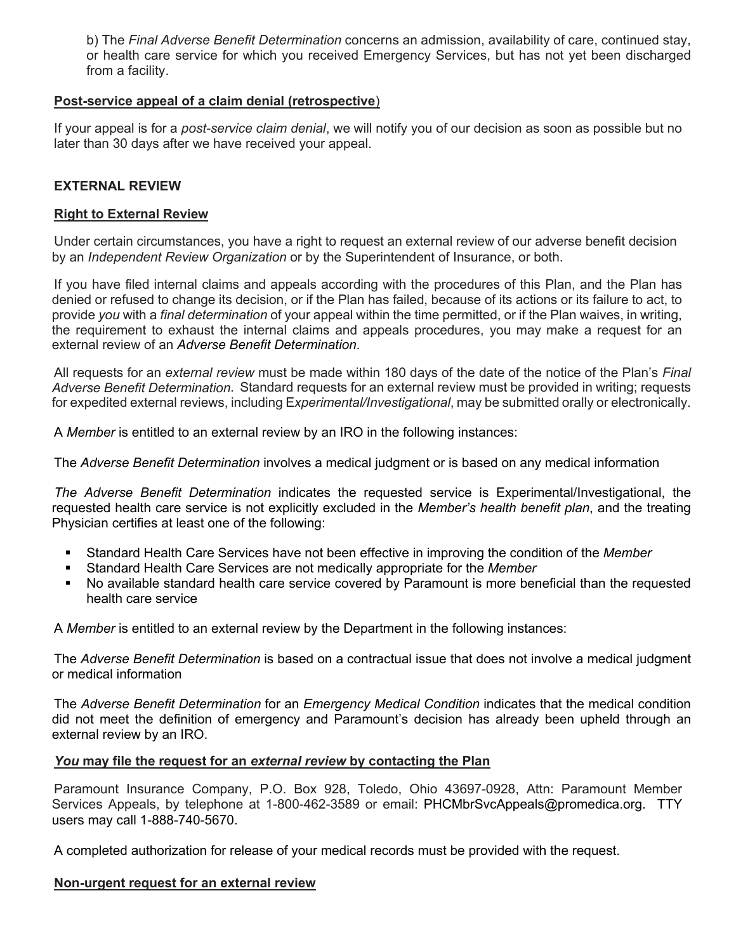b) The *Final Adverse Benefit Determination* concerns an admission, availability of care, continued stay, or health care service for which you received Emergency Services, but has not yet been discharged from a facility.

#### **Post-service appeal of a claim denial (retrospective**)

If your appeal is for a *post-service claim denial*, we will notify you of our decision as soon as possible but no later than 30 days after we have received your appeal.

## **EXTERNAL REVIEW**

#### **Right to External Review**

Under certain circumstances, you have a right to request an external review of our adverse benefit decision by an *Independent Review Organization* or by the Superintendent of Insurance, or both.

If you have filed internal claims and appeals according with the procedures of this Plan, and the Plan has denied or refused to change its decision, or if the Plan has failed, because of its actions or its failure to act, to provide *you* with a *final determination* of your appeal within the time permitted, or if the Plan waives, in writing, the requirement to exhaust the internal claims and appeals procedures, you may make a request for an external review of an *Adverse Benefit Determination*.

All requests for an *external review* must be made within 180 days of the date of the notice of the Plan's *Final Adverse Benefit Determination*. Standard requests for an external review must be provided in writing; requests for expedited external reviews, including E*xperimental/Investigational*, may be submitted orally or electronically.

A *Member* is entitled to an external review by an IRO in the following instances:

The *Adverse Benefit Determination* involves a medical judgment or is based on any medical information

*The Adverse Benefit Determination* indicates the requested service is Experimental/Investigational, the requested health care service is not explicitly excluded in the *Member's health benefit plan*, and the treating Physician certifies at least one of the following:

- § Standard Health Care Services have not been effective in improving the condition of the *Member*
- § Standard Health Care Services are not medically appropriate for the *Member*
- No available standard health care service covered by Paramount is more beneficial than the requested health care service

A *Member* is entitled to an external review by the Department in the following instances:

The *Adverse Benefit Determination* is based on a contractual issue that does not involve a medical judgment or medical information

The *Adverse Benefit Determination* for an *Emergency Medical Condition* indicates that the medical condition did not meet the definition of emergency and Paramount's decision has already been upheld through an external review by an IRO.

#### *You* **may file the request for an** *external review* **by contacting the Plan**

Paramount Insurance Company, P.O. Box 928, Toledo, Ohio 43697-0928, Attn: Paramount Member Services Appeals, by telephone at 1-800-462-3589 or email: PHCMbrSvcAppeals@promedica.org. TTY users may call 1-888-740-5670.

A completed authorization for release of your medical records must be provided with the request.

#### **Non-urgent request for an external review**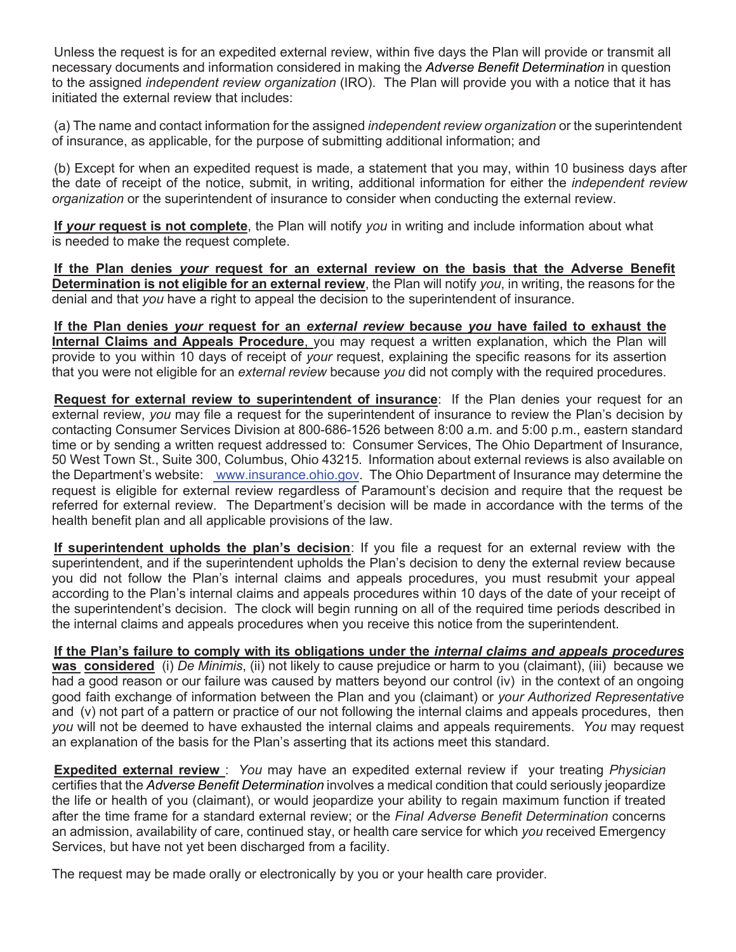Unless the request is for an expedited external review, within five days the Plan will provide or transmit all necessary documents and information considered in making the *Adverse Benefit Determination* in question to the assigned *independent review organization* (IRO). The Plan will provide you with a notice that it has initiated the external review that includes:

(a) The name and contact information for the assigned *independent review organization* or the superintendent of insurance, as applicable, for the purpose of submitting additional information; and

(b) Except for when an expedited request is made, a statement that you may, within 10 business days after the date of receipt of the notice, submit, in writing, additional information for either the *independent review organization* or the superintendent of insurance to consider when conducting the external review.

**If** *your* **request is not complete**, the Plan will notify *you* in writing and include information about what is needed to make the request complete.

**If the Plan denies** *your* **request for an external review on the basis that the Adverse Benefit Determination is not eligible for an external review**, the Plan will notify *you*, in writing, the reasons for the denial and that *you* have a right to appeal the decision to the superintendent of insurance.

**If the Plan denies** *your* **request for an** *external review* **because** *you* **have failed to exhaust the Internal Claims and Appeals Procedure**, you may request a written explanation, which the Plan will provide to you within 10 days of receipt of *your* request, explaining the specific reasons for its assertion that you were not eligible for an *external review* because *you* did not comply with the required procedures.

**Request for external review to superintendent of insurance**: If the Plan denies your request for an external review, *you* may file a request for the superintendent of insurance to review the Plan's decision by contacting Consumer Services Division at 800-686-1526 between 8:00 a.m. and 5:00 p.m., eastern standard time or by sending a written request addressed to: Consumer Services, The Ohio Department of Insurance, 50 West Town St., Suite 300, Columbus, Ohio 43215. Information about external reviews is also available on the Department's website: www.insurance.ohio.gov. The Ohio Department of Insurance may determine the request is eligible for external review regardless of Paramount's decision and require that the request be referred for external review. The Department's decision will be made in accordance with the terms of the health benefit plan and all applicable provisions of the law.

**If superintendent upholds the plan's decision**: If you file a request for an external review with the superintendent, and if the superintendent upholds the Plan's decision to deny the external review because you did not follow the Plan's internal claims and appeals procedures, you must resubmit your appeal according to the Plan's internal claims and appeals procedures within 10 days of the date of your receipt of the superintendent's decision. The clock will begin running on all of the required time periods described in the internal claims and appeals procedures when you receive this notice from the superintendent.

**If the Plan's failure to comply with its obligations under the** *internal claims and appeals procedures* **was considered** (i) *De Minimis*, (ii) not likely to cause prejudice or harm to you (claimant), (iii) because we had a good reason or our failure was caused by matters beyond our control (iv) in the context of an ongoing good faith exchange of information between the Plan and you (claimant) or *your Authorized Representative*  and (v) not part of a pattern or practice of our not following the internal claims and appeals procedures, then *you* will not be deemed to have exhausted the internal claims and appeals requirements. *You* may request an explanation of the basis for the Plan's asserting that its actions meet this standard.

**Expedited external review** : *You* may have an expedited external review if your treating *Physician*  certifies that the *Adverse Benefit Determination* involves a medical condition that could seriously jeopardize the life or health of you (claimant), or would jeopardize your ability to regain maximum function if treated after the time frame for a standard external review; or the *Final Adverse Benefit Determination* concerns an admission, availability of care, continued stay, or health care service for which *you* received Emergency Services, but have not yet been discharged from a facility.

The request may be made orally or electronically by you or your health care provider.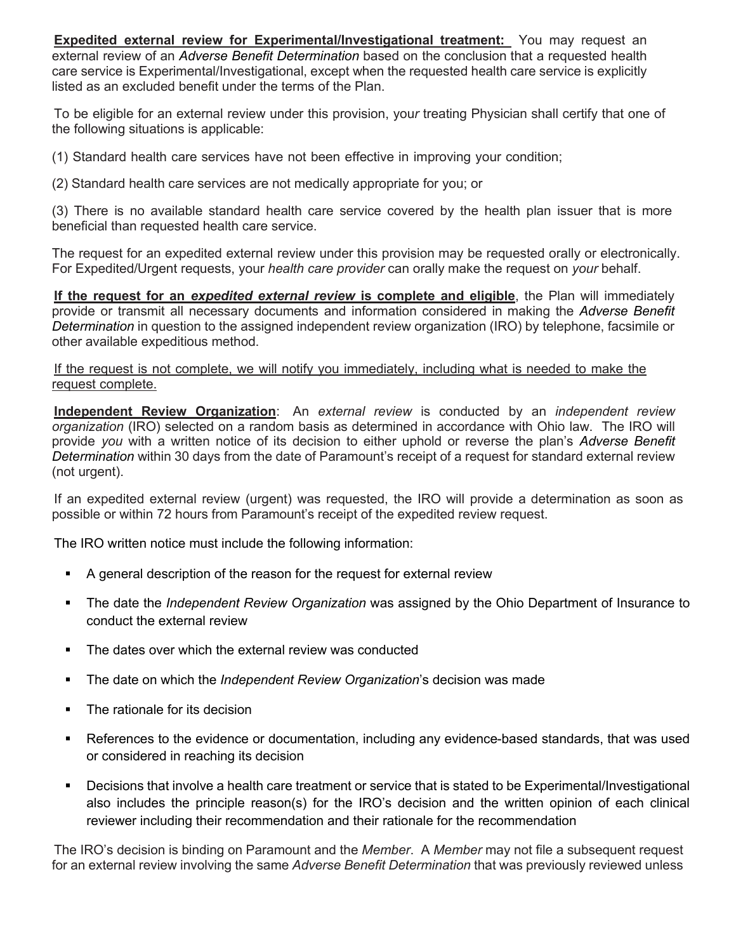**Expedited external review for Experimental/Investigational treatment:** You may request an external review of an *Adverse Benefit Determination* based on the conclusion that a requested health care service is Experimental/Investigational, except when the requested health care service is explicitly listed as an excluded benefit under the terms of the Plan.

To be eligible for an external review under this provision, you*r* treating Physician shall certify that one of the following situations is applicable:

(1) Standard health care services have not been effective in improving your condition;

(2) Standard health care services are not medically appropriate for you; or

(3) There is no available standard health care service covered by the health plan issuer that is more beneficial than requested health care service.

The request for an expedited external review under this provision may be requested orally or electronically. For Expedited/Urgent requests, your *health care provider* can orally make the request on *your* behalf.

**If the request for an** *expedited external review* **is complete and eligible**, the Plan will immediately provide or transmit all necessary documents and information considered in making the *Adverse Benefit Determination* in question to the assigned independent review organization (IRO) by telephone, facsimile or other available expeditious method.

#### If the request is not complete, we will notify you immediately, including what is needed to make the request complete.

**Independent Review Organization**: An *external review* is conducted by an *independent review organization* (IRO) selected on a random basis as determined in accordance with Ohio law. The IRO will provide *you* with a written notice of its decision to either uphold or reverse the plan's *Adverse Benefit Determination* within 30 days from the date of Paramount's receipt of a request for standard external review (not urgent).

If an expedited external review (urgent) was requested, the IRO will provide a determination as soon as possible or within 72 hours from Paramount's receipt of the expedited review request.

The IRO written notice must include the following information:

- A general description of the reason for the request for external review
- § The date the *Independent Review Organization* was assigned by the Ohio Department of Insurance to conduct the external review
- The dates over which the external review was conducted
- § The date on which the *Independent Review Organization*'s decision was made
- The rationale for its decision
- References to the evidence or documentation, including any evidence-based standards, that was used or considered in reaching its decision
- Decisions that involve a health care treatment or service that is stated to be Experimental/Investigational also includes the principle reason(s) for the IRO's decision and the written opinion of each clinical reviewer including their recommendation and their rationale for the recommendation

The IRO's decision is binding on Paramount and the *Member*. A *Member* may not file a subsequent request for an external review involving the same *Adverse Benefit Determination* that was previously reviewed unless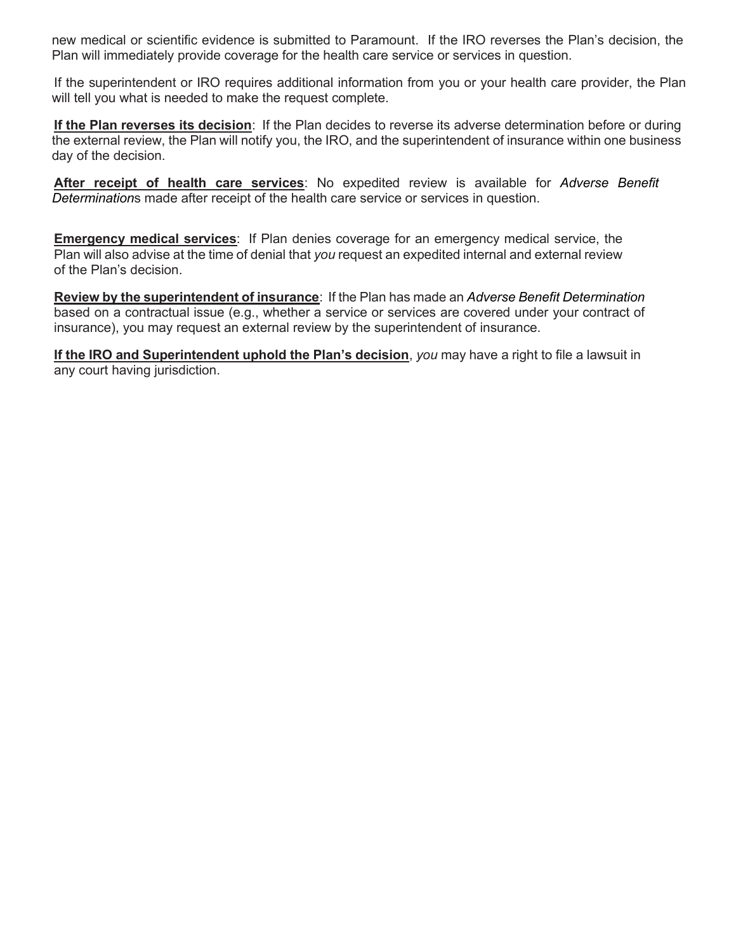new medical or scientific evidence is submitted to Paramount. If the IRO reverses the Plan's decision, the Plan will immediately provide coverage for the health care service or services in question.

If the superintendent or IRO requires additional information from you or your health care provider, the Plan will tell you what is needed to make the request complete.

**If the Plan reverses its decision**: If the Plan decides to reverse its adverse determination before or during the external review, the Plan will notify you, the IRO, and the superintendent of insurance within one business day of the decision.

**After receipt of health care services**: No expedited review is available for *Adverse Benefit Determination*s made after receipt of the health care service or services in question.

**Emergency medical services**: If Plan denies coverage for an emergency medical service, the Plan will also advise at the time of denial that *you* request an expedited internal and external review of the Plan's decision.

**Review by the superintendent of insurance**: If the Plan has made an *Adverse Benefit Determination* based on a contractual issue (e.g., whether a service or services are covered under your contract of insurance), you may request an external review by the superintendent of insurance.

**If the IRO and Superintendent uphold the Plan's decision**, *you* may have a right to file a lawsuit in any court having jurisdiction.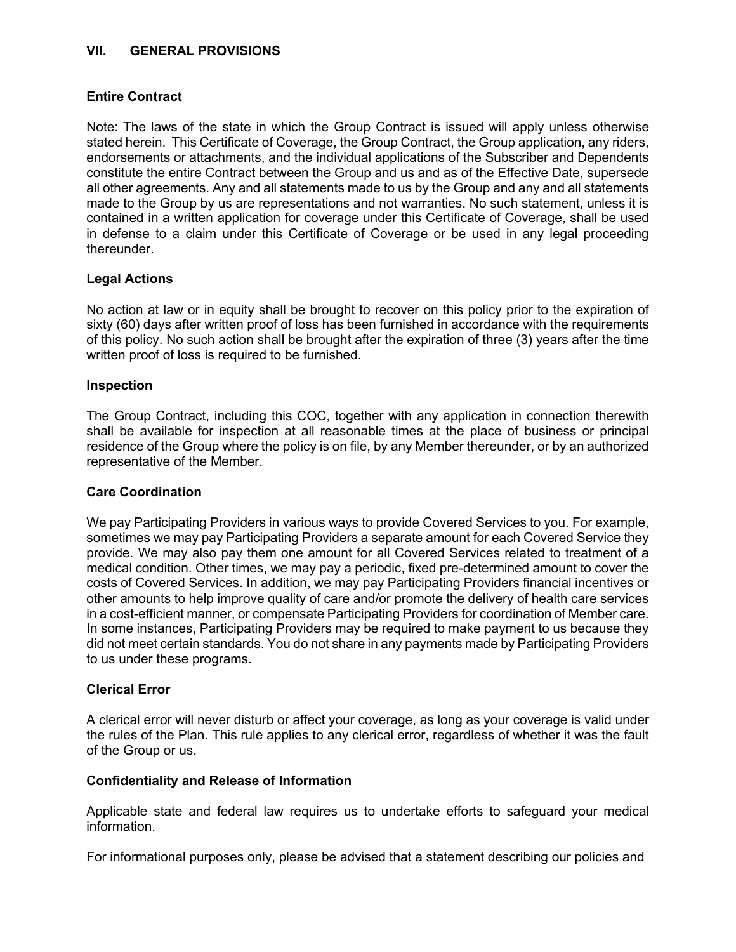### **VII. GENERAL PROVISIONS**

### **Entire Contract**

Note: The laws of the state in which the Group Contract is issued will apply unless otherwise stated herein. This Certificate of Coverage, the Group Contract, the Group application, any riders, endorsements or attachments, and the individual applications of the Subscriber and Dependents constitute the entire Contract between the Group and us and as of the Effective Date, supersede all other agreements. Any and all statements made to us by the Group and any and all statements made to the Group by us are representations and not warranties. No such statement, unless it is contained in a written application for coverage under this Certificate of Coverage, shall be used in defense to a claim under this Certificate of Coverage or be used in any legal proceeding thereunder.

### **Legal Actions**

No action at law or in equity shall be brought to recover on this policy prior to the expiration of sixty (60) days after written proof of loss has been furnished in accordance with the requirements of this policy. No such action shall be brought after the expiration of three (3) years after the time written proof of loss is required to be furnished.

#### **Inspection**

The Group Contract, including this COC, together with any application in connection therewith shall be available for inspection at all reasonable times at the place of business or principal residence of the Group where the policy is on file, by any Member thereunder, or by an authorized representative of the Member.

#### **Care Coordination**

We pay Participating Providers in various ways to provide Covered Services to you. For example, sometimes we may pay Participating Providers a separate amount for each Covered Service they provide. We may also pay them one amount for all Covered Services related to treatment of a medical condition. Other times, we may pay a periodic, fixed pre-determined amount to cover the costs of Covered Services. In addition, we may pay Participating Providers financial incentives or other amounts to help improve quality of care and/or promote the delivery of health care services in a cost-efficient manner, or compensate Participating Providers for coordination of Member care. In some instances, Participating Providers may be required to make payment to us because they did not meet certain standards. You do not share in any payments made by Participating Providers to us under these programs.

#### **Clerical Error**

A clerical error will never disturb or affect your coverage, as long as your coverage is valid under the rules of the Plan. This rule applies to any clerical error, regardless of whether it was the fault of the Group or us.

#### **Confidentiality and Release of Information**

Applicable state and federal law requires us to undertake efforts to safeguard your medical information.

For informational purposes only, please be advised that a statement describing our policies and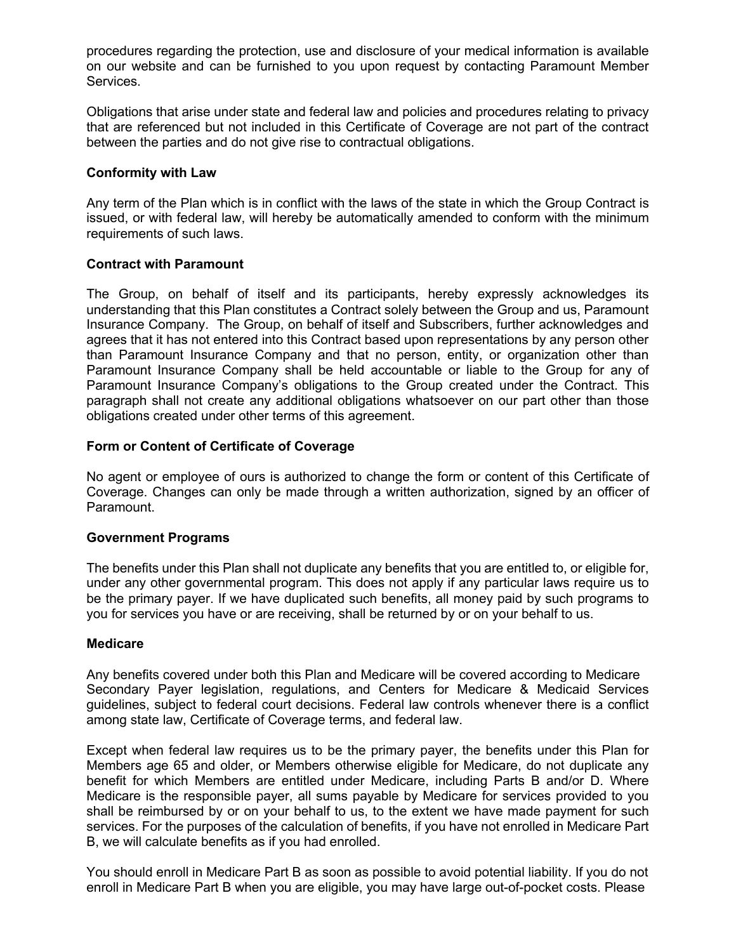procedures regarding the protection, use and disclosure of your medical information is available on our website and can be furnished to you upon request by contacting Paramount Member Services.

Obligations that arise under state and federal law and policies and procedures relating to privacy that are referenced but not included in this Certificate of Coverage are not part of the contract between the parties and do not give rise to contractual obligations.

### **Conformity with Law**

Any term of the Plan which is in conflict with the laws of the state in which the Group Contract is issued, or with federal law, will hereby be automatically amended to conform with the minimum requirements of such laws.

### **Contract with Paramount**

The Group, on behalf of itself and its participants, hereby expressly acknowledges its understanding that this Plan constitutes a Contract solely between the Group and us, Paramount Insurance Company. The Group, on behalf of itself and Subscribers, further acknowledges and agrees that it has not entered into this Contract based upon representations by any person other than Paramount Insurance Company and that no person, entity, or organization other than Paramount Insurance Company shall be held accountable or liable to the Group for any of Paramount Insurance Company's obligations to the Group created under the Contract. This paragraph shall not create any additional obligations whatsoever on our part other than those obligations created under other terms of this agreement.

### **Form or Content of Certificate of Coverage**

No agent or employee of ours is authorized to change the form or content of this Certificate of Coverage. Changes can only be made through a written authorization, signed by an officer of Paramount.

#### **Government Programs**

The benefits under this Plan shall not duplicate any benefits that you are entitled to, or eligible for, under any other governmental program. This does not apply if any particular laws require us to be the primary payer. If we have duplicated such benefits, all money paid by such programs to you for services you have or are receiving, shall be returned by or on your behalf to us.

#### **Medicare**

Any benefits covered under both this Plan and Medicare will be covered according to Medicare Secondary Payer legislation, regulations, and Centers for Medicare & Medicaid Services guidelines, subject to federal court decisions. Federal law controls whenever there is a conflict among state law, Certificate of Coverage terms, and federal law.

Except when federal law requires us to be the primary payer, the benefits under this Plan for Members age 65 and older, or Members otherwise eligible for Medicare, do not duplicate any benefit for which Members are entitled under Medicare, including Parts B and/or D. Where Medicare is the responsible payer, all sums payable by Medicare for services provided to you shall be reimbursed by or on your behalf to us, to the extent we have made payment for such services. For the purposes of the calculation of benefits, if you have not enrolled in Medicare Part B, we will calculate benefits as if you had enrolled.

You should enroll in Medicare Part B as soon as possible to avoid potential liability. If you do not enroll in Medicare Part B when you are eligible, you may have large out-of-pocket costs. Please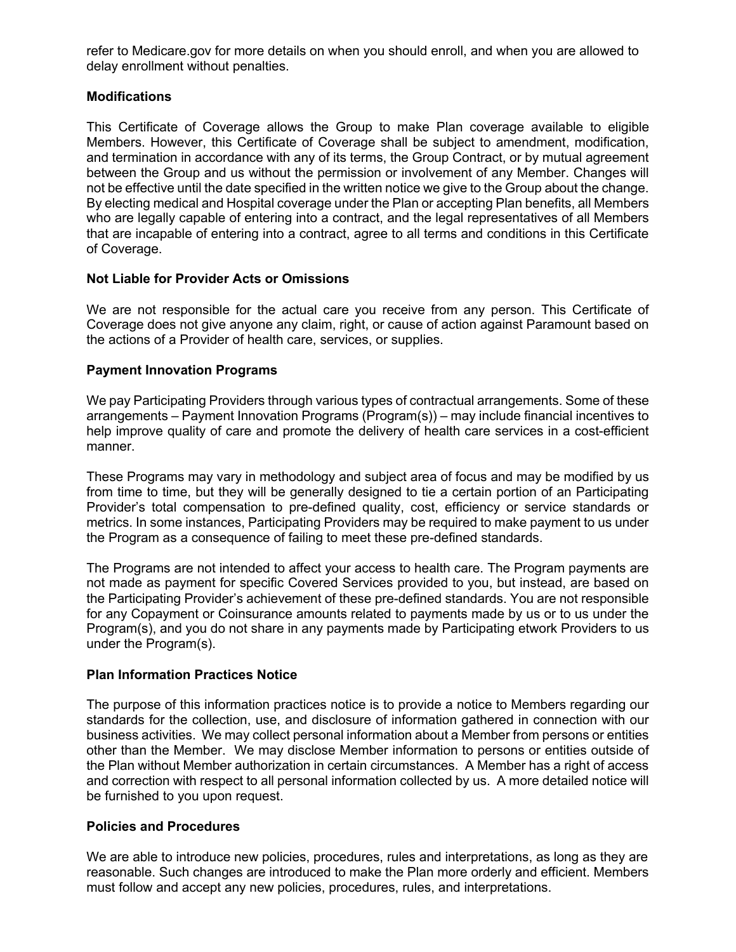refer to Medicare.gov for more details on when you should enroll, and when you are allowed to delay enrollment without penalties.

# **Modifications**

This Certificate of Coverage allows the Group to make Plan coverage available to eligible Members. However, this Certificate of Coverage shall be subject to amendment, modification, and termination in accordance with any of its terms, the Group Contract, or by mutual agreement between the Group and us without the permission or involvement of any Member. Changes will not be effective until the date specified in the written notice we give to the Group about the change. By electing medical and Hospital coverage under the Plan or accepting Plan benefits, all Members who are legally capable of entering into a contract, and the legal representatives of all Members that are incapable of entering into a contract, agree to all terms and conditions in this Certificate of Coverage.

# **Not Liable for Provider Acts or Omissions**

We are not responsible for the actual care you receive from any person. This Certificate of Coverage does not give anyone any claim, right, or cause of action against Paramount based on the actions of a Provider of health care, services, or supplies.

# **Payment Innovation Programs**

We pay Participating Providers through various types of contractual arrangements. Some of these arrangements – Payment Innovation Programs (Program(s)) – may include financial incentives to help improve quality of care and promote the delivery of health care services in a cost-efficient manner.

These Programs may vary in methodology and subject area of focus and may be modified by us from time to time, but they will be generally designed to tie a certain portion of an Participating Provider's total compensation to pre-defined quality, cost, efficiency or service standards or metrics. In some instances, Participating Providers may be required to make payment to us under the Program as a consequence of failing to meet these pre-defined standards.

The Programs are not intended to affect your access to health care. The Program payments are not made as payment for specific Covered Services provided to you, but instead, are based on the Participating Provider's achievement of these pre-defined standards. You are not responsible for any Copayment or Coinsurance amounts related to payments made by us or to us under the Program(s), and you do not share in any payments made by Participating etwork Providers to us under the Program(s).

# **Plan Information Practices Notice**

The purpose of this information practices notice is to provide a notice to Members regarding our standards for the collection, use, and disclosure of information gathered in connection with our business activities. We may collect personal information about a Member from persons or entities other than the Member. We may disclose Member information to persons or entities outside of the Plan without Member authorization in certain circumstances. A Member has a right of access and correction with respect to all personal information collected by us. A more detailed notice will be furnished to you upon request.

# **Policies and Procedures**

We are able to introduce new policies, procedures, rules and interpretations, as long as they are reasonable. Such changes are introduced to make the Plan more orderly and efficient. Members must follow and accept any new policies, procedures, rules, and interpretations.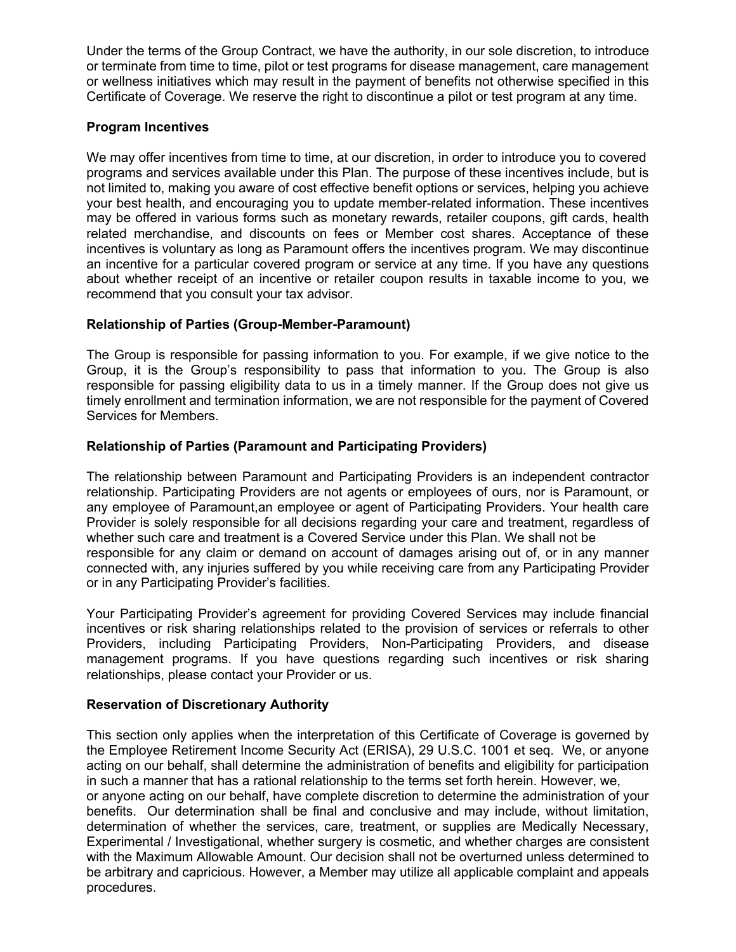Under the terms of the Group Contract, we have the authority, in our sole discretion, to introduce or terminate from time to time, pilot or test programs for disease management, care management or wellness initiatives which may result in the payment of benefits not otherwise specified in this Certificate of Coverage. We reserve the right to discontinue a pilot or test program at any time.

### **Program Incentives**

We may offer incentives from time to time, at our discretion, in order to introduce you to covered programs and services available under this Plan. The purpose of these incentives include, but is not limited to, making you aware of cost effective benefit options or services, helping you achieve your best health, and encouraging you to update member-related information. These incentives may be offered in various forms such as monetary rewards, retailer coupons, gift cards, health related merchandise, and discounts on fees or Member cost shares. Acceptance of these incentives is voluntary as long as Paramount offers the incentives program. We may discontinue an incentive for a particular covered program or service at any time. If you have any questions about whether receipt of an incentive or retailer coupon results in taxable income to you, we recommend that you consult your tax advisor.

# **Relationship of Parties (Group-Member-Paramount)**

The Group is responsible for passing information to you. For example, if we give notice to the Group, it is the Group's responsibility to pass that information to you. The Group is also responsible for passing eligibility data to us in a timely manner. If the Group does not give us timely enrollment and termination information, we are not responsible for the payment of Covered Services for Members.

# **Relationship of Parties (Paramount and Participating Providers)**

The relationship between Paramount and Participating Providers is an independent contractor relationship. Participating Providers are not agents or employees of ours, nor is Paramount, or any employee of Paramount,an employee or agent of Participating Providers. Your health care Provider is solely responsible for all decisions regarding your care and treatment, regardless of whether such care and treatment is a Covered Service under this Plan. We shall not be responsible for any claim or demand on account of damages arising out of, or in any manner connected with, any injuries suffered by you while receiving care from any Participating Provider or in any Participating Provider's facilities.

Your Participating Provider's agreement for providing Covered Services may include financial incentives or risk sharing relationships related to the provision of services or referrals to other Providers, including Participating Providers, Non-Participating Providers, and disease management programs. If you have questions regarding such incentives or risk sharing relationships, please contact your Provider or us.

# **Reservation of Discretionary Authority**

This section only applies when the interpretation of this Certificate of Coverage is governed by the Employee Retirement Income Security Act (ERISA), 29 U.S.C. 1001 et seq. We, or anyone acting on our behalf, shall determine the administration of benefits and eligibility for participation in such a manner that has a rational relationship to the terms set forth herein. However, we, or anyone acting on our behalf, have complete discretion to determine the administration of your benefits. Our determination shall be final and conclusive and may include, without limitation, determination of whether the services, care, treatment, or supplies are Medically Necessary, Experimental / Investigational, whether surgery is cosmetic, and whether charges are consistent with the Maximum Allowable Amount. Our decision shall not be overturned unless determined to be arbitrary and capricious. However, a Member may utilize all applicable complaint and appeals procedures.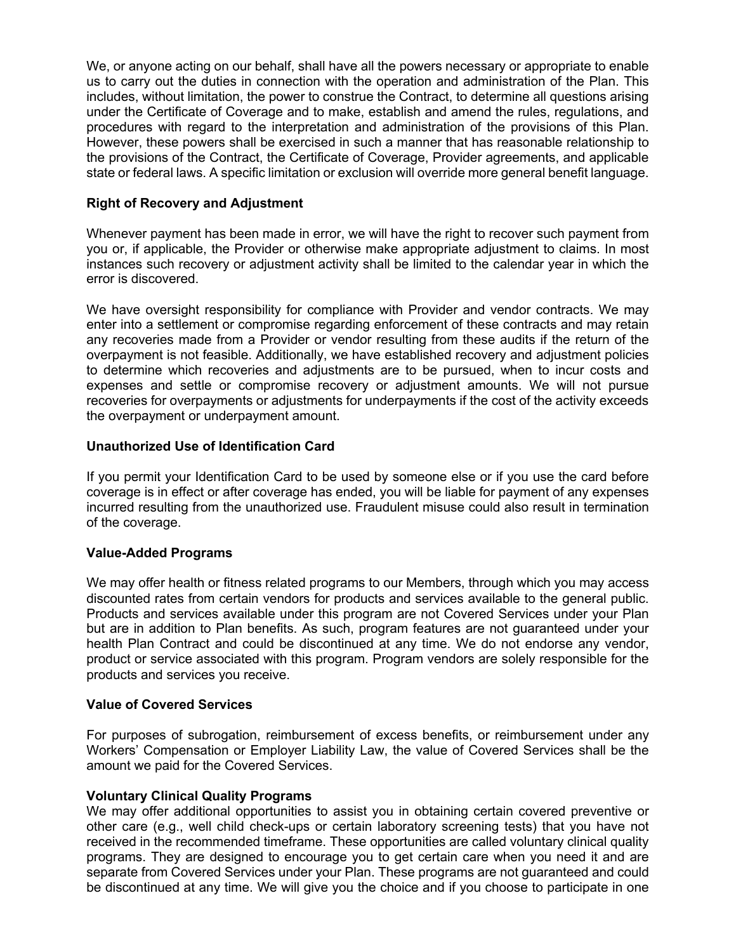We, or anyone acting on our behalf, shall have all the powers necessary or appropriate to enable us to carry out the duties in connection with the operation and administration of the Plan. This includes, without limitation, the power to construe the Contract, to determine all questions arising under the Certificate of Coverage and to make, establish and amend the rules, regulations, and procedures with regard to the interpretation and administration of the provisions of this Plan. However, these powers shall be exercised in such a manner that has reasonable relationship to the provisions of the Contract, the Certificate of Coverage, Provider agreements, and applicable state or federal laws. A specific limitation or exclusion will override more general benefit language.

# **Right of Recovery and Adjustment**

Whenever payment has been made in error, we will have the right to recover such payment from you or, if applicable, the Provider or otherwise make appropriate adjustment to claims. In most instances such recovery or adjustment activity shall be limited to the calendar year in which the error is discovered.

We have oversight responsibility for compliance with Provider and vendor contracts. We may enter into a settlement or compromise regarding enforcement of these contracts and may retain any recoveries made from a Provider or vendor resulting from these audits if the return of the overpayment is not feasible. Additionally, we have established recovery and adjustment policies to determine which recoveries and adjustments are to be pursued, when to incur costs and expenses and settle or compromise recovery or adjustment amounts. We will not pursue recoveries for overpayments or adjustments for underpayments if the cost of the activity exceeds the overpayment or underpayment amount.

### **Unauthorized Use of Identification Card**

If you permit your Identification Card to be used by someone else or if you use the card before coverage is in effect or after coverage has ended, you will be liable for payment of any expenses incurred resulting from the unauthorized use. Fraudulent misuse could also result in termination of the coverage.

# **Value-Added Programs**

We may offer health or fitness related programs to our Members, through which you may access discounted rates from certain vendors for products and services available to the general public. Products and services available under this program are not Covered Services under your Plan but are in addition to Plan benefits. As such, program features are not guaranteed under your health Plan Contract and could be discontinued at any time. We do not endorse any vendor, product or service associated with this program. Program vendors are solely responsible for the products and services you receive.

#### **Value of Covered Services**

For purposes of subrogation, reimbursement of excess benefits, or reimbursement under any Workers' Compensation or Employer Liability Law, the value of Covered Services shall be the amount we paid for the Covered Services.

# **Voluntary Clinical Quality Programs**

We may offer additional opportunities to assist you in obtaining certain covered preventive or other care (e.g., well child check-ups or certain laboratory screening tests) that you have not received in the recommended timeframe. These opportunities are called voluntary clinical quality programs. They are designed to encourage you to get certain care when you need it and are separate from Covered Services under your Plan. These programs are not guaranteed and could be discontinued at any time. We will give you the choice and if you choose to participate in one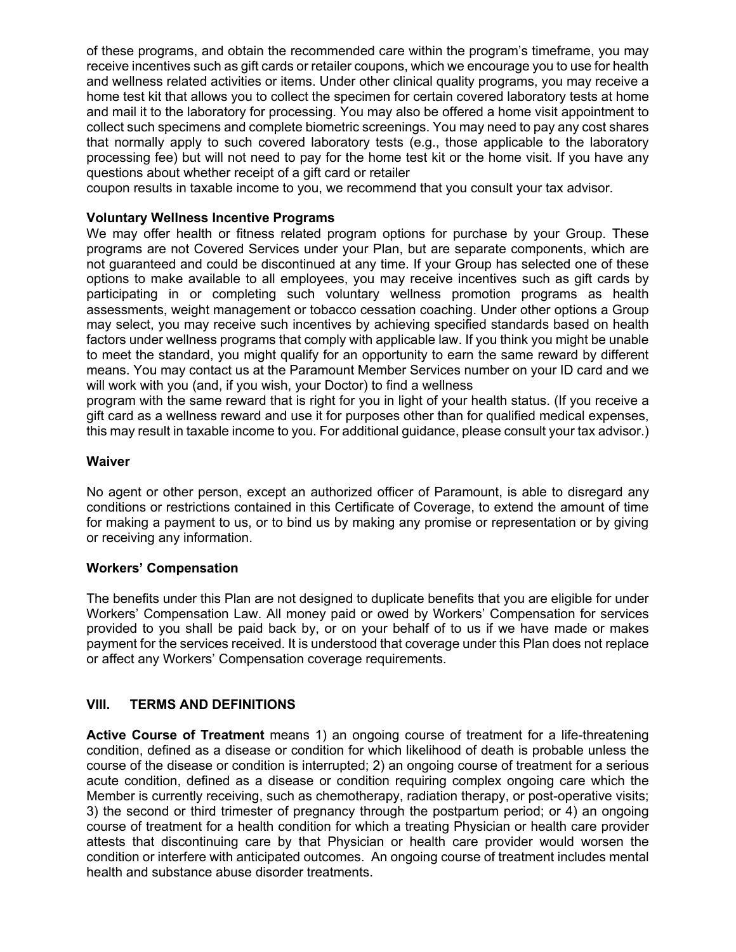of these programs, and obtain the recommended care within the program's timeframe, you may receive incentives such as gift cards or retailer coupons, which we encourage you to use for health and wellness related activities or items. Under other clinical quality programs, you may receive a home test kit that allows you to collect the specimen for certain covered laboratory tests at home and mail it to the laboratory for processing. You may also be offered a home visit appointment to collect such specimens and complete biometric screenings. You may need to pay any cost shares that normally apply to such covered laboratory tests (e.g., those applicable to the laboratory processing fee) but will not need to pay for the home test kit or the home visit. If you have any questions about whether receipt of a gift card or retailer

coupon results in taxable income to you, we recommend that you consult your tax advisor.

### **Voluntary Wellness Incentive Programs**

We may offer health or fitness related program options for purchase by your Group. These programs are not Covered Services under your Plan, but are separate components, which are not guaranteed and could be discontinued at any time. If your Group has selected one of these options to make available to all employees, you may receive incentives such as gift cards by participating in or completing such voluntary wellness promotion programs as health assessments, weight management or tobacco cessation coaching. Under other options a Group may select, you may receive such incentives by achieving specified standards based on health factors under wellness programs that comply with applicable law. If you think you might be unable to meet the standard, you might qualify for an opportunity to earn the same reward by different means. You may contact us at the Paramount Member Services number on your ID card and we will work with you (and, if you wish, your Doctor) to find a wellness

program with the same reward that is right for you in light of your health status. (If you receive a gift card as a wellness reward and use it for purposes other than for qualified medical expenses, this may result in taxable income to you. For additional guidance, please consult your tax advisor.)

#### **Waiver**

No agent or other person, except an authorized officer of Paramount, is able to disregard any conditions or restrictions contained in this Certificate of Coverage, to extend the amount of time for making a payment to us, or to bind us by making any promise or representation or by giving or receiving any information.

#### **Workers' Compensation**

The benefits under this Plan are not designed to duplicate benefits that you are eligible for under Workers' Compensation Law. All money paid or owed by Workers' Compensation for services provided to you shall be paid back by, or on your behalf of to us if we have made or makes payment for the services received. It is understood that coverage under this Plan does not replace or affect any Workers' Compensation coverage requirements.

# **VIII. TERMS AND DEFINITIONS**

**Active Course of Treatment** means 1) an ongoing course of treatment for a life-threatening condition, defined as a disease or condition for which likelihood of death is probable unless the course of the disease or condition is interrupted; 2) an ongoing course of treatment for a serious acute condition, defined as a disease or condition requiring complex ongoing care which the Member is currently receiving, such as chemotherapy, radiation therapy, or post-operative visits; 3) the second or third trimester of pregnancy through the postpartum period; or 4) an ongoing course of treatment for a health condition for which a treating Physician or health care provider attests that discontinuing care by that Physician or health care provider would worsen the condition or interfere with anticipated outcomes. An ongoing course of treatment includes mental health and substance abuse disorder treatments.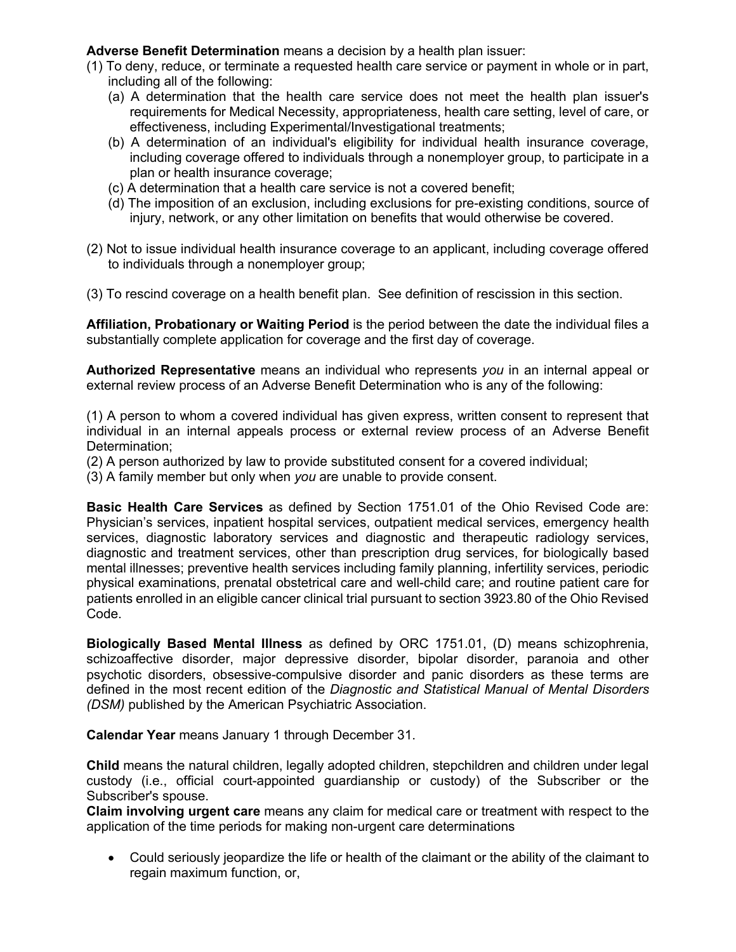**Adverse Benefit Determination** means a decision by a health plan issuer:

- (1) To deny, reduce, or terminate a requested health care service or payment in whole or in part, including all of the following:
	- (a) A determination that the health care service does not meet the health plan issuer's requirements for Medical Necessity, appropriateness, health care setting, level of care, or effectiveness, including Experimental/Investigational treatments;
	- (b) A determination of an individual's eligibility for individual health insurance coverage, including coverage offered to individuals through a nonemployer group, to participate in a plan or health insurance coverage;
	- (c) A determination that a health care service is not a covered benefit;
	- (d) The imposition of an exclusion, including exclusions for pre-existing conditions, source of injury, network, or any other limitation on benefits that would otherwise be covered.
- (2) Not to issue individual health insurance coverage to an applicant, including coverage offered to individuals through a nonemployer group;
- (3) To rescind coverage on a health benefit plan. See definition of rescission in this section.

**Affiliation, Probationary or Waiting Period** is the period between the date the individual files a substantially complete application for coverage and the first day of coverage.

**Authorized Representative** means an individual who represents *you* in an internal appeal or external review process of an Adverse Benefit Determination who is any of the following:

(1) A person to whom a covered individual has given express, written consent to represent that individual in an internal appeals process or external review process of an Adverse Benefit Determination;

(2) A person authorized by law to provide substituted consent for a covered individual;

(3) A family member but only when *you* are unable to provide consent.

**Basic Health Care Services** as defined by Section 1751.01 of the Ohio Revised Code are: Physician's services, inpatient hospital services, outpatient medical services, emergency health services, diagnostic laboratory services and diagnostic and therapeutic radiology services, diagnostic and treatment services, other than prescription drug services, for biologically based mental illnesses; preventive health services including family planning, infertility services, periodic physical examinations, prenatal obstetrical care and well-child care; and routine patient care for patients enrolled in an eligible cancer clinical trial pursuant to section 3923.80 of the Ohio Revised Code.

**Biologically Based Mental Illness** as defined by ORC 1751.01, (D) means schizophrenia, schizoaffective disorder, major depressive disorder, bipolar disorder, paranoia and other psychotic disorders, obsessive-compulsive disorder and panic disorders as these terms are defined in the most recent edition of the *Diagnostic and Statistical Manual of Mental Disorders (DSM)* published by the American Psychiatric Association.

**Calendar Year** means January 1 through December 31.

**Child** means the natural children, legally adopted children, stepchildren and children under legal custody (i.e., official court-appointed guardianship or custody) of the Subscriber or the Subscriber's spouse.

**Claim involving urgent care** means any claim for medical care or treatment with respect to the application of the time periods for making non-urgent care determinations

• Could seriously jeopardize the life or health of the claimant or the ability of the claimant to regain maximum function, or,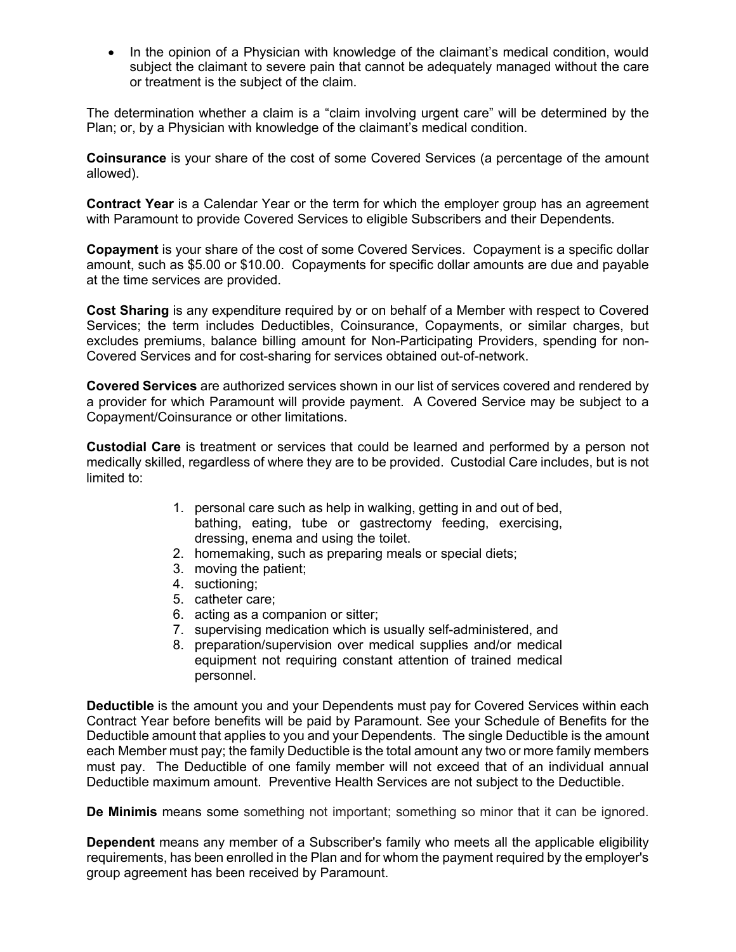• In the opinion of a Physician with knowledge of the claimant's medical condition, would subject the claimant to severe pain that cannot be adequately managed without the care or treatment is the subject of the claim.

The determination whether a claim is a "claim involving urgent care" will be determined by the Plan; or, by a Physician with knowledge of the claimant's medical condition.

**Coinsurance** is your share of the cost of some Covered Services (a percentage of the amount allowed).

**Contract Year** is a Calendar Year or the term for which the employer group has an agreement with Paramount to provide Covered Services to eligible Subscribers and their Dependents.

**Copayment** is your share of the cost of some Covered Services. Copayment is a specific dollar amount, such as \$5.00 or \$10.00. Copayments for specific dollar amounts are due and payable at the time services are provided.

**Cost Sharing** is any expenditure required by or on behalf of a Member with respect to Covered Services; the term includes Deductibles, Coinsurance, Copayments, or similar charges, but excludes premiums, balance billing amount for Non-Participating Providers, spending for non-Covered Services and for cost-sharing for services obtained out-of-network.

**Covered Services** are authorized services shown in our list of services covered and rendered by a provider for which Paramount will provide payment. A Covered Service may be subject to a Copayment/Coinsurance or other limitations.

**Custodial Care** is treatment or services that could be learned and performed by a person not medically skilled, regardless of where they are to be provided. Custodial Care includes, but is not limited to:

- 1. personal care such as help in walking, getting in and out of bed, bathing, eating, tube or gastrectomy feeding, exercising, dressing, enema and using the toilet.
- 2. homemaking, such as preparing meals or special diets;
- 3. moving the patient;
- 4. suctioning;
- 5. catheter care;
- 6. acting as a companion or sitter;
- 7. supervising medication which is usually self-administered, and
- 8. preparation/supervision over medical supplies and/or medical equipment not requiring constant attention of trained medical personnel.

**Deductible** is the amount you and your Dependents must pay for Covered Services within each Contract Year before benefits will be paid by Paramount. See your Schedule of Benefits for the Deductible amount that applies to you and your Dependents. The single Deductible is the amount each Member must pay; the family Deductible is the total amount any two or more family members must pay. The Deductible of one family member will not exceed that of an individual annual Deductible maximum amount. Preventive Health Services are not subject to the Deductible.

**De Minimis** means some something not important; something so minor that it can be ignored.

**Dependent** means any member of a Subscriber's family who meets all the applicable eligibility requirements, has been enrolled in the Plan and for whom the payment required by the employer's group agreement has been received by Paramount.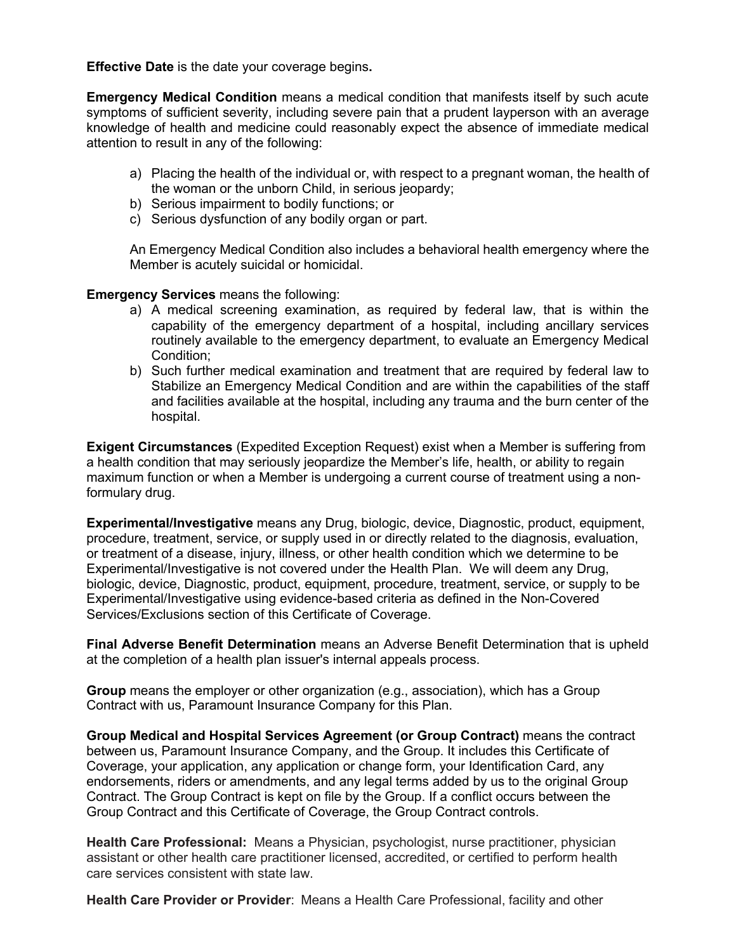**Effective Date** is the date your coverage begins**.**

**Emergency Medical Condition** means a medical condition that manifests itself by such acute symptoms of sufficient severity, including severe pain that a prudent layperson with an average knowledge of health and medicine could reasonably expect the absence of immediate medical attention to result in any of the following:

- a) Placing the health of the individual or, with respect to a pregnant woman, the health of the woman or the unborn Child, in serious jeopardy;
- b) Serious impairment to bodily functions; or
- c) Serious dysfunction of any bodily organ or part.

An Emergency Medical Condition also includes a behavioral health emergency where the Member is acutely suicidal or homicidal.

**Emergency Services** means the following:

- a) A medical screening examination, as required by federal law, that is within the capability of the emergency department of a hospital, including ancillary services routinely available to the emergency department, to evaluate an Emergency Medical Condition;
- b) Such further medical examination and treatment that are required by federal law to Stabilize an Emergency Medical Condition and are within the capabilities of the staff and facilities available at the hospital, including any trauma and the burn center of the hospital.

**Exigent Circumstances** (Expedited Exception Request) exist when a Member is suffering from a health condition that may seriously jeopardize the Member's life, health, or ability to regain maximum function or when a Member is undergoing a current course of treatment using a nonformulary drug.

**Experimental/Investigative** means any Drug, biologic, device, Diagnostic, product, equipment, procedure, treatment, service, or supply used in or directly related to the diagnosis, evaluation, or treatment of a disease, injury, illness, or other health condition which we determine to be Experimental/Investigative is not covered under the Health Plan. We will deem any Drug, biologic, device, Diagnostic, product, equipment, procedure, treatment, service, or supply to be Experimental/Investigative using evidence-based criteria as defined in the Non-Covered Services/Exclusions section of this Certificate of Coverage.

**Final Adverse Benefit Determination** means an Adverse Benefit Determination that is upheld at the completion of a health plan issuer's internal appeals process.

**Group** means the employer or other organization (e.g., association), which has a Group Contract with us, Paramount Insurance Company for this Plan.

**Group Medical and Hospital Services Agreement (or Group Contract)** means the contract between us, Paramount Insurance Company, and the Group. It includes this Certificate of Coverage, your application, any application or change form, your Identification Card, any endorsements, riders or amendments, and any legal terms added by us to the original Group Contract. The Group Contract is kept on file by the Group. If a conflict occurs between the Group Contract and this Certificate of Coverage, the Group Contract controls.

**Health Care Professional:** Means a Physician, psychologist, nurse practitioner, physician assistant or other health care practitioner licensed, accredited, or certified to perform health care services consistent with state law.

**Health Care Provider or Provider**: Means a Health Care Professional, facility and other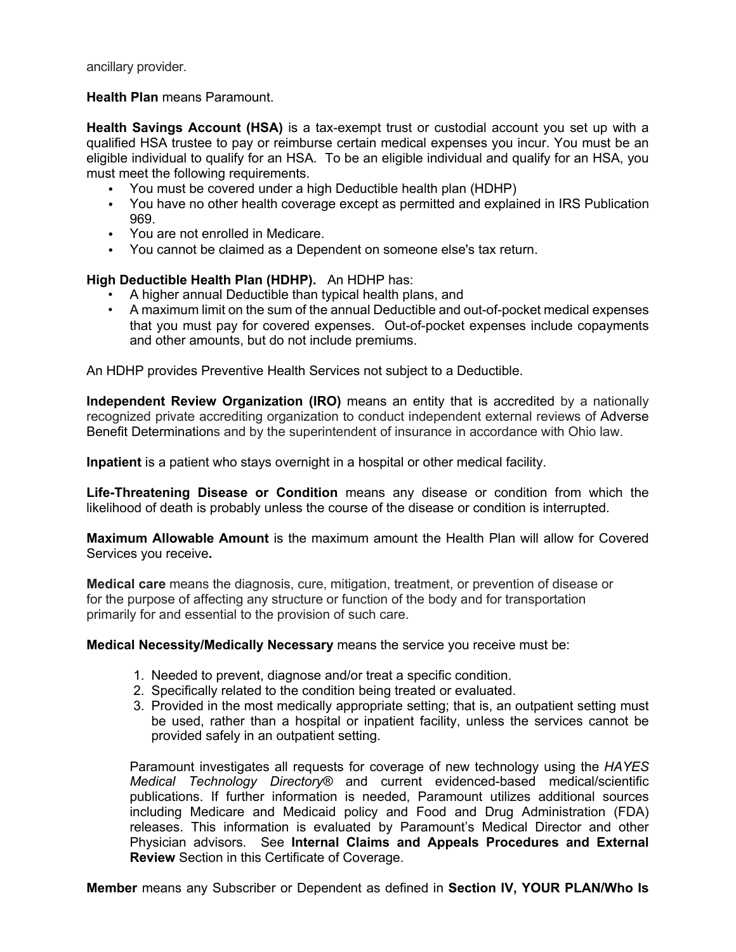ancillary provider.

#### **Health Plan** means Paramount.

**Health Savings Account (HSA)** is a tax-exempt trust or custodial account you set up with a qualified HSA trustee to pay or reimburse certain medical expenses you incur. You must be an eligible individual to qualify for an HSA. To be an eligible individual and qualify for an HSA, you must meet the following requirements.

- You must be covered under a high Deductible health plan (HDHP)
- You have no other health coverage except as permitted and explained in IRS Publication 969.
- You are not enrolled in Medicare.
- You cannot be claimed as a Dependent on someone else's tax return.

### **High Deductible Health Plan (HDHP).** An HDHP has:

- A higher annual Deductible than typical health plans, and
- A maximum limit on the sum of the annual Deductible and out-of-pocket medical expenses that you must pay for covered expenses. Out-of-pocket expenses include copayments and other amounts, but do not include premiums.

An HDHP provides Preventive Health Services not subject to a Deductible.

**Independent Review Organization (IRO)** means an entity that is accredited by a nationally recognized private accrediting organization to conduct independent external reviews of Adverse Benefit Determinations and by the superintendent of insurance in accordance with Ohio law.

**Inpatient** is a patient who stays overnight in a hospital or other medical facility.

**Life-Threatening Disease or Condition** means any disease or condition from which the likelihood of death is probably unless the course of the disease or condition is interrupted.

**Maximum Allowable Amount** is the maximum amount the Health Plan will allow for Covered Services you receive**.**

**Medical care** means the diagnosis, cure, mitigation, treatment, or prevention of disease or for the purpose of affecting any structure or function of the body and for transportation primarily for and essential to the provision of such care.

**Medical Necessity/Medically Necessary** means the service you receive must be:

- 1. Needed to prevent, diagnose and/or treat a specific condition.
- 2. Specifically related to the condition being treated or evaluated.
- 3. Provided in the most medically appropriate setting; that is, an outpatient setting must be used, rather than a hospital or inpatient facility, unless the services cannot be provided safely in an outpatient setting.

Paramount investigates all requests for coverage of new technology using the *HAYES Medical Technology Directory®* and current evidenced-based medical/scientific publications. If further information is needed, Paramount utilizes additional sources including Medicare and Medicaid policy and Food and Drug Administration (FDA) releases. This information is evaluated by Paramount's Medical Director and other Physician advisors. See **Internal Claims and Appeals Procedures and External Review** Section in this Certificate of Coverage.

**Member** means any Subscriber or Dependent as defined in **Section IV, YOUR PLAN/Who Is**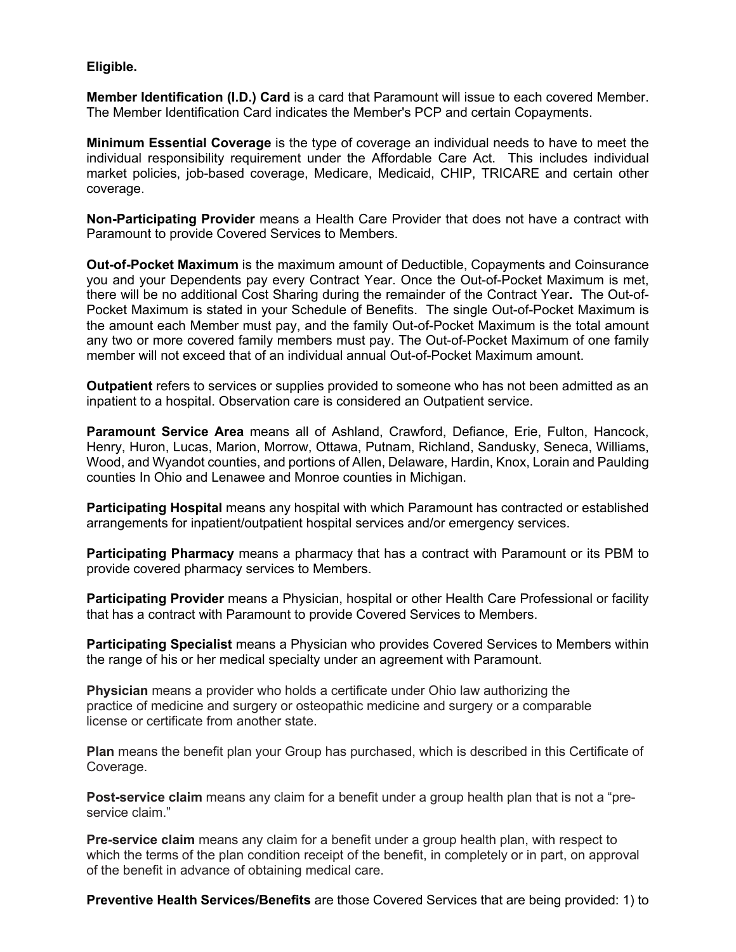### **Eligible.**

**Member Identification (I.D.) Card** is a card that Paramount will issue to each covered Member. The Member Identification Card indicates the Member's PCP and certain Copayments.

**Minimum Essential Coverage** is the type of coverage an individual needs to have to meet the individual responsibility requirement under the Affordable Care Act. This includes individual market policies, job-based coverage, Medicare, Medicaid, CHIP, TRICARE and certain other coverage.

**Non-Participating Provider** means a Health Care Provider that does not have a contract with Paramount to provide Covered Services to Members.

**Out-of-Pocket Maximum** is the maximum amount of Deductible, Copayments and Coinsurance you and your Dependents pay every Contract Year. Once the Out-of-Pocket Maximum is met, there will be no additional Cost Sharing during the remainder of the Contract Year**.** The Out-of-Pocket Maximum is stated in your Schedule of Benefits. The single Out-of-Pocket Maximum is the amount each Member must pay, and the family Out-of-Pocket Maximum is the total amount any two or more covered family members must pay. The Out-of-Pocket Maximum of one family member will not exceed that of an individual annual Out-of-Pocket Maximum amount.

**Outpatient** refers to services or supplies provided to someone who has not been admitted as an inpatient to a hospital. Observation care is considered an Outpatient service.

**Paramount Service Area** means all of Ashland, Crawford, Defiance, Erie, Fulton, Hancock, Henry, Huron, Lucas, Marion, Morrow, Ottawa, Putnam, Richland, Sandusky, Seneca, Williams, Wood, and Wyandot counties, and portions of Allen, Delaware, Hardin, Knox, Lorain and Paulding counties In Ohio and Lenawee and Monroe counties in Michigan.

**Participating Hospital** means any hospital with which Paramount has contracted or established arrangements for inpatient/outpatient hospital services and/or emergency services.

**Participating Pharmacy** means a pharmacy that has a contract with Paramount or its PBM to provide covered pharmacy services to Members.

**Participating Provider** means a Physician, hospital or other Health Care Professional or facility that has a contract with Paramount to provide Covered Services to Members.

**Participating Specialist** means a Physician who provides Covered Services to Members within the range of his or her medical specialty under an agreement with Paramount.

**Physician** means a provider who holds a certificate under Ohio law authorizing the practice of medicine and surgery or osteopathic medicine and surgery or a comparable license or certificate from another state.

**Plan** means the benefit plan your Group has purchased, which is described in this Certificate of Coverage.

**Post-service claim** means any claim for a benefit under a group health plan that is not a "preservice claim."

**Pre-service claim** means any claim for a benefit under a group health plan, with respect to which the terms of the plan condition receipt of the benefit, in completely or in part, on approval of the benefit in advance of obtaining medical care.

**Preventive Health Services/Benefits** are those Covered Services that are being provided: 1) to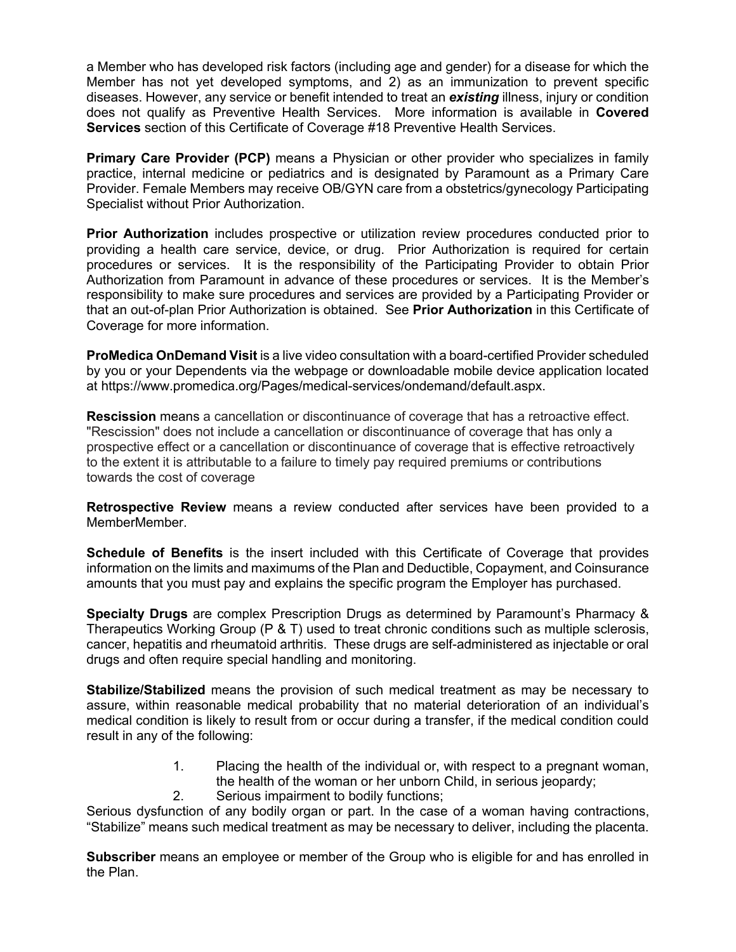a Member who has developed risk factors (including age and gender) for a disease for which the Member has not yet developed symptoms, and 2) as an immunization to prevent specific diseases. However, any service or benefit intended to treat an *existing* illness, injury or condition does not qualify as Preventive Health Services. More information is available in **Covered Services** section of this Certificate of Coverage #18 Preventive Health Services.

**Primary Care Provider (PCP)** means a Physician or other provider who specializes in family practice, internal medicine or pediatrics and is designated by Paramount as a Primary Care Provider. Female Members may receive OB/GYN care from a obstetrics/gynecology Participating Specialist without Prior Authorization.

**Prior Authorization** includes prospective or utilization review procedures conducted prior to providing a health care service, device, or drug. Prior Authorization is required for certain procedures or services. It is the responsibility of the Participating Provider to obtain Prior Authorization from Paramount in advance of these procedures or services. It is the Member's responsibility to make sure procedures and services are provided by a Participating Provider or that an out-of-plan Prior Authorization is obtained. See **Prior Authorization** in this Certificate of Coverage for more information.

**ProMedica OnDemand Visit** is a live video consultation with a board-certified Provider scheduled by you or your Dependents via the webpage or downloadable mobile device application located at https://www.promedica.org/Pages/medical-services/ondemand/default.aspx.

**Rescission** means a cancellation or discontinuance of coverage that has a retroactive effect. "Rescission" does not include a cancellation or discontinuance of coverage that has only a prospective effect or a cancellation or discontinuance of coverage that is effective retroactively to the extent it is attributable to a failure to timely pay required premiums or contributions towards the cost of coverage

**Retrospective Review** means a review conducted after services have been provided to a MemberMember.

**Schedule of Benefits** is the insert included with this Certificate of Coverage that provides information on the limits and maximums of the Plan and Deductible, Copayment, and Coinsurance amounts that you must pay and explains the specific program the Employer has purchased.

**Specialty Drugs** are complex Prescription Drugs as determined by Paramount's Pharmacy & Therapeutics Working Group (P & T) used to treat chronic conditions such as multiple sclerosis, cancer, hepatitis and rheumatoid arthritis. These drugs are self-administered as injectable or oral drugs and often require special handling and monitoring.

**Stabilize/Stabilized** means the provision of such medical treatment as may be necessary to assure, within reasonable medical probability that no material deterioration of an individual's medical condition is likely to result from or occur during a transfer, if the medical condition could result in any of the following:

- 1. Placing the health of the individual or, with respect to a pregnant woman, the health of the woman or her unborn Child, in serious jeopardy;
- 2. Serious impairment to bodily functions;

Serious dysfunction of any bodily organ or part. In the case of a woman having contractions, "Stabilize" means such medical treatment as may be necessary to deliver, including the placenta.

**Subscriber** means an employee or member of the Group who is eligible for and has enrolled in the Plan.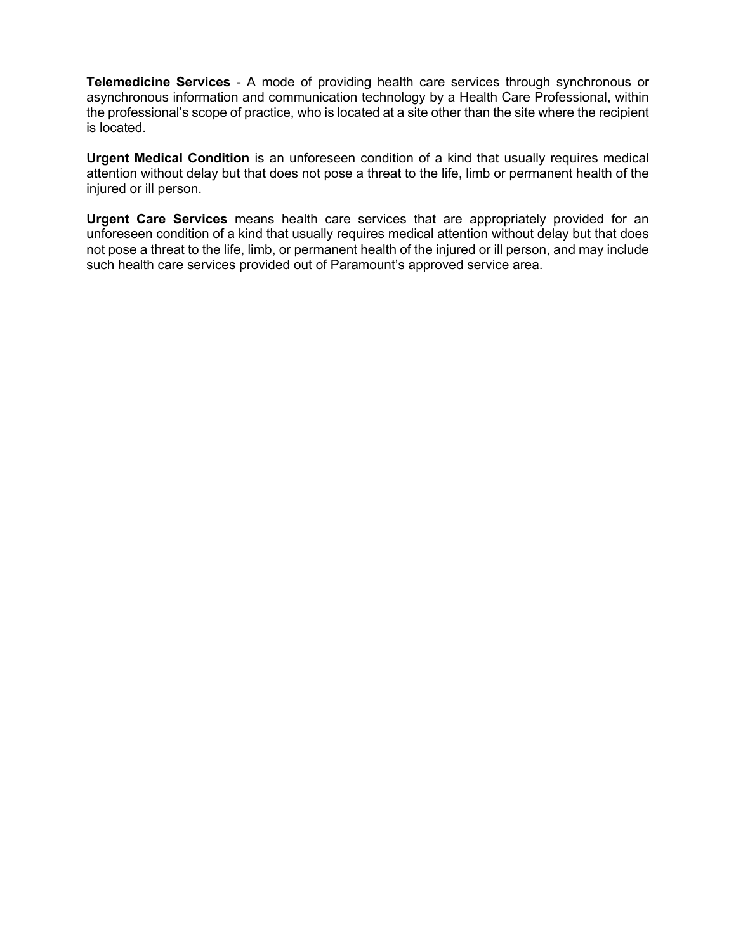**Telemedicine Services** - A mode of providing health care services through synchronous or asynchronous information and communication technology by a Health Care Professional, within the professional's scope of practice, who is located at a site other than the site where the recipient is located.

**Urgent Medical Condition** is an unforeseen condition of a kind that usually requires medical attention without delay but that does not pose a threat to the life, limb or permanent health of the injured or ill person.

**Urgent Care Services** means health care services that are appropriately provided for an unforeseen condition of a kind that usually requires medical attention without delay but that does not pose a threat to the life, limb, or permanent health of the injured or ill person, and may include such health care services provided out of Paramount's approved service area.